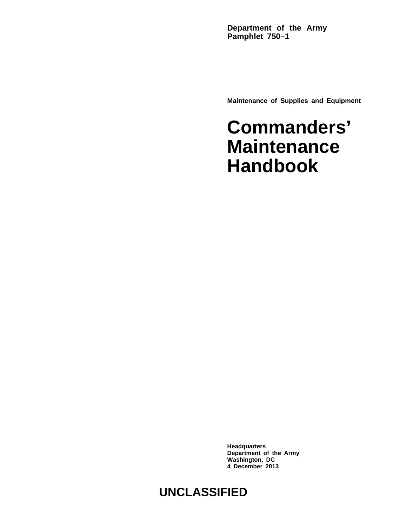**Department of the Army Pamphlet 750–1**

**Maintenance of Supplies and Equipment**

# **Commanders' Maintenance Handbook**

**Headquarters Department of the Army Washington, DC 4 December 2013**

# **UNCLASSIFIED**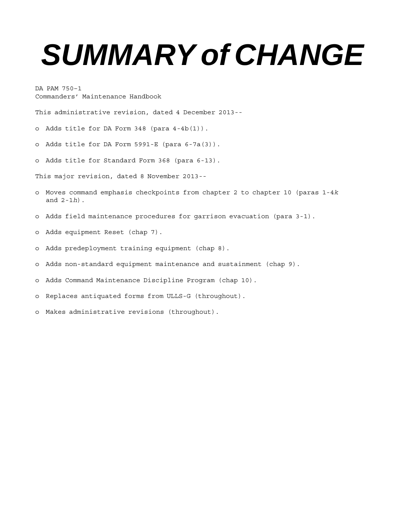# *SUMMARY of CHANGE*

DA PAM 750–1 Commanders' Maintenance Handbook

This administrative revision, dated 4 December 2013--

o Adds title for DA Form 348 (para 4-4b(1)).

o Adds title for DA Form 5991-E (para 6-7a(3)).

o Adds title for Standard Form 368 (para 6-13).

This major revision, dated 8 November 2013--

- o Moves command emphasis checkpoints from chapter 2 to chapter 10 (paras 1-4*k* and 2-1*h*).
- o Adds field maintenance procedures for garrison evacuation (para 3-1).
- o Adds equipment Reset (chap 7).
- o Adds predeployment training equipment (chap 8).
- o Adds non-standard equipment maintenance and sustainment (chap 9).

o Adds Command Maintenance Discipline Program (chap 10).

- o Replaces antiquated forms from ULLS-G (throughout).
- o Makes administrative revisions (throughout).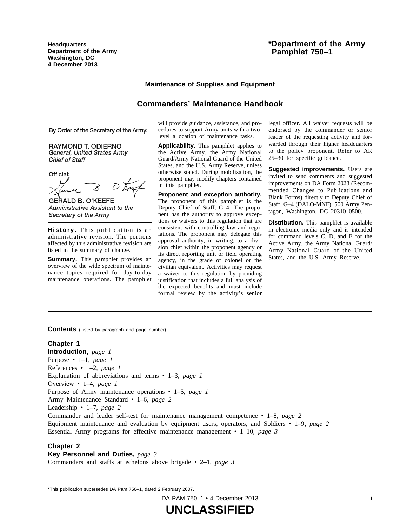**Headquarters Department of the Army Washington, DC 4 December 2013**

# **Maintenance of Supplies and Equipment**

# **Commanders' Maintenance Handbook**

By Order of the Secretary of the Army:

**RAYMOND T. ODIERNO** General, United States Army **Chief of Staff** 

Official:

**GERALD B. O'KEEFE** Administrative Assistant to the Secretary of the Army

**History.** This publication is an administrative revision. The portions affected by this administrative revision are listed in the summary of change.

**Summary.** This pamphlet provides an overview of the wide spectrum of maintenance topics required for day-to-day maintenance operations. The pamphlet will provide guidance, assistance, and procedures to support Army units with a twolevel allocation of maintenance tasks.

**Applicability.** This pamphlet applies to the Active Army, the Army National Guard/Army National Guard of the United States, and the U.S. Army Reserve, unless otherwise stated. During mobilization, the proponent may modify chapters contained in this pamphlet.

**Proponent and exception authority.** The proponent of this pamphlet is the Deputy Chief of Staff, G–4. The proponent has the authority to approve exceptions or waivers to this regulation that are consistent with controlling law and regulations. The proponent may delegate this approval authority, in writing, to a division chief within the proponent agency or its direct reporting unit or field operating agency, in the grade of colonel or the civilian equivalent. Activities may request a waiver to this regulation by providing justification that includes a full analysis of the expected benefits and must include formal review by the activity's senior

legal officer. All waiver requests will be endorsed by the commander or senior leader of the requesting activity and forwarded through their higher headquarters to the policy proponent. Refer to AR 25–30 for specific guidance.

**Suggested improvements.** Users are invited to send comments and suggested improvements on DA Form 2028 (Recommended Changes to Publications and Blank Forms) directly to Deputy Chief of Staff, G–4 (DALO-MNF), 500 Army Pentagon, Washington, DC 20310–0500.

**Distribution.** This pamphlet is available in electronic media only and is intended for command levels C, D, and E for the Active Army, the Army National Guard/ Army National Guard of the United States, and the U.S. Army Reserve.

**Contents** (Listed by paragraph and page number)

# **Chapter 1**

**Introduction,** *page 1* Purpose • 1–1, *page 1* References • 1–2, *page 1* Explanation of abbreviations and terms • 1–3, *page 1* Overview • 1–4, *page 1* Purpose of Army maintenance operations • 1–5, *page 1* Army Maintenance Standard • 1–6, *page 2* Leadership • 1–7, *page 2* Commander and leader self-test for maintenance management competence • 1–8, *page 2* Equipment maintenance and evaluation by equipment users, operators, and Soldiers • 1–9, *page 2* Essential Army programs for effective maintenance management • 1–10, *page 3*

#### **Chapter 2**

**Key Personnel and Duties,** *page 3*

Commanders and staffs at echelons above brigade • 2–1, *page 3*

\*This publication supersedes DA Pam 750–1, dated 2 February 2007.

DA PAM 750–1 • 4 December 2013 i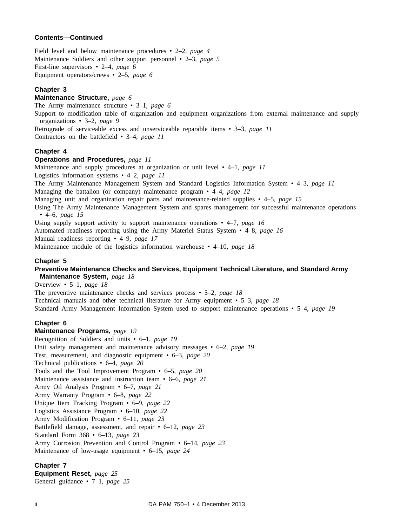# **Contents—Continued**

Field level and below maintenance procedures • 2–2, *page 4* Maintenance Soldiers and other support personnel • 2–3, *page 5* First-line supervisors • 2–4, *page 6* Equipment operators/crews • 2–5, *page 6*

#### **Chapter 3**

**Maintenance Structure,** *page 6* The Army maintenance structure • 3–1, *page 6* Support to modification table of organization and equipment organizations from external maintenance and supply organizations • 3–2, *page 9* Retrograde of serviceable excess and unserviceable reparable items • 3–3, *page 11* Contractors on the battlefield • 3–4, *page 11*

#### **Chapter 4**

#### **Operations and Procedures,** *page 11*

Maintenance and supply procedures at organization or unit level • 4–1, *page 11*

Logistics information systems • 4–2, *page 11*

The Army Maintenance Management System and Standard Logistics Information System • 4–3, *page 11*

Managing the battalion (or company) maintenance program • 4–4, *page 12*

Managing unit and organization repair parts and maintenance-related supplies • 4–5, *page 15*

Using The Army Maintenance Management System and spares management for successful maintenance operations • 4–6, *page 15*

Using supply support activity to support maintenance operations • 4–7, *page 16*

Automated readiness reporting using the Army Materiel Status System • 4–8, *page 16* Manual readiness reporting • 4–9, *page 17*

Maintenance module of the logistics information warehouse • 4–10, *page 18*

#### **Chapter 5**

# **Preventive Maintenance Checks and Services, Equipment Technical Literature, and Standard Army Maintenance System,** *page 18*

Overview • 5–1, *page 18*

The preventive maintenance checks and services process • 5–2, *page 18* Technical manuals and other technical literature for Army equipment • 5–3, *page 18* Standard Army Management Information System used to support maintenance operations • 5–4, *page 19*

#### **Chapter 6**

#### **Maintenance Programs,** *page 19*

Recognition of Soldiers and units • 6–1, *page 19* Unit safety management and maintenance advisory messages • 6–2, *page 19* Test, measurement, and diagnostic equipment • 6–3, *page 20* Technical publications • 6–4, *page 20* Tools and the Tool Improvement Program • 6–5, *page 20* Maintenance assistance and instruction team • 6–6, *page 21* Army Oil Analysis Program • 6–7, *page 21* Army Warranty Program • 6–8, *page 22* Unique Item Tracking Program • 6–9, *page 22* Logistics Assistance Program • 6–10, *page 22* Army Modification Program • 6–11, *page 23* Battlefield damage, assessment, and repair • 6–12, *page 23* Standard Form 368 • 6–13, *page 23* Army Corrosion Prevention and Control Program • 6–14, *page 23* Maintenance of low-usage equipment • 6–15, *page 24*

#### **Chapter 7**

**Equipment Reset,** *page 25* General guidance • 7–1, *page 25*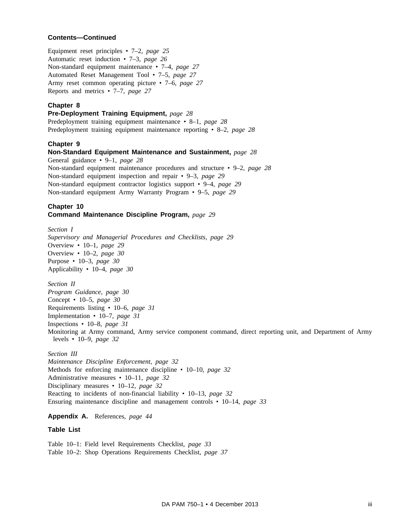#### **Contents—Continued**

Equipment reset principles • 7–2, *page 25* Automatic reset induction • 7–3, *page 26* Non-standard equipment maintenance • 7–4, *page 27* Automated Reset Management Tool • 7–5, *page 27* Army reset common operating picture • 7–6, *page 27* Reports and metrics • 7–7, *page 27*

#### **Chapter 8**

**Pre-Deployment Training Equipment,** *page 28*

Predeployment training equipment maintenance • 8–1, *page 28* Predeployment training equipment maintenance reporting • 8–2, *page 28*

#### **Chapter 9**

**Non-Standard Equipment Maintenance and Sustainment,** *page 28* General guidance • 9–1, *page 28* Non-standard equipment maintenance procedures and structure • 9–2, *page 28* Non-standard equipment inspection and repair • 9–3, *page 29* Non-standard equipment contractor logistics support • 9–4, *page 29* Non-standard equipment Army Warranty Program • 9–5, *page 29*

#### **Chapter 10 Command Maintenance Discipline Program,** *page 29*

*Section I Supervisory and Managerial Procedures and Checklists, page 29* Overview • 10–1, *page 29* Overview • 10–2, *page 30* Purpose • 10–3, *page 30* Applicability • 10–4, *page 30*

*Section II*

*Program Guidance, page 30* Concept • 10–5, *page 30* Requirements listing • 10–6, *page 31* Implementation • 10–7, *page 31* Inspections • 10–8, *page 31* Monitoring at Army command, Army service component command, direct reporting unit, and Department of Army levels • 10–9, *page 32*

#### *Section III*

*Maintenance Discipline Enforcement, page 32* Methods for enforcing maintenance discipline • 10–10, *page 32* Administrative measures • 10–11, *page 32* Disciplinary measures • 10–12, *page 32* Reacting to incidents of non-financial liability • 10–13, *page 32* Ensuring maintenance discipline and management controls • 10–14, *page 33*

#### **Appendix A.** References, *page 44*

#### **Table List**

Table 10–1: Field level Requirements Checklist, *page 33* Table 10–2: Shop Operations Requirements Checklist, *page 37*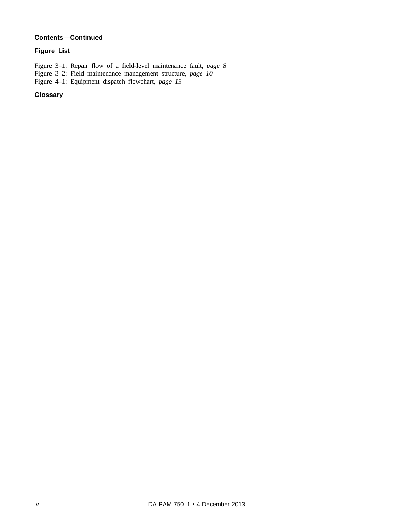# **Contents—Continued**

# **Figure List**

Figure 3–1: Repair flow of a field-level maintenance fault, *page 8*

Figure 3–2: Field maintenance management structure, *page 10*

Figure 4–1: Equipment dispatch flowchart, *page 13*

# **Glossary**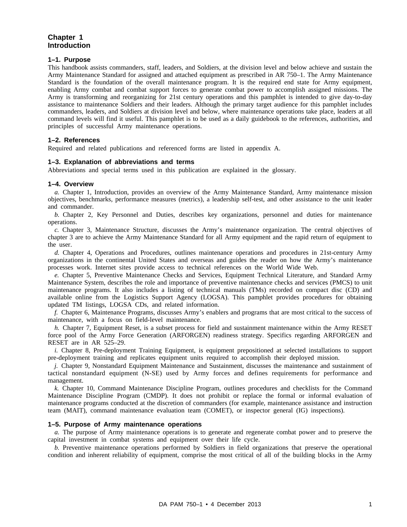# **Chapter 1 Introduction**

#### **1–1. Purpose**

This handbook assists commanders, staff, leaders, and Soldiers, at the division level and below achieve and sustain the Army Maintenance Standard for assigned and attached equipment as prescribed in AR 750–1. The Army Maintenance Standard is the foundation of the overall maintenance program. It is the required end state for Army equipment, enabling Army combat and combat support forces to generate combat power to accomplish assigned missions. The Army is transforming and reorganizing for 21st century operations and this pamphlet is intended to give day-to-day assistance to maintenance Soldiers and their leaders. Although the primary target audience for this pamphlet includes commanders, leaders, and Soldiers at division level and below, where maintenance operations take place, leaders at all command levels will find it useful. This pamphlet is to be used as a daily guidebook to the references, authorities, and principles of successful Army maintenance operations.

#### **1–2. References**

Required and related publications and referenced forms are listed in appendix A.

#### **1–3. Explanation of abbreviations and terms**

Abbreviations and special terms used in this publication are explained in the glossary.

#### **1–4. Overview**

*a.* Chapter 1, Introduction, provides an overview of the Army Maintenance Standard, Army maintenance mission objectives, benchmarks, performance measures (metrics), a leadership self-test, and other assistance to the unit leader and commander.

*b*. Chapter 2, Key Personnel and Duties, describes key organizations, personnel and duties for maintenance operations.

*c.* Chapter 3, Maintenance Structure, discusses the Army's maintenance organization. The central objectives of chapter 3 are to achieve the Army Maintenance Standard for all Army equipment and the rapid return of equipment to the user.

*d.* Chapter 4, Operations and Procedures, outlines maintenance operations and procedures in 21st-century Army organizations in the continental United States and overseas and guides the reader on how the Army's maintenance processes work. Internet sites provide access to technical references on the World Wide Web.

*e.* Chapter 5, Preventive Maintenance Checks and Services, Equipment Technical Literature, and Standard Army Maintenance System, describes the role and importance of preventive maintenance checks and services (PMCS) to unit maintenance programs. It also includes a listing of technical manuals (TMs) recorded on compact disc (CD) and available online from the Logistics Support Agency (LOGSA). This pamphlet provides procedures for obtaining updated TM listings, LOGSA CDs, and related information.

*f.* Chapter 6, Maintenance Programs, discusses Army's enablers and programs that are most critical to the success of maintenance, with a focus on field-level maintenance.

*h.* Chapter 7, Equipment Reset, is a subset process for field and sustainment maintenance within the Army RESET force pool of the Army Force Generation (ARFORGEN) readiness strategy. Specifics regarding ARFORGEN and RESET are in AR 525–29.

*i.* Chapter 8, Pre-deployment Training Equipment, is equipment prepositioned at selected installations to support pre-deployment training and replicates equipment units required to accomplish their deployed mission.

*j.* Chapter 9, Nonstandard Equipment Maintenance and Sustainment, discusses the maintenance and sustainment of tactical nonstandard equipment (N-SE) used by Army forces and defines requirements for performance and management.

*k.* Chapter 10, Command Maintenance Discipline Program, outlines procedures and checklists for the Command Maintenance Discipline Program (CMDP). It does not prohibit or replace the formal or informal evaluation of maintenance programs conducted at the discretion of commanders (for example, maintenance assistance and instruction team (MAIT), command maintenance evaluation team (COMET), or inspector general (IG) inspections).

#### **1–5. Purpose of Army maintenance operations**

*a.* The purpose of Army maintenance operations is to generate and regenerate combat power and to preserve the capital investment in combat systems and equipment over their life cycle.

*b.* Preventive maintenance operations performed by Soldiers in field organizations that preserve the operational condition and inherent reliability of equipment, comprise the most critical of all of the building blocks in the Army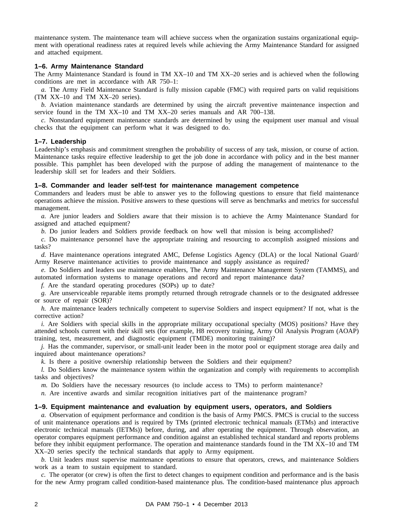maintenance system. The maintenance team will achieve success when the organization sustains organizational equipment with operational readiness rates at required levels while achieving the Army Maintenance Standard for assigned and attached equipment.

#### **1–6. Army Maintenance Standard**

The Army Maintenance Standard is found in TM XX–10 and TM XX–20 series and is achieved when the following conditions are met in accordance with AR 750–1:

*a.* The Army Field Maintenance Standard is fully mission capable (FMC) with required parts on valid requisitions (TM XX–10 and TM XX–20 series).

*b.* Aviation maintenance standards are determined by using the aircraft preventive maintenance inspection and service found in the TM XX–10 and TM XX–20 series manuals and AR 700–138.

*c.* Nonstandard equipment maintenance standards are determined by using the equipment user manual and visual checks that the equipment can perform what it was designed to do.

#### **1–7. Leadership**

Leadership's emphasis and commitment strengthen the probability of success of any task, mission, or course of action. Maintenance tasks require effective leadership to get the job done in accordance with policy and in the best manner possible. This pamphlet has been developed with the purpose of adding the management of maintenance to the leadership skill set for leaders and their Soldiers.

#### **1–8. Commander and leader self-test for maintenance management competence**

Commanders and leaders must be able to answer yes to the following questions to ensure that field maintenance operations achieve the mission. Positive answers to these questions will serve as benchmarks and metrics for successful management.

*a.* Are junior leaders and Soldiers aware that their mission is to achieve the Army Maintenance Standard for assigned and attached equipment?

*b.* Do junior leaders and Soldiers provide feedback on how well that mission is being accomplished?

*c.* Do maintenance personnel have the appropriate training and resourcing to accomplish assigned missions and tasks?

d. Have maintenance operations integrated AMC, Defense Logistics Agency (DLA) or the local National Guard/ Army Reserve maintenance activities to provide maintenance and supply assistance as required?

*e.* Do Soldiers and leaders use maintenance enablers, The Army Maintenance Management System (TAMMS), and automated information systems to manage operations and record and report maintenance data?

*f.* Are the standard operating procedures (SOPs) up to date?

*g.* Are unserviceable reparable items promptly returned through retrograde channels or to the designated addressee or source of repair (SOR)?

*h.* Are maintenance leaders technically competent to supervise Soldiers and inspect equipment? If not, what is the corrective action?

*i.* Are Soldiers with special skills in the appropriate military occupational specialty (MOS) positions? Have they attended schools current with their skill sets (for example, H8 recovery training, Army Oil Analysis Program (AOAP) training, test, measurement, and diagnostic equipment (TMDE) monitoring training)?

*j.* Has the commander, supervisor, or small-unit leader been in the motor pool or equipment storage area daily and inquired about maintenance operations?

*k.* Is there a positive ownership relationship between the Soldiers and their equipment?

*l.* Do Soldiers know the maintenance system within the organization and comply with requirements to accomplish tasks and objectives?

*m.* Do Soldiers have the necessary resources (to include access to TMs) to perform maintenance?

*n.* Are incentive awards and similar recognition initiatives part of the maintenance program?

# **1–9. Equipment maintenance and evaluation by equipment users, operators, and Soldiers**

*a.* Observation of equipment performance and condition is the basis of Army PMCS. PMCS is crucial to the success of unit maintenance operations and is required by TMs (printed electronic technical manuals (ETMs) and interactive electronic technical manuals (IETMs)) before, during, and after operating the equipment. Through observation, an operator compares equipment performance and condition against an established technical standard and reports problems before they inhibit equipment performance. The operation and maintenance standards found in the TM XX–10 and TM XX–20 series specify the technical standards that apply to Army equipment.

*b.* Unit leaders must supervise maintenance operations to ensure that operators, crews, and maintenance Soldiers work as a team to sustain equipment to standard.

*c.* The operator (or crew) is often the first to detect changes to equipment condition and performance and is the basis for the new Army program called condition-based maintenance plus. The condition-based maintenance plus approach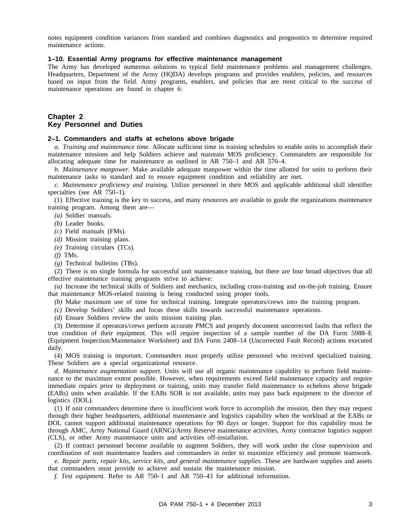notes equipment condition variances from standard and combines diagnostics and prognostics to determine required maintenance actions.

# **1–10. Essential Army programs for effective maintenance management**

The Army has developed numerous solutions to typical field maintenance problems and management challenges. Headquarters, Department of the Army (HQDA) develops programs and provides enablers, policies, and resources based on input from the field. Army programs, enablers, and policies that are most critical to the success of maintenance operations are found in chapter 6:

#### **Chapter 2 Key Personnel and Duties**

#### **2–1. Commanders and staffs at echelons above brigade**

*a. Training and maintenance time.* Allocate sufficient time in training schedules to enable units to accomplish their maintenance missions and help Soldiers achieve and maintain MOS proficiency. Commanders are responsible for allocating adequate time for maintenance as outlined in AR 750–1 and AR 570–4.

*b. Maintenance manpower.* Make available adequate manpower within the time allotted for units to perform their maintenance tasks to standard and to ensure equipment condition and reliability are met.

*c. Maintenance proficiency and training.* Utilize personnel in their MOS and applicable additional skill identifier specialties (see AR 750–1).

(1) Effective training is the key to success, and many resources are available to guide the organizations maintenance training program. Among them are—

*(a)* Soldier manuals.

*(b)* Leader books.

*(c)* Field manuals (FMs).

- *(d)* Mission training plans.
- *(e)* Training circulars (TCs).

*(f)* TMs.

*(g)* Technical bulletins (TBs).

(2) There is no single formula for successful unit maintenance training, but there are four broad objectives that all effective maintenance training programs strive to achieve:

*(a)* Increase the technical skills of Soldiers and mechanics, including cross-training and on-the-job training. Ensure that maintenance MOS-related training is being conducted using proper tools.

*(b)* Make maximum use of time for technical training. Integrate operators/crews into the training program.

*(c)* Develop Soldiers' skills and focus these skills towards successful maintenance operations.

*(d)* Ensure Soldiers review the units mission training plan.

(3) Determine if operators/crews perform accurate PMCS and properly document uncorrected faults that reflect the true condition of their equipment. This will require inspection of a sample number of the DA Form 5988–E (Equipment Inspection/Maintenance Worksheet) and DA Form 2408–14 (Uncorrected Fault Record) actions executed daily.

(4) MOS training is important. Commanders must properly utilize personnel who received specialized training. These Soldiers are a special organizational resource.

*d. Maintenance augmentation support.* Units will use all organic maintenance capability to perform field maintenance to the maximum extent possible. However, when requirements exceed field maintenance capacity and require immediate repairs prior to deployment or training, units may transfer field maintenance to echelons above brigade (EABs) units when available. If the EABs SOR is not available, units may pass back equipment to the director of logistics (DOL).

(1) If unit commanders determine there is insufficient work force to accomplish the mission, then they may request through their higher headquarters, additional maintenance and logistics capability when the workload at the EABs or DOL cannot support additional maintenance operations for 90 days or longer. Support for this capability must be through AMC, Army National Guard (ARNG)/Army Reserve maintenance activities, Army contractor logistics support (CLS), or other Army maintenance units and activities off-installation.

(2) If contract personnel become available to augment Soldiers, they will work under the close supervision and coordination of unit maintenance leaders and commanders in order to maximize efficiency and promote teamwork.

*e. Repair parts, repair kits, service kits, and general maintenance supplies.* These are hardware supplies and assets that commanders must provide to achieve and sustain the maintenance mission.

*f. Test equipment.* Refer to AR 750–1 and AR 750–43 for additional information.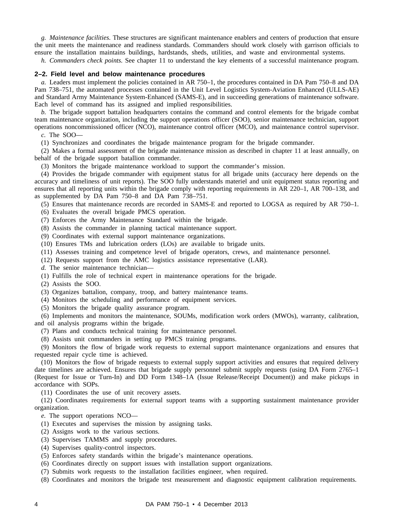*g. Maintenance facilities.* These structures are significant maintenance enablers and centers of production that ensure the unit meets the maintenance and readiness standards. Commanders should work closely with garrison officials to ensure the installation maintains buildings, hardstands, sheds, utilities, and waste and environmental systems.

*h. Commanders check points.* See chapter 11 to understand the key elements of a successful maintenance program.

#### **2–2. Field level and below maintenance procedures**

*a.* Leaders must implement the policies contained in AR 750–1, the procedures contained in DA Pam 750–8 and DA Pam 738–751, the automated processes contained in the Unit Level Logistics System-Aviation Enhanced (ULLS-AE) and Standard Army Maintenance System-Enhanced (SAMS-E), and in succeeding generations of maintenance software. Each level of command has its assigned and implied responsibilities.

*b.* The brigade support battalion headquarters contains the command and control elements for the brigade combat team maintenance organization, including the support operations officer (SOO), senior maintenance technician, support operations noncommissioned officer (NCO), maintenance control officer (MCO), and maintenance control supervisor.

*c.* The SOO—

(1) Synchronizes and coordinates the brigade maintenance program for the brigade commander.

(2) Makes a formal assessment of the brigade maintenance mission as described in chapter 11 at least annually, on behalf of the brigade support batallion commander.

(3) Monitors the brigade maintenance workload to support the commander's mission.

(4) Provides the brigade commander with equipment status for all brigade units (accuracy here depends on the accuracy and timeliness of unit reports). The SOO fully understands materiel and unit equipment status reporting and ensures that all reporting units within the brigade comply with reporting requirements in AR 220–1, AR 700–138, and as supplemented by DA Pam 750–8 and DA Pam 738–751.

(5) Ensures that maintenance records are recorded in SAMS-E and reported to LOGSA as required by AR 750–1.

(6) Evaluates the overall brigade PMCS operation.

(7) Enforces the Army Maintenance Standard within the brigade.

(8) Assists the commander in planning tactical maintenance support.

(9) Coordinates with external support maintenance organizations.

(10) Ensures TMs and lubrication orders (LOs) are available to brigade units.

(11) Assesses training and competence level of brigade operators, crews, and maintenance personnel.

(12) Requests support from the AMC logistics assistance representative (LAR).

*d.* The senior maintenance technician—

(1) Fulfills the role of technical expert in maintenance operations for the brigade.

(2) Assists the SOO.

(3) Organizes battalion, company, troop, and battery maintenance teams.

(4) Monitors the scheduling and performance of equipment services.

(5) Monitors the brigade quality assurance program.

(6) Implements and monitors the maintenance, SOUMs, modification work orders (MWOs), warranty, calibration, and oil analysis programs within the brigade.

(7) Plans and conducts technical training for maintenance personnel.

(8) Assists unit commanders in setting up PMCS training programs.

(9) Monitors the flow of brigade work requests to external support maintenance organizations and ensures that requested repair cycle time is achieved.

(10) Monitors the flow of brigade requests to external supply support activities and ensures that required delivery date timelines are achieved. Ensures that brigade supply personnel submit supply requests (using DA Form 2765–1 (Request for Issue or Turn-In) and DD Form 1348–1A (Issue Release/Receipt Document)) and make pickups in accordance with SOPs.

(11) Coordinates the use of unit recovery assets.

(12) Coordinates requirements for external support teams with a supporting sustainment maintenance provider organization.

*e.* The support operations NCO—

(1) Executes and supervises the mission by assigning tasks.

(2) Assigns work to the various sections.

(3) Supervises TAMMS and supply procedures.

(4) Supervises quality-control inspectors.

(5) Enforces safety standards within the brigade's maintenance operations.

(6) Coordinates directly on support issues with installation support organizations.

(7) Submits work requests to the installation facilities engineer, when required.

(8) Coordinates and monitors the brigade test measurement and diagnostic equipment calibration requirements.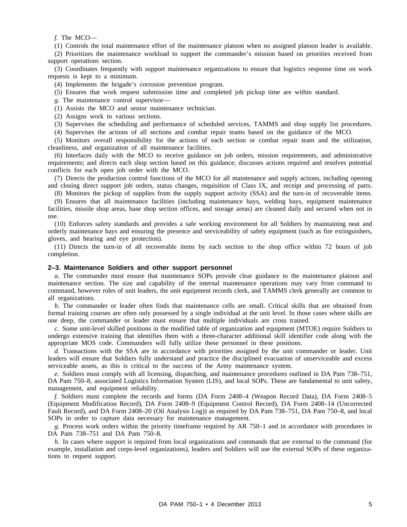*f.* The MCO—

(1) Controls the total maintenance effort of the maintenance platoon when no assigned platoon leader is available.

(2) Prioritizes the maintenance workload to support the commander's mission based on priorities received from support operations section.

(3) Coordinates frequently with support maintenance organizations to ensure that logistics response time on work requests is kept to a minimum.

(4) Implements the brigade's corrosion prevention program.

(5) Ensures that work request submission time and completed job pickup time are within standard.

*g.* The maintenance control supervisor—

(1) Assists the MCO and senior maintenance technician.

(2) Assigns work to various sections.

(3) Supervises the scheduling and performance of scheduled services, TAMMS and shop supply list procedures.

(4) Supervises the actions of all sections and combat repair teams based on the guidance of the MCO.

(5) Monitors overall responsibility for the actions of each section or combat repair team and the utilization, cleanliness, and organization of all maintenance facilities.

(6) Interfaces daily with the MCO to receive guidance on job orders, mission requirements, and administrative requirements; and directs each shop section based on this guidance; discusses actions required and resolves potential conflicts for each open job order with the MCO.

(7) Directs the production control functions of the MCO for all maintenance and supply actions, including opening and closing direct support job orders, status changes, requisition of Class IX, and receipt and processing of parts.

(8) Monitors the pickup of supplies from the supply support activity (SSA) and the turn-in of recoverable items.

(9) Ensures that all maintenance facilities (including maintenance bays, welding bays, equipment maintenance facilities, missile shop areas, base shop section offices, and storage areas) are cleaned daily and secured when not in use.

(10) Enforces safety standards and provides a safe working environment for all Soldiers by maintaining neat and orderly maintenance bays and ensuring the presence and serviceability of safety equipment (such as fire extinguishers, gloves, and hearing and eye protection).

(11) Directs the turn-in of all recoverable items by each section to the shop office within 72 hours of job completion.

#### **2–3. Maintenance Soldiers and other support personnel**

*a.* The commander must ensure that maintenance SOPs provide clear guidance to the maintenance platoon and maintenance section. The size and capability of the internal maintenance operations may vary from command to command, however roles of unit leaders, the unit equipment records clerk, and TAMMS clerk generally are common to all organizations.

*b.* The commander or leader often finds that maintenance cells are small. Critical skills that are obtained from formal training courses are often only possessed by a single individual at the unit level. In those cases where skills are one deep, the commander or leader must ensure that multiple individuals are cross trained.

*c.* Some unit-level skilled positions in the modified table of organization and equipment (MTOE) require Soldiers to undergo extensive training that identifies them with a three-character additional skill identifier code along with the appropriate MOS code. Commanders will fully utilize these personnel in these positions.

*d.* Transactions with the SSA are in accordance with priorities assigned by the unit commander or leader. Unit leaders will ensure that Soldiers fully understand and practice the disciplined evacuation of unserviceable and excess serviceable assets, as this is critical to the success of the Army maintenance system.

*e.* Soldiers must comply with all licensing, dispatching, and maintenance procedures outlined in DA Pam 738–751, DA Pam 750–8, associated Logistics Information System (LIS), and local SOPs. These are fundamental to unit safety, management, and equipment reliability.

*f.* Soldiers must complete the records and forms (DA Form 2408–4 (Weapon Record Data), DA Form 2408–5 (Equipment Modification Record), DA Form 2408–9 (Equipment Control Record), DA Form 2408–14 (Uncorrected Fault Record), and DA Form 2408–20 (Oil Analysis Log)) as required by DA Pam 738–751, DA Pam 750–8, and local SOPs in order to capture data necessary for maintenance management.

*g.* Process work orders within the priority timeframe required by AR 750–1 and in accordance with procedures in DA Pam 738–751 and DA Pam 750–8.

*h.* In cases where support is required from local organizations and commands that are external to the command (for example, installation and corps-level organizations), leaders and Soldiers will use the external SOPs of these organizations to request support.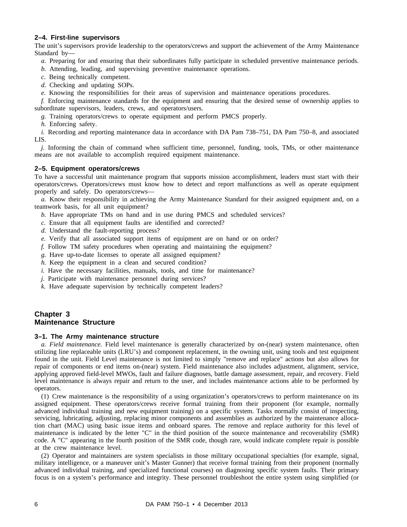#### **2–4. First-line supervisors**

The unit's supervisors provide leadership to the operators/crews and support the achievement of the Army Maintenance Standard by—

- *a.* Preparing for and ensuring that their subordinates fully participate in scheduled preventive maintenance periods.
- *b.* Attending, leading, and supervising preventive maintenance operations.
- *c.* Being technically competent.
- *d.* Checking and updating SOPs.
- *e.* Knowing the responsibilities for their areas of supervision and maintenance operations procedures.

*f.* Enforcing maintenance standards for the equipment and ensuring that the desired sense of ownership applies to subordinate supervisors, leaders, crews, and operators/users.

*g.* Training operators/crews to operate equipment and perform PMCS properly.

*h.* Enforcing safety.

*i.* Recording and reporting maintenance data in accordance with DA Pam 738–751, DA Pam 750–8, and associated LIS.

*j.* Informing the chain of command when sufficient time, personnel, funding, tools, TMs, or other maintenance means are not available to accomplish required equipment maintenance.

#### **2–5. Equipment operators/crews**

To have a successful unit maintenance program that supports mission accomplishment, leaders must start with their operators/crews. Operators/crews must know how to detect and report malfunctions as well as operate equipment properly and safely. Do operators/crews—

*a.* Know their responsibility in achieving the Army Maintenance Standard for their assigned equipment and, on a teamwork basis, for all unit equipment?

- *b.* Have appropriate TMs on hand and in use during PMCS and scheduled services?
- *c.* Ensure that all equipment faults are identified and corrected?
- *d.* Understand the fault-reporting process?
- *e.* Verify that all associated support items of equipment are on hand or on order?
- *f.* Follow TM safety procedures when operating and maintaining the equipment?
- *g.* Have up-to-date licenses to operate all assigned equipment?
- *h.* Keep the equipment in a clean and secured condition?
- *i.* Have the necessary facilities, manuals, tools, and time for maintenance?
- *j.* Participate with maintenance personnel during services?
- *k.* Have adequate supervision by technically competent leaders?

# **Chapter 3 Maintenance Structure**

#### **3–1. The Army maintenance structure**

*a. Field maintenance.* Field level maintenance is generally characterized by on-(near) system maintenance, often utilizing line replaceable units (LRU's) and component replacement, in the owning unit, using tools and test equipment found in the unit. Field Level maintenance is not limited to simply "remove and replace" actions but also allows for repair of components or end items on-(near) system. Field maintenance also includes adjustment, alignment, service, applying approved field-level MWOs, fault and failure diagnoses, battle damage assessment, repair, and recovery. Field level maintenance is always repair and return to the user, and includes maintenance actions able to be performed by operators.

(1) Crew maintenance is the responsibility of a using organization's operators/crews to perform maintenance on its assigned equipment. These operators/crews receive formal training from their proponent (for example, normally advanced individual training and new equipment training) on a specific system. Tasks normally consist of inspecting, servicing, lubricating, adjusting, replacing minor components and assemblies as authorized by the maintenance allocation chart (MAC) using basic issue items and onboard spares. The remove and replace authority for this level of maintenance is indicated by the letter "C" in the third position of the source maintenance and recoverability (SMR) code. A "C" appearing in the fourth position of the SMR code, though rare, would indicate complete repair is possible at the crew maintenance level.

(2) Operator and maintainers are system specialists in those military occupational specialties (for example, signal, military intelligence, or a maneuver unit's Master Gunner) that receive formal training from their proponent (normally advanced individual training, and specialized functional courses) on diagnosing specific system faults. Their primary focus is on a system's performance and integrity. These personnel troubleshoot the entire system using simplified (or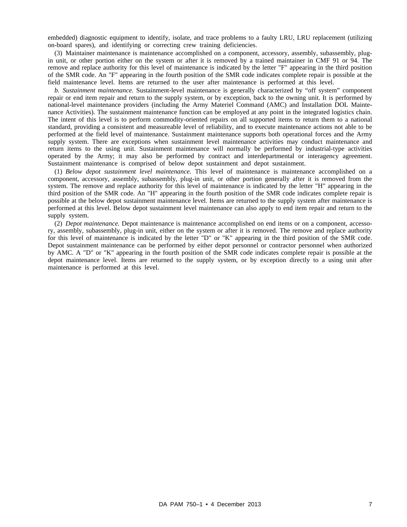embedded) diagnostic equipment to identify, isolate, and trace problems to a faulty LRU, LRU replacement (utilizing on-board spares), and identifying or correcting crew training deficiencies.

(3) Maintainer maintenance is maintenance accomplished on a component, accessory, assembly, subassembly, plugin unit, or other portion either on the system or after it is removed by a trained maintainer in CMF 91 or 94. The remove and replace authority for this level of maintenance is indicated by the letter "F" appearing in the third position of the SMR code. An "F" appearing in the fourth position of the SMR code indicates complete repair is possible at the field maintenance level. Items are returned to the user after maintenance is performed at this level.

*b. Sustainment maintenance.* Sustainment-level maintenance is generally characterized by "off system" component repair or end item repair and return to the supply system, or by exception, back to the owning unit. It is performed by national-level maintenance providers (including the Army Materiel Command (AMC) and Installation DOL Maintenance Activities). The sustainment maintenance function can be employed at any point in the integrated logistics chain. The intent of this level is to perform commodity-oriented repairs on all supported items to return them to a national standard, providing a consistent and measureable level of reliability, and to execute maintenance actions not able to be performed at the field level of maintenance. Sustainment maintenance supports both operational forces and the Army supply system. There are exceptions when sustainment level maintenance activities may conduct maintenance and return items to the using unit. Sustainment maintenance will normally be performed by industrial-type activities operated by the Army; it may also be performed by contract and interdepartmental or interagency agreement. Sustainment maintenance is comprised of below depot sustainment and depot sustainment.

(1) *Below depot sustainment level maintenance.* This level of maintenance is maintenance accomplished on a component, accessory, assembly, subassembly, plug-in unit, or other portion generally after it is removed from the system. The remove and replace authority for this level of maintenance is indicated by the letter "H" appearing in the third position of the SMR code. An "H" appearing in the fourth position of the SMR code indicates complete repair is possible at the below depot sustainment maintenance level. Items are returned to the supply system after maintenance is performed at this level. Below depot sustainment level maintenance can also apply to end item repair and return to the supply system.

(2) *Depot maintenance.* Depot maintenance is maintenance accomplished on end items or on a component, accessory, assembly, subassembly, plug-in unit, either on the system or after it is removed. The remove and replace authority for this level of maintenance is indicated by the letter "D" or "K" appearing in the third position of the SMR code. Depot sustainment maintenance can be performed by either depot personnel or contractor personnel when authorized by AMC. A "D" or "K" appearing in the fourth position of the SMR code indicates complete repair is possible at the depot maintenance level. Items are returned to the supply system, or by exception directly to a using unit after maintenance is performed at this level.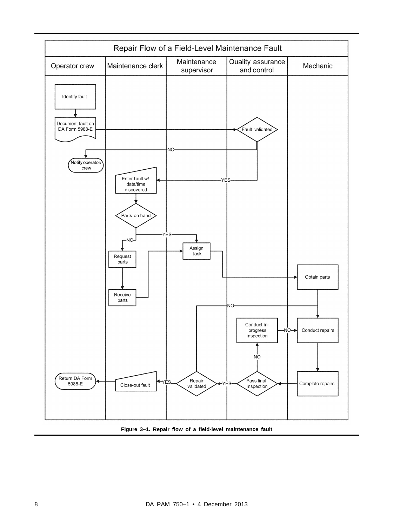

**Figure 3–1. Repair flow of a field-level maintenance fault**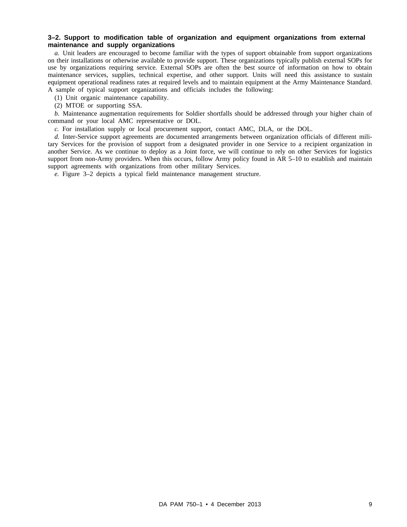#### **3–2. Support to modification table of organization and equipment organizations from external maintenance and supply organizations**

*a.* Unit leaders are encouraged to become familiar with the types of support obtainable from support organizations on their installations or otherwise available to provide support. These organizations typically publish external SOPs for use by organizations requiring service. External SOPs are often the best source of information on how to obtain maintenance services, supplies, technical expertise, and other support. Units will need this assistance to sustain equipment operational readiness rates at required levels and to maintain equipment at the Army Maintenance Standard. A sample of typical support organizations and officials includes the following:

(1) Unit organic maintenance capability.

(2) MTOE or supporting SSA.

*b.* Maintenance augmentation requirements for Soldier shortfalls should be addressed through your higher chain of command or your local AMC representative or DOL.

*c.* For installation supply or local procurement support, contact AMC, DLA, or the DOL.

*d.* Inter-Service support agreements are documented arrangements between organization officials of different military Services for the provision of support from a designated provider in one Service to a recipient organization in another Service. As we continue to deploy as a Joint force, we will continue to rely on other Services for logistics support from non-Army providers. When this occurs, follow Army policy found in AR 5–10 to establish and maintain support agreements with organizations from other military Services.

*e.* Figure 3–2 depicts a typical field maintenance management structure.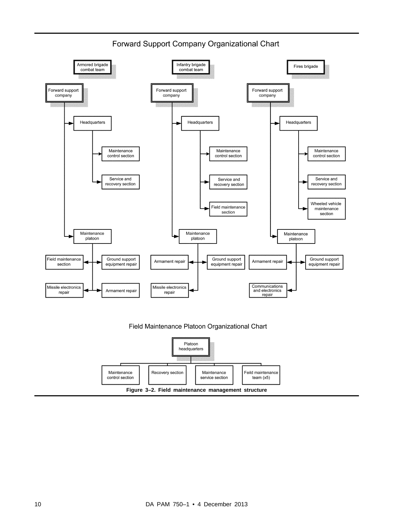

# Forward Support Company Organizational Chart



service section

team  $(x5)$ 

control section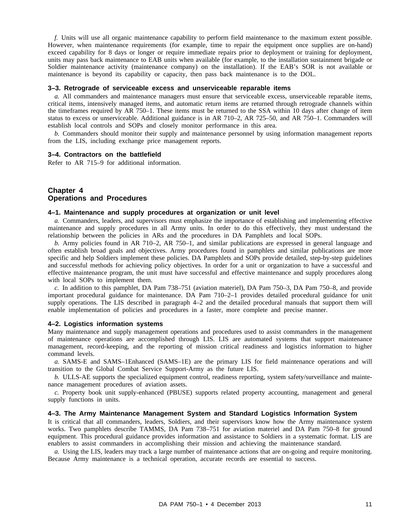*f.* Units will use all organic maintenance capability to perform field maintenance to the maximum extent possible. However, when maintenance requirements (for example, time to repair the equipment once supplies are on-hand) exceed capability for 8 days or longer or require immediate repairs prior to deployment or training for deployment, units may pass back maintenance to EAB units when available (for example, to the installation sustainment brigade or Soldier maintenance activity (maintenance company) on the installation). If the EAB's SOR is not available or maintenance is beyond its capability or capacity, then pass back maintenance is to the DOL.

#### **3–3. Retrograde of serviceable excess and unserviceable reparable items**

*a.* All commanders and maintenance managers must ensure that serviceable excess, unserviceable reparable items, critical items, intensively managed items, and automatic return items are returned through retrograde channels within the timeframes required by AR 750–1. These items must be returned to the SSA within 10 days after change of item status to excess or unserviceable. Additional guidance is in AR 710–2, AR 725–50, and AR 750–1. Commanders will establish local controls and SOPs and closely monitor performance in this area.

*b.* Commanders should monitor their supply and maintenance personnel by using information management reports from the LIS, including exchange price management reports.

#### **3–4. Contractors on the battlefield**

Refer to AR 715–9 for additional information.

#### **Chapter 4 Operations and Procedures**

# **4–1. Maintenance and supply procedures at organization or unit level**

*a.* Commanders, leaders, and supervisors must emphasize the importance of establishing and implementing effective maintenance and supply procedures in all Army units. In order to do this effectively, they must understand the relationship between the policies in ARs and the procedures in DA Pamphlets and local SOPs.

*b.* Army policies found in AR 710–2, AR 750–1, and similar publications are expressed in general language and often establish broad goals and objectives. Army procedures found in pamphlets and similar publications are more specific and help Soldiers implement these policies. DA Pamphlets and SOPs provide detailed, step-by-step guidelines and successful methods for achieving policy objectives. In order for a unit or organization to have a successful and effective maintenance program, the unit must have successful and effective maintenance and supply procedures along with local SOPs to implement them.

*c.* In addition to this pamphlet, DA Pam 738–751 (aviation materiel), DA Pam 750–3, DA Pam 750–8, and provide important procedural guidance for maintenance. DA Pam 710–2–1 provides detailed procedural guidance for unit supply operations. The LIS described in paragraph 4–2 and the detailed procedural manuals that support them will enable implementation of policies and procedures in a faster, more complete and precise manner.

#### **4–2. Logistics information systems**

Many maintenance and supply management operations and procedures used to assist commanders in the management of maintenance operations are accomplished through LIS. LIS are automated systems that support maintenance management, record-keeping, and the reporting of mission critical readiness and logistics information to higher command levels.

*a.* SAMS-E and SAMS–1Enhanced (SAMS–1E) are the primary LIS for field maintenance operations and will transition to the Global Combat Service Support-Army as the future LIS.

*b.* ULLS-AE supports the specialized equipment control, readiness reporting, system safety/surveillance and maintenance management procedures of aviation assets.

*c.* Property book unit supply-enhanced (PBUSE) supports related property accounting, management and general supply functions in units.

#### **4–3. The Army Maintenance Management System and Standard Logistics Information System**

It is critical that all commanders, leaders, Soldiers, and their supervisors know how the Army maintenance system works. Two pamphlets describe TAMMS, DA Pam 738–751 for aviation materiel and DA Pam 750–8 for ground equipment. This procedural guidance provides information and assistance to Soldiers in a systematic format. LIS are enablers to assist commanders in accomplishing their mission and achieving the maintenance standard.

*a.* Using the LIS, leaders may track a large number of maintenance actions that are on-going and require monitoring. Because Army maintenance is a technical operation, accurate records are essential to success.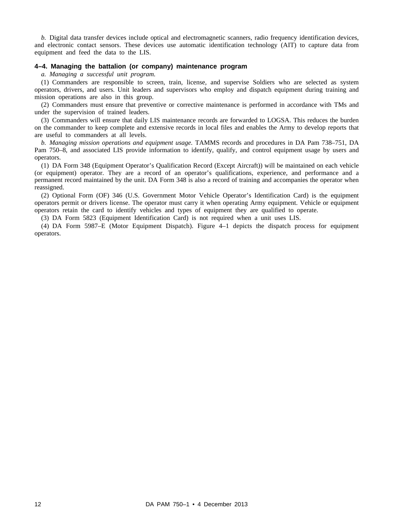*b.* Digital data transfer devices include optical and electromagnetic scanners, radio frequency identification devices, and electronic contact sensors. These devices use automatic identification technology (AIT) to capture data from equipment and feed the data to the LIS.

#### **4–4. Managing the battalion (or company) maintenance program**

*a. Managing a successful unit program.*

(1) Commanders are responsible to screen, train, license, and supervise Soldiers who are selected as system operators, drivers, and users. Unit leaders and supervisors who employ and dispatch equipment during training and mission operations are also in this group.

(2) Commanders must ensure that preventive or corrective maintenance is performed in accordance with TMs and under the supervision of trained leaders.

(3) Commanders will ensure that daily LIS maintenance records are forwarded to LOGSA. This reduces the burden on the commander to keep complete and extensive records in local files and enables the Army to develop reports that are useful to commanders at all levels.

*b. Managing mission operations and equipment usage.* TAMMS records and procedures in DA Pam 738–751, DA Pam 750–8, and associated LIS provide information to identify, qualify, and control equipment usage by users and operators.

(1) DA Form 348 (Equipment Operator's Qualification Record (Except Aircraft)) will be maintained on each vehicle (or equipment) operator. They are a record of an operator's qualifications, experience, and performance and a permanent record maintained by the unit. DA Form 348 is also a record of training and accompanies the operator when reassigned.

(2) Optional Form (OF) 346 (U.S. Government Motor Vehicle Operator's Identification Card) is the equipment operators permit or drivers license. The operator must carry it when operating Army equipment. Vehicle or equipment operators retain the card to identify vehicles and types of equipment they are qualified to operate.

(3) DA Form 5823 (Equipment Identification Card) is not required when a unit uses LIS.

(4) DA Form 5987–E (Motor Equipment Dispatch). Figure  $4-1$  depicts the dispatch process for equipment operators.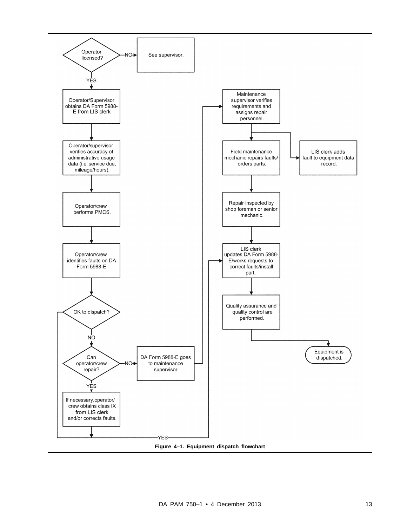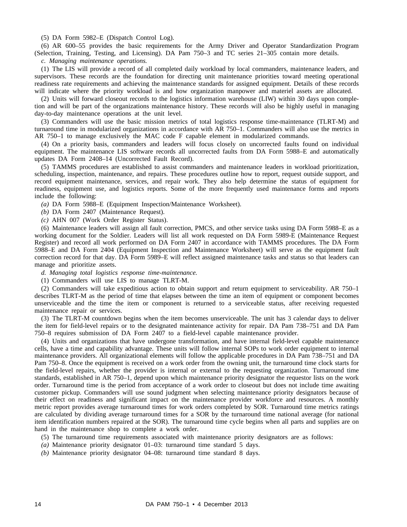(5) DA Form 5982–E (Dispatch Control Log).

(6) AR 600–55 provides the basic requirements for the Army Driver and Operator Standardization Program (Selection, Training, Testing, and Licensing). DA Pam 750–3 and TC series 21–305 contain more details.

*c. Managing maintenance operations.*

(1) The LIS will provide a record of all completed daily workload by local commanders, maintenance leaders, and supervisors. These records are the foundation for directing unit maintenance priorities toward meeting operational readiness rate requirements and achieving the maintenance standards for assigned equipment. Details of these records will indicate where the priority workload is and how organization manpower and materiel assets are allocated.

(2) Units will forward closeout records to the logistics information warehouse (LIW) within 30 days upon completion and will be part of the organizations maintenance history. These records will also be highly useful in managing day-to-day maintenance operations at the unit level.

(3) Commanders will use the basic mission metrics of total logistics response time-maintenance (TLRT-M) and turnaround time in modularized organizations in accordance with AR 750–1. Commanders will also use the metrics in AR 750–1 to manage exclusively the MAC code F capable element in modularized commands.

(4) On a priority basis, commanders and leaders will focus closely on uncorrected faults found on individual equipment. The maintenance LIS software records all uncorrected faults from DA Form 5988–E and automatically updates DA Form 2408–14 (Uncorrected Fault Record).

(5) TAMMS procedures are established to assist commanders and maintenance leaders in workload prioritization, scheduling, inspection, maintenance, and repairs. These procedures outline how to report, request outside support, and record equipment maintenance, services, and repair work. They also help determine the status of equipment for readiness, equipment use, and logistics reports. Some of the more frequently used maintenance forms and reports include the following:

*(a)* DA Form 5988–E (Equipment Inspection/Maintenance Worksheet).

*(b)* DA Form 2407 (Maintenance Request).

*(c)* AHN 007 (Work Order Register Status).

(6) Maintenance leaders will assign all fault correction, PMCS, and other service tasks using DA Form 5988–E as a working document for the Soldier. Leaders will list all work requested on DA Form 5989-E (Maintenance Request Register) and record all work performed on DA Form 2407 in accordance with TAMMS procedures. The DA Form 5988–E and DA Form 2404 (Equipment Inspection and Maintenance Worksheet) will serve as the equipment fault correction record for that day. DA Form 5989–E will reflect assigned maintenance tasks and status so that leaders can manage and prioritize assets.

*d. Managing total logistics response time-maintenance.*

(1) Commanders will use LIS to manage TLRT-M.

(2) Commanders will take expeditious action to obtain support and return equipment to serviceability. AR 750–1 describes TLRT-M as the period of time that elapses between the time an item of equipment or component becomes unserviceable and the time the item or component is returned to a serviceable status, after receiving requested maintenance repair or services.

(3) The TLRT-M countdown begins when the item becomes unserviceable. The unit has 3 calendar days to deliver the item for field-level repairs or to the designated maintenance activity for repair. DA Pam 738–751 and DA Pam 750–8 requires submission of DA Form 2407 to a field-level capable maintenance provider.

(4) Units and organizations that have undergone transformation, and have internal field-level capable maintenance cells, have a time and capability advantage. These units will follow internal SOPs to work order equipment to internal maintenance providers. All organizational elements will follow the applicable procedures in DA Pam 738–751 and DA Pam 750–8. Once the equipment is received on a work order from the owning unit, the turnaround time clock starts for the field-level repairs, whether the provider is internal or external to the requesting organization. Turnaround time standards, established in AR 750–1, depend upon which maintenance priority designator the requestor lists on the work order. Turnaround time is the period from acceptance of a work order to closeout but does not include time awaiting customer pickup. Commanders will use sound judgment when selecting maintenance priority designators because of their effect on readiness and significant impact on the maintenance provider workforce and resources. A monthly metric report provides average turnaround times for work orders completed by SOR. Turnaround time metrics ratings are calculated by dividing average turnaround times for a SOR by the turnaround time national average (for national item identification numbers repaired at the SOR). The turnaround time cycle begins when all parts and supplies are on hand in the maintenance shop to complete a work order.

- (5) The turnaround time requirements associated with maintenance priority designators are as follows:
- *(a)* Maintenance priority designator 01–03: turnaround time standard 5 days.
- *(b)* Maintenance priority designator 04–08: turnaround time standard 8 days.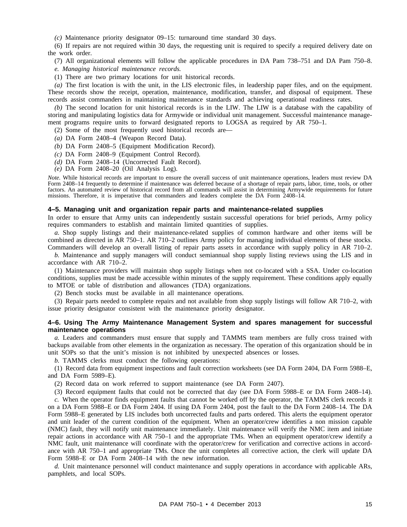*(c)* Maintenance priority designator 09–15: turnaround time standard 30 days.

(6) If repairs are not required within 30 days, the requesting unit is required to specify a required delivery date on the work order.

(7) All organizational elements will follow the applicable procedures in DA Pam 738–751 and DA Pam 750–8. *e. Managing historical maintenance records.*

(1) There are two primary locations for unit historical records.

*(a)* The first location is with the unit, in the LIS electronic files, in leadership paper files, and on the equipment. These records show the receipt, operation, maintenance, modification, transfer, and disposal of equipment. These records assist commanders in maintaining maintenance standards and achieving operational readiness rates.

*(b)* The second location for unit historical records is in the LIW. The LIW is a database with the capability of storing and manipulating logistics data for Armywide or individual unit management. Successful maintenance management programs require units to forward designated reports to LOGSA as required by AR 750–1.

(2) Some of the most frequently used historical records are—

*(a)* DA Form 2408–4 (Weapon Record Data).

*(b)* DA Form 2408–5 (Equipment Modification Record).

*(c)* DA Form 2408–9 (Equipment Control Record).

*(d)* DA Form 2408–14 (Uncorrected Fault Record).

*(e)* DA Form 2408–20 (Oil Analysis Log).

*Note.* While historical records are important to ensure the overall success of unit maintenance operations, leaders must review DA Form 2408–14 frequently to determine if maintenance was deferred because of a shortage of repair parts, labor, time, tools, or other factors. An automated review of historical record from all commands will assist in determining Armywide requirements for future missions. Therefore, it is imperative that commanders and leaders complete the DA Form 2408–14.

#### **4–5. Managing unit and organization repair parts and maintenance-related supplies**

In order to ensure that Army units can independently sustain successful operations for brief periods, Army policy requires commanders to establish and maintain limited quantities of supplies.

*a.* Shop supply listings and their maintenance-related supplies of common hardware and other items will be combined as directed in AR 750–1. AR 710–2 outlines Army policy for managing individual elements of these stocks. Commanders will develop an overall listing of repair parts assets in accordance with supply policy in AR 710–2.

*b.* Maintenance and supply managers will conduct semiannual shop supply listing reviews using the LIS and in accordance with AR 710–2.

(1) Maintenance providers will maintain shop supply listings when not co-located with a SSA. Under co-location conditions, supplies must be made accessible within minutes of the supply requirement. These conditions apply equally to MTOE or table of distribution and allowances (TDA) organizations.

(2) Bench stocks must be available in all maintenance operations.

(3) Repair parts needed to complete repairs and not available from shop supply listings will follow AR 710–2, with issue priority designator consistent with the maintenance priority designator.

#### **4–6. Using The Army Maintenance Management System and spares management for successful maintenance operations**

*a.* Leaders and commanders must ensure that supply and TAMMS team members are fully cross trained with backups available from other elements in the organization as necessary. The operation of this organization should be in unit SOPs so that the unit's mission is not inhibited by unexpected absences or losses.

*b.* TAMMS clerks must conduct the following operations:

(1) Record data from equipment inspections and fault correction worksheets (see DA Form 2404, DA Form 5988–E, and DA Form 5989–E).

(2) Record data on work referred to support maintenance (see DA Form 2407).

(3) Record equipment faults that could not be corrected that day (see DA Form 5988–E or DA Form 2408–14).

*c.* When the operator finds equipment faults that cannot be worked off by the operator, the TAMMS clerk records it on a DA Form 5988–E or DA Form 2404. If using DA Form 2404, post the fault to the DA Form 2408–14. The DA Form 5988–E generated by LIS includes both uncorrected faults and parts ordered. This alerts the equipment operator and unit leader of the current condition of the equipment. When an operator/crew identifies a non mission capable (NMC) fault, they will notify unit maintenance immediately. Unit maintenance will verify the NMC item and initiate repair actions in accordance with AR 750–1 and the appropriate TMs. When an equipment operator/crew identify a NMC fault, unit maintenance will coordinate with the operator/crew for verification and corrective actions in accordance with AR 750–1 and appropriate TMs. Once the unit completes all corrective action, the clerk will update DA Form 5988–E or DA Form 2408–14 with the new information.

*d.* Unit maintenance personnel will conduct maintenance and supply operations in accordance with applicable ARs, pamphlets, and local SOPs.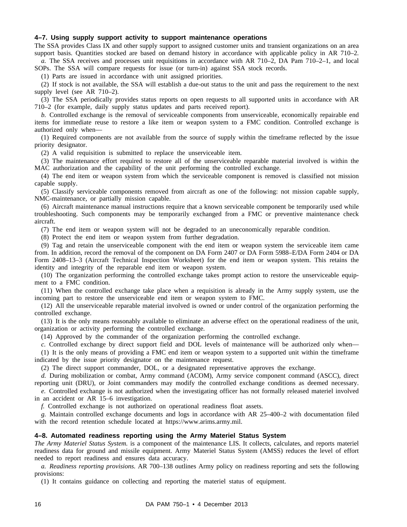#### **4–7. Using supply support activity to support maintenance operations**

The SSA provides Class IX and other supply support to assigned customer units and transient organizations on an area support basis. Quantities stocked are based on demand history in accordance with applicable policy in AR 710–2. *a.* The SSA receives and processes unit requisitions in accordance with AR 710–2, DA Pam 710–2–1, and local

SOPs. The SSA will compare requests for issue (or turn-in) against SSA stock records.

(1) Parts are issued in accordance with unit assigned priorities.

(2) If stock is not available, the SSA will establish a due-out status to the unit and pass the requirement to the next supply level (see AR 710–2).

(3) The SSA periodically provides status reports on open requests to all supported units in accordance with AR 710–2 (for example, daily supply status updates and parts received report).

*b.* Controlled exchange is the removal of serviceable components from unserviceable, economically repairable end items for immediate reuse to restore a like item or weapon system to a FMC condition. Controlled exchange is authorized only when—

(1) Required components are not available from the source of supply within the timeframe reflected by the issue priority designator.

(2) A valid requisition is submitted to replace the unserviceable item.

(3) The maintenance effort required to restore all of the unserviceable reparable material involved is within the MAC authorization and the capability of the unit performing the controlled exchange.

(4) The end item or weapon system from which the serviceable component is removed is classified not mission capable supply.

(5) Classify serviceable components removed from aircraft as one of the following: not mission capable supply, NMC-maintenance, or partially mission capable.

(6) Aircraft maintenance manual instructions require that a known serviceable component be temporarily used while troubleshooting. Such components may be temporarily exchanged from a FMC or preventive maintenance check aircraft.

(7) The end item or weapon system will not be degraded to an uneconomically reparable condition.

(8) Protect the end item or weapon system from further degradation.

(9) Tag and retain the unserviceable component with the end item or weapon system the serviceable item came from. In addition, record the removal of the component on DA Form 2407 or DA Form 5988–E/DA Form 2404 or DA Form 2408–13–3 (Aircraft Technical Inspection Worksheet) for the end item or weapon system. This retains the identity and integrity of the reparable end item or weapon system.

(10) The organization performing the controlled exchange takes prompt action to restore the unserviceable equipment to a FMC condition.

(11) When the controlled exchange take place when a requisition is already in the Army supply system, use the incoming part to restore the unserviceable end item or weapon system to FMC.

(12) All the unserviceable reparable material involved is owned or under control of the organization performing the controlled exchange.

(13) It is the only means reasonably available to eliminate an adverse effect on the operational readiness of the unit, organization or activity performing the controlled exchange.

(14) Approved by the commander of the organization performing the controlled exchange.

*c.* Controlled exchange by direct support field and DOL levels of maintenance will be authorized only when— (1) It is the only means of providing a FMC end item or weapon system to a supported unit within the timeframe indicated by the issue priority designator on the maintenance request.

(2) The direct support commander, DOL, or a designated representative approves the exchange.

*d.* During mobilization or combat, Army command (ACOM), Army service component command (ASCC), direct reporting unit (DRU), or Joint commanders may modify the controlled exchange conditions as deemed necessary. *e.* Controlled exchange is not authorized when the investigating officer has not formally released materiel involved

in an accident or AR 15–6 investigation.

*f.* Controlled exchange is not authorized on operational readiness float assets.

*g.* Maintain controlled exchange documents and logs in accordance with AR 25–400–2 with documentation filed with the record retention schedule located at https://www.arims.army.mil.

#### **4–8. Automated readiness reporting using the Army Materiel Status System**

*The Army Materiel Status System.* is a component of the maintenance LIS. It collects, calculates, and reports materiel readiness data for ground and missile equipment. Army Materiel Status System (AMSS) reduces the level of effort needed to report readiness and ensures data accuracy.

*a. Readiness reporting provisions.* AR 700–138 outlines Army policy on readiness reporting and sets the following provisions:

(1) It contains guidance on collecting and reporting the materiel status of equipment.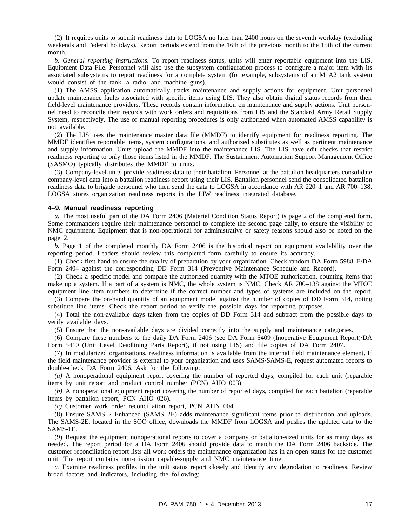(2) It requires units to submit readiness data to LOGSA no later than 2400 hours on the seventh workday (excluding weekends and Federal holidays). Report periods extend from the 16th of the previous month to the 15th of the current month.

*b. General reporting instructions.* To report readiness status, units will enter reportable equipment into the LIS, Equipment Data File. Personnel will also use the subsystem configuration process to configure a major item with its associated subsystems to report readiness for a complete system (for example, subsystems of an M1A2 tank system would consist of the tank, a radio, and machine guns).

(1) The AMSS application automatically tracks maintenance and supply actions for equipment. Unit personnel update maintenance faults associated with specific items using LIS. They also obtain digital status records from their field-level maintenance providers. These records contain information on maintenance and supply actions. Unit personnel need to reconcile their records with work orders and requisitions from LIS and the Standard Army Retail Supply System, respectively. The use of manual reporting procedures is only authorized when automated AMSS capability is not available.

(2) The LIS uses the maintenance master data file (MMDF) to identify equipment for readiness reporting. The MMDF identifies reportable items, system configurations, and authorized substitutes as well as pertinent maintenance and supply information. Units upload the MMDF into the maintenance LIS. The LIS have edit checks that restrict readiness reporting to only those items listed in the MMDF. The Sustainment Automation Support Management Office (SASMO) typically distributes the MMDF to units.

(3) Company-level units provide readiness data to their battalion. Personnel at the battalion headquarters consolidate company-level data into a battalion readiness report using their LIS. Battalion personnel send the consolidated battalion readiness data to brigade personnel who then send the data to LOGSA in accordance with AR 220–1 and AR 700–138. LOGSA stores organization readiness reports in the LIW readiness integrated database.

#### **4–9. Manual readiness reporting**

*a.* The most useful part of the DA Form 2406 (Materiel Condition Status Report) is page 2 of the completed form. Some commanders require their maintenance personnel to complete the second page daily, to ensure the visibility of NMC equipment. Equipment that is non-operational for administrative or safety reasons should also be noted on the page 2.

*b.* Page 1 of the completed monthly DA Form 2406 is the historical report on equipment availability over the reporting period. Leaders should review this completed form carefully to ensure its accuracy.

(1) Check first hand to ensure the quality of preparation by your organization. Check random DA Form 5988–E/DA Form 2404 against the corresponding DD Form 314 (Preventive Maintenance Schedule and Record).

(2) Check a specific model and compare the authorized quantity with the MTOE authorization, counting items that make up a system. If a part of a system is NMC, the whole system is NMC. Check AR 700–138 against the MTOE equipment line item numbers to determine if the correct number and types of systems are included on the report. (3) Compare the on-hand quantity of an equipment model against the number of copies of DD Form 314, noting

substitute line items. Check the report period to verify the possible days for reporting purposes.

(4) Total the non-available days taken from the copies of DD Form 314 and subtract from the possible days to verify available days.

(5) Ensure that the non-available days are divided correctly into the supply and maintenance categories.

(6) Compare these numbers to the daily DA Form 2406 (see DA Form 5409 (Inoperative Equipment Report)/DA Form 5410 (Unit Level Deadlining Parts Report), if not using LIS) and file copies of DA Form 2407.

(7) In modularized organizations, readiness information is available from the internal field maintenance element. If the field maintenance provider is external to your organization and uses SAMS/SAMS-E, request automated reports to double-check DA Form 2406. Ask for the following:

*(a)* A nonoperational equipment report covering the number of reported days, compiled for each unit (reparable items by unit report and product control number (PCN) AHO 003).

*(b)* A nonoperational equipment report covering the number of reported days, compiled for each battalion (reparable items by battalion report, PCN AHO 026).

*(c)* Customer work order reconciliation report, PCN AHN 004.

(8) Ensure SAMS–2 Enhanced (SAMS–2E) adds maintenance significant items prior to distribution and uploads. The SAMS-2E, located in the SOO office, downloads the MMDF from LOGSA and pushes the updated data to the SAMS-1E.

(9) Request the equipment nonoperational reports to cover a company or battalion-sized units for as many days as needed. The report period for a DA Form 2406 should provide data to match the DA Form 2406 backside. The customer reconciliation report lists all work orders the maintenance organization has in an open status for the customer unit. The report contains non-mission capable-supply and NMC maintenance time.

*c.* Examine readiness profiles in the unit status report closely and identify any degradation to readiness. Review broad factors and indicators, including the following: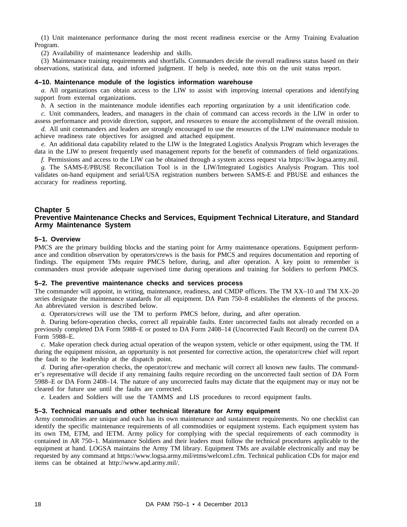(1) Unit maintenance performance during the most recent readiness exercise or the Army Training Evaluation Program.

(2) Availability of maintenance leadership and skills.

(3) Maintenance training requirements and shortfalls. Commanders decide the overall readiness status based on their observations, statistical data, and informed judgment. If help is needed, note this on the unit status report.

#### **4–10. Maintenance module of the logistics information warehouse**

*a.* All organizations can obtain access to the LIW to assist with improving internal operations and identifying support from external organizations.

*b.* A section in the maintenance module identifies each reporting organization by a unit identification code.

*c.* Unit commanders, leaders, and managers in the chain of command can access records in the LIW in order to assess performance and provide direction, support, and resources to ensure the accomplishment of the overall mission.

*d.* All unit commanders and leaders are strongly encouraged to use the resources of the LIW maintenance module to achieve readiness rate objectives for assigned and attached equipment.

*e.* An additional data capability related to the LIW is the Integrated Logistics Analysis Program which leverages the data in the LIW to present frequently used management reports for the benefit of commanders of field organizations.

*f.* Permissions and access to the LIW can be obtained through a system access request via https://liw.logsa.army.mil.

*g.* The SAMS-E/PBUSE Reconciliation Tool is in the LIW/Integrated Logistics Analysis Program. This tool validates on-hand equipment and serial/USA registration numbers between SAMS-E and PBUSE and enhances the accuracy for readiness reporting.

#### **Chapter 5**

#### **Preventive Maintenance Checks and Services, Equipment Technical Literature, and Standard Army Maintenance System**

#### **5–1. Overview**

PMCS are the primary building blocks and the starting point for Army maintenance operations. Equipment performance and condition observation by operators/crews is the basis for PMCS and requires documentation and reporting of findings. The equipment TMs require PMCS before, during, and after operation. A key point to remember is commanders must provide adequate supervised time during operations and training for Soldiers to perform PMCS.

#### **5–2. The preventive maintenance checks and services process**

The commander will appoint, in writing, maintenance, readiness, and CMDP officers. The TM XX–10 and TM XX–20 series designate the maintenance standards for all equipment. DA Pam 750–8 establishes the elements of the process. An abbreviated version is described below.

*a.* Operators/crews will use the TM to perform PMCS before, during, and after operation.

*b.* During before-operation checks, correct all repairable faults. Enter uncorrected faults not already recorded on a previously completed DA Form 5988–E or posted to DA Form 2408–14 (Uncorrected Fault Record) on the current DA Form 5988–E.

*c.* Make operation check during actual operation of the weapon system, vehicle or other equipment, using the TM. If during the equipment mission, an opportunity is not presented for corrective action, the operator/crew chief will report the fault to the leadership at the dispatch point.

*d.* During after-operation checks, the operator/crew and mechanic will correct all known new faults. The commander's representative will decide if any remaining faults require recording on the uncorrected fault section of DA Form 5988–E or DA Form 2408–14. The nature of any uncorrected faults may dictate that the equipment may or may not be cleared for future use until the faults are corrected.

*e.* Leaders and Soldiers will use the TAMMS and LIS procedures to record equipment faults.

#### **5–3. Technical manuals and other technical literature for Army equipment**

Army commodities are unique and each has its own maintenance and sustainment requirements. No one checklist can identify the specific maintenance requirements of all commodities or equipment systems. Each equipment system has its own TM, ETM, and IETM. Army policy for complying with the special requirements of each commodity is contained in AR 750–1. Maintenance Soldiers and their leaders must follow the technical procedures applicable to the equipment at hand. LOGSA maintains the Army TM library. Equipment TMs are available electronically and may be requested by any command at https://www.logsa.army.mil/etms/welcom1.cfm. Technical publication CDs for major end items can be obtained at http://www.apd.army.mil/.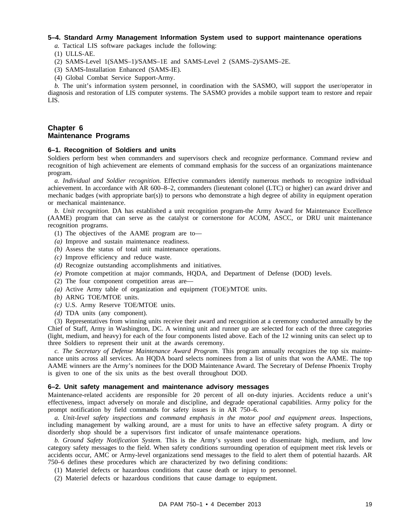#### **5–4. Standard Army Management Information System used to support maintenance operations**

*a.* Tactical LIS software packages include the following:

- (1) ULLS-AE.
- (2) SAMS-Level 1(SAMS–1)/SAMS–1E and SAMS-Level 2 (SAMS–2)/SAMS–2E.
- (3) SAMS-Installation Enhanced (SAMS-IE).
- (4) Global Combat Service Support-Army.

*b.* The unit's information system personnel, in coordination with the SASMO, will support the user/operator in diagnosis and restoration of LIS computer systems. The SASMO provides a mobile support team to restore and repair LIS.

# **Chapter 6 Maintenance Programs**

#### **6–1. Recognition of Soldiers and units**

Soldiers perform best when commanders and supervisors check and recognize performance. Command review and recognition of high achievement are elements of command emphasis for the success of an organizations maintenance program.

*a. Individual and Soldier recognition.* Effective commanders identify numerous methods to recognize individual achievement. In accordance with AR 600–8–2, commanders (lieutenant colonel (LTC) or higher) can award driver and mechanic badges (with appropriate bar(s)) to persons who demonstrate a high degree of ability in equipment operation or mechanical maintenance.

*b. Unit recognition.* DA has established a unit recognition program-the Army Award for Maintenance Excellence (AAME) program that can serve as the catalyst or cornerstone for ACOM, ASCC, or DRU unit maintenance recognition programs.

- (1) The objectives of the AAME program are to—
- *(a)* Improve and sustain maintenance readiness.
- *(b)* Assess the status of total unit maintenance operations.
- *(c)* Improve efficiency and reduce waste.
- *(d)* Recognize outstanding accomplishments and initiatives.
- *(e)* Promote competition at major commands, HQDA, and Department of Defense (DOD) levels.
- (2) The four component competition areas are—
- *(a)* Active Army table of organization and equipment (TOE)/MTOE units.
- *(b)* ARNG TOE/MTOE units.
- *(c)* U.S. Army Reserve TOE/MTOE units.
- *(d)* TDA units (any component).

(3) Representatives from winning units receive their award and recognition at a ceremony conducted annually by the Chief of Staff, Army in Washington, DC. A winning unit and runner up are selected for each of the three categories (light, medium, and heavy) for each of the four components listed above. Each of the 12 winning units can select up to three Soldiers to represent their unit at the awards ceremony.

*c. The Secretary of Defense Maintenance Award Program.* This program annually recognizes the top six maintenance units across all services. An HQDA board selects nominees from a list of units that won the AAME. The top AAME winners are the Army's nominees for the DOD Maintenance Award. The Secretary of Defense Phoenix Trophy is given to one of the six units as the best overall throughout DOD.

#### **6–2. Unit safety management and maintenance advisory messages**

Maintenance-related accidents are responsible for 20 percent of all on-duty injuries. Accidents reduce a unit's effectiveness, impact adversely on morale and discipline, and degrade operational capabilities. Army policy for the prompt notification by field commands for safety issues is in AR 750–6.

*a. Unit-level safety inspections and command emphasis in the motor pool and equipment areas.* Inspections, including management by walking around, are a must for units to have an effective safety program. A dirty or disorderly shop should be a supervisors first indicator of unsafe maintenance operations.

*b. Ground Safety Notification System.* This is the Army's system used to disseminate high, medium, and low category safety messages to the field. When safety conditions surrounding operation of equipment meet risk levels or accidents occur, AMC or Army-level organizations send messages to the field to alert them of potential hazards. AR 750–6 defines these procedures which are characterized by two defining conditions:

(1) Materiel defects or hazardous conditions that cause death or injury to personnel.

(2) Materiel defects or hazardous conditions that cause damage to equipment.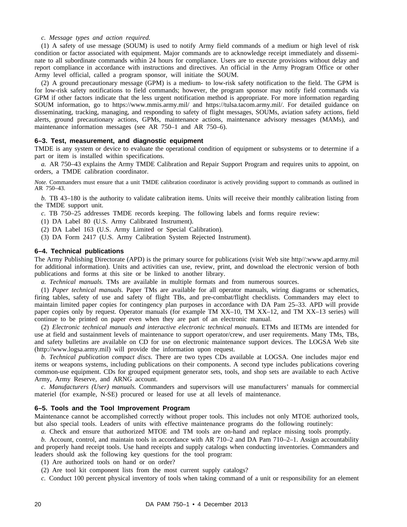#### *c. Message types and action required.*

(1) A safety of use message (SOUM) is used to notify Army field commands of a medium or high level of risk condition or factor associated with equipment. Major commands are to acknowledge receipt immediately and disseminate to all subordinate commands within 24 hours for compliance. Users are to execute provisions without delay and report compliance in accordance with instructions and directives. An official in the Army Program Office or other Army level official, called a program sponsor, will initiate the SOUM.

(2) A ground precautionary message (GPM) is a medium- to low-risk safety notification to the field. The GPM is for low-risk safety notifications to field commands; however, the program sponsor may notify field commands via GPM if other factors indicate that the less urgent notification method is appropriate. For more information regarding SOUM information, go to https://www.mmis.army.mil/ and https://tulsa.tacom.army.mil/. For detailed guidance on disseminating, tracking, managing, and responding to safety of flight messages, SOUMs, aviation safety actions, field alerts, ground precautionary actions, GPMs, maintenance actions, maintenance advisory messages (MAMs), and maintenance information messages (see AR 750–1 and AR 750–6).

#### **6–3. Test, measurement, and diagnostic equipment**

TMDE is any system or device to evaluate the operational condition of equipment or subsystems or to determine if a part or item is installed within specifications.

*a.* AR 750–43 explains the Army TMDE Calibration and Repair Support Program and requires units to appoint, on orders, a TMDE calibration coordinator.

*Note.* Commanders must ensure that a unit TMDE calibration coordinator is actively providing support to commands as outlined in AR 750–43.

*b.* TB 43–180 is the authority to validate calibration items. Units will receive their monthly calibration listing from the TMDE support unit.

- *c.* TB 750–25 addresses TMDE records keeping. The following labels and forms require review:
- (1) DA Label 80 (U.S. Army Calibrated Instrument).
- (2) DA Label 163 (U.S. Army Limited or Special Calibration).
- (3) DA Form 2417 (U.S. Army Calibration System Rejected Instrument).

#### **6–4. Technical publications**

The Army Publishing Directorate (APD) is the primary source for publications (visit Web site http//:www.apd.army.mil for additional information). Units and activities can use, review, print, and download the electronic version of both publications and forms at this site or be linked to another library.

*a. Technical manuals.* TMs are available in multiple formats and from numerous sources.

(1) *Paper technical manuals.* Paper TMs are available for all operator manuals, wiring diagrams or schematics, firing tables, safety of use and safety of flight TBs, and pre-combat/flight checklists. Commanders may elect to maintain limited paper copies for contingency plan purposes in accordance with DA Pam 25–33. APD will provide paper copies only by request. Operator manuals (for example TM XX–10, TM XX–12, and TM XX–13 series) will continue to be printed on paper even when they are part of an electronic manual.

(2) *Electronic technical manuals and interactive electronic technical manuals.* ETMs and IETMs are intended for use at field and sustainment levels of maintenance to support operator/crew, and user requirements. Many TMs, TBs, and safety bulletins are available on CD for use on electronic maintenance support devices. The LOGSA Web site (http://www.logsa.army.mil) will provide the information upon request.

*b. Technical publication compact discs.* There are two types CDs available at LOGSA. One includes major end items or weapons systems, including publications on their components. A second type includes publications covering common-use equipment. CDs for grouped equipment generator sets, tools, and shop sets are available to each Active Army, Army Reserve, and ARNG account.

*c. Manufacturers (User) manuals.* Commanders and supervisors will use manufacturers' manuals for commercial materiel (for example, N-SE) procured or leased for use at all levels of maintenance.

#### **6–5. Tools and the Tool Improvement Program**

Maintenance cannot be accomplished correctly without proper tools. This includes not only MTOE authorized tools, but also special tools. Leaders of units with effective maintenance programs do the following routinely:

*a.* Check and ensure that authorized MTOE and TM tools are on-hand and replace missing tools promptly.

*b.* Account, control, and maintain tools in accordance with AR 710–2 and DA Pam 710–2–1. Assign accountability and properly hand receipt tools. Use hand receipts and supply catalogs when conducting inventories. Commanders and leaders should ask the following key questions for the tool program:

(1) Are authorized tools on hand or on order?

(2) Are tool kit component lists from the most current supply catalogs?

*c.* Conduct 100 percent physical inventory of tools when taking command of a unit or responsibility for an element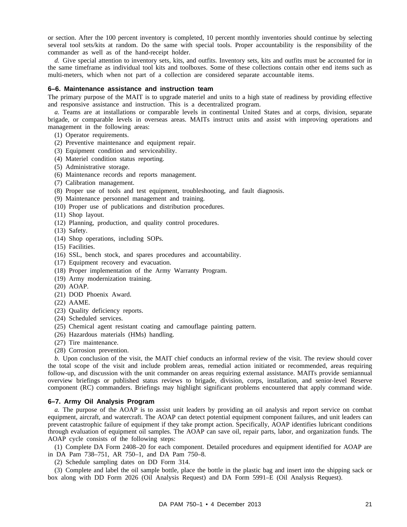or section. After the 100 percent inventory is completed, 10 percent monthly inventories should continue by selecting several tool sets/kits at random. Do the same with special tools. Proper accountability is the responsibility of the commander as well as of the hand-receipt holder.

*d.* Give special attention to inventory sets, kits, and outfits. Inventory sets, kits and outfits must be accounted for in the same timeframe as individual tool kits and toolboxes. Some of these collections contain other end items such as multi-meters, which when not part of a collection are considered separate accountable items.

#### **6–6. Maintenance assistance and instruction team**

The primary purpose of the MAIT is to upgrade materiel and units to a high state of readiness by providing effective and responsive assistance and instruction. This is a decentralized program.

*a.* Teams are at installations or comparable levels in continental United States and at corps, division, separate brigade, or comparable levels in overseas areas. MAITs instruct units and assist with improving operations and management in the following areas:

- (1) Operator requirements.
- (2) Preventive maintenance and equipment repair.
- (3) Equipment condition and serviceability.
- (4) Materiel condition status reporting.
- (5) Administrative storage.
- (6) Maintenance records and reports management.
- (7) Calibration management.
- (8) Proper use of tools and test equipment, troubleshooting, and fault diagnosis.
- (9) Maintenance personnel management and training.
- (10) Proper use of publications and distribution procedures.
- (11) Shop layout.
- (12) Planning, production, and quality control procedures.
- (13) Safety.
- (14) Shop operations, including SOPs.
- (15) Facilities.
- (16) SSL, bench stock, and spares procedures and accountability.
- (17) Equipment recovery and evacuation.
- (18) Proper implementation of the Army Warranty Program.
- (19) Army modernization training.
- (20) AOAP.
- (21) DOD Phoenix Award.
- (22) AAME.
- (23) Quality deficiency reports.
- (24) Scheduled services.
- (25) Chemical agent resistant coating and camouflage painting pattern.
- (26) Hazardous materials (HMs) handling.
- (27) Tire maintenance.
- (28) Corrosion prevention.

*b.* Upon conclusion of the visit, the MAIT chief conducts an informal review of the visit. The review should cover the total scope of the visit and include problem areas, remedial action initiated or recommended, areas requiring follow-up, and discussion with the unit commander on areas requiring external assistance. MAITs provide semiannual overview briefings or published status reviews to brigade, division, corps, installation, and senior-level Reserve component (RC) commanders. Briefings may highlight significant problems encountered that apply command wide.

#### **6–7. Army Oil Analysis Program**

*a.* The purpose of the AOAP is to assist unit leaders by providing an oil analysis and report service on combat equipment, aircraft, and watercraft. The AOAP can detect potential equipment component failures, and unit leaders can prevent catastrophic failure of equipment if they take prompt action. Specifically, AOAP identifies lubricant conditions through evaluation of equipment oil samples. The AOAP can save oil, repair parts, labor, and organization funds. The AOAP cycle consists of the following steps:

(1) Complete DA Form 2408–20 for each component. Detailed procedures and equipment identified for AOAP are in DA Pam 738–751, AR 750–1, and DA Pam 750–8.

(2) Schedule sampling dates on DD Form 314.

(3) Complete and label the oil sample bottle, place the bottle in the plastic bag and insert into the shipping sack or box along with DD Form 2026 (Oil Analysis Request) and DA Form 5991–E (Oil Analysis Request).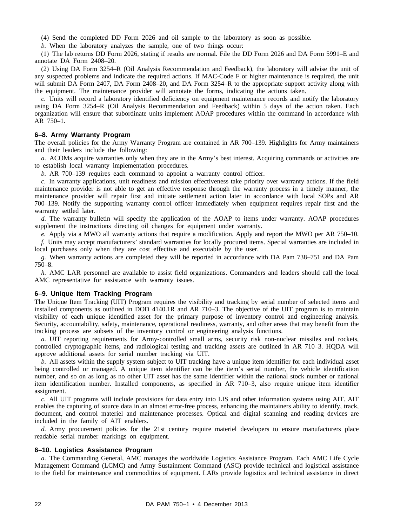(4) Send the completed DD Form 2026 and oil sample to the laboratory as soon as possible.

*b.* When the laboratory analyzes the sample, one of two things occur:

(1) The lab returns DD Form 2026, stating if results are normal. File the DD Form 2026 and DA Form 5991–E and annotate DA Form 2408–20.

(2) Using DA Form 3254–R (Oil Analysis Recommendation and Feedback), the laboratory will advise the unit of any suspected problems and indicate the required actions. If MAC-Code F or higher maintenance is required, the unit will submit DA Form 2407, DA Form 2408–20, and DA Form 3254–R to the appropriate support activity along with the equipment. The maintenance provider will annotate the forms, indicating the actions taken.

*c.* Units will record a laboratory identified deficiency on equipment maintenance records and notify the laboratory using DA Form 3254–R (Oil Analysis Recommendation and Feedback) within 5 days of the action taken. Each organization will ensure that subordinate units implement AOAP procedures within the command in accordance with AR 750–1.

#### **6–8. Army Warranty Program**

The overall policies for the Army Warranty Program are contained in AR 700–139. Highlights for Army maintainers and their leaders include the following:

*a.* ACOMs acquire warranties only when they are in the Army's best interest. Acquiring commands or activities are to establish local warranty implementation procedures.

*b.* AR 700–139 requires each command to appoint a warranty control officer.

*c.* In warranty applications, unit readiness and mission effectiveness take priority over warranty actions. If the field maintenance provider is not able to get an effective response through the warranty process in a timely manner, the maintenance provider will repair first and initiate settlement action later in accordance with local SOPs and AR 700–139. Notify the supporting warranty control officer immediately when equipment requires repair first and the warranty settled later.

*d.* The warranty bulletin will specify the application of the AOAP to items under warranty. AOAP procedures supplement the instructions directing oil changes for equipment under warranty.

*e.* Apply via a MWO all warranty actions that require a modification. Apply and report the MWO per AR 750–10.

*f.* Units may accept manufacturers' standard warranties for locally procured items. Special warranties are included in local purchases only when they are cost effective and executable by the user.

*g.* When warranty actions are completed they will be reported in accordance with DA Pam 738–751 and DA Pam 750–8.

*h.* AMC LAR personnel are available to assist field organizations. Commanders and leaders should call the local AMC representative for assistance with warranty issues.

#### **6–9. Unique Item Tracking Program**

The Unique Item Tracking (UIT) Program requires the visibility and tracking by serial number of selected items and installed components as outlined in DOD 4140.1R and AR 710–3. The objective of the UIT program is to maintain visibility of each unique identified asset for the primary purpose of inventory control and engineering analysis. Security, accountability, safety, maintenance, operational readiness, warranty, and other areas that may benefit from the tracking process are subsets of the inventory control or engineering analysis functions.

*a.* UIT reporting requirements for Army-controlled small arms, security risk non-nuclear missiles and rockets, controlled cryptographic items, and radiological testing and tracking assets are outlined in AR 710–3. HQDA will approve additional assets for serial number tracking via UIT.

*b.* All assets within the supply system subject to UIT tracking have a unique item identifier for each individual asset being controlled or managed. A unique item identifier can be the item's serial number, the vehicle identification number, and so on as long as no other UIT asset has the same identifier within the national stock number or national item identification number. Installed components, as specified in AR 710–3, also require unique item identifier assignment.

*c.* All UIT programs will include provisions for data entry into LIS and other information systems using AIT. AIT enables the capturing of source data in an almost error-free process, enhancing the maintainers ability to identify, track, document, and control materiel and maintenance processes. Optical and digital scanning and reading devices are included in the family of AIT enablers.

*d.* Army procurement policies for the 21st century require materiel developers to ensure manufacturers place readable serial number markings on equipment.

#### **6–10. Logistics Assistance Program**

*a.* The Commanding General, AMC manages the worldwide Logistics Assistance Program. Each AMC Life Cycle Management Command (LCMC) and Army Sustainment Command (ASC) provide technical and logistical assistance to the field for maintenance and commodities of equipment. LARs provide logistics and technical assistance in direct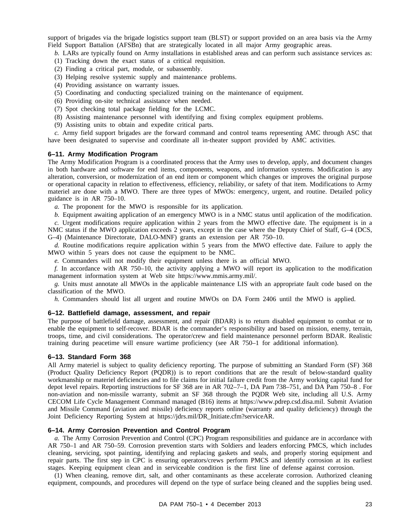support of brigades via the brigade logistics support team (BLST) or support provided on an area basis via the Army Field Support Battalion (AFSBn) that are strategically located in all major Army geographic areas.

*b.* LARs are typically found on Army installations in established areas and can perform such assistance services as:

- (1) Tracking down the exact status of a critical requisition.
- (2) Finding a critical part, module, or subassembly.
- (3) Helping resolve systemic supply and maintenance problems.
- (4) Providing assistance on warranty issues.
- (5) Coordinating and conducting specialized training on the maintenance of equipment.
- (6) Providing on-site technical assistance when needed.
- (7) Spot checking total package fielding for the LCMC.
- (8) Assisting maintenance personnel with identifying and fixing complex equipment problems.
- (9) Assisting units to obtain and expedite critical parts.

*c.* Army field support brigades are the forward command and control teams representing AMC through ASC that have been designated to supervise and coordinate all in-theater support provided by AMC activities.

#### **6–11. Army Modification Program**

The Army Modification Program is a coordinated process that the Army uses to develop, apply, and document changes in both hardware and software for end items, components, weapons, and information systems. Modification is any alteration, conversion, or modernization of an end item or component which changes or improves the original purpose or operational capacity in relation to effectiveness, efficiency, reliability, or safety of that item. Modifications to Army materiel are done with a MWO. There are three types of MWOs: emergency, urgent, and routine. Detailed policy guidance is in AR 750–10.

*a.* The proponent for the MWO is responsible for its application.

*b.* Equipment awaiting application of an emergency MWO is in a NMC status until application of the modification.

*c.* Urgent modifications require application within 2 years from the MWO effective date. The equipment is in a NMC status if the MWO application exceeds 2 years, except in the case where the Deputy Chief of Staff, G-4 (DCS, G–4) (Maintenance Directorate, DALO-MNF) grants an extension per AR 750–10.

*d.* Routine modifications require application within 5 years from the MWO effective date. Failure to apply the MWO within 5 years does not cause the equipment to be NMC.

*e.* Commanders will not modify their equipment unless there is an official MWO.

*f.* In accordance with AR 750–10, the activity applying a MWO will report its application to the modification management information system at Web site https://www.mmis.army.mil/.

*g.* Units must annotate all MWOs in the applicable maintenance LIS with an appropriate fault code based on the classification of the MWO.

*h.* Commanders should list all urgent and routine MWOs on DA Form 2406 until the MWO is applied.

#### **6–12. Battlefield damage, assessment, and repair**

The purpose of battlefield damage, assessment, and repair (BDAR) is to return disabled equipment to combat or to enable the equipment to self-recover. BDAR is the commander's responsibility and based on mission, enemy, terrain, troops, time, and civil considerations. The operator/crew and field maintenance personnel perform BDAR. Realistic training during peacetime will ensure wartime proficiency (see AR 750–1 for additional information).

#### **6–13. Standard Form 368**

All Army materiel is subject to quality deficiency reporting. The purpose of submitting an Standard Form (SF) 368 (Product Quality Deficiency Report (PQDR)) is to report conditions that are the result of below-standard quality workmanship or materiel deficiencies and to file claims for initial failure credit from the Army working capital fund for depot level repairs. Reporting instructions for SF 368 are in AR 702–7–1, DA Pam 738–751, and DA Pam 750–8 . For non-aviation and non-missile warranty, submit an SF 368 through the PQDR Web site, including all U.S. Army CECOM Life Cycle Management Command managed (B16) items at https://www.pdrep.csd.disa.mil. Submit Aviation and Missile Command (aviation and missile) deficiency reports online (warranty and quality deficiency) through the Joint Deficiency Reporting System at https://jdrs.mil/DR\_Initiate.cfm?serviceAR.

#### **6–14. Army Corrosion Prevention and Control Program**

*a.* The Army Corrosion Prevention and Control (CPC) Program responsibilities and guidance are in accordance with AR 750–1 and AR 750–59. Corrosion prevention starts with Soldiers and leaders enforcing PMCS, which includes cleaning, servicing, spot painting, identifying and replacing gaskets and seals, and properly storing equipment and repair parts. The first step in CPC is ensuring operators/crews perform PMCS and identify corrosion at its earliest stages. Keeping equipment clean and in serviceable condition is the first line of defense against corrosion.

(1) When cleaning, remove dirt, salt, and other contaminants as these accelerate corrosion. Authorized cleaning equipment, compounds, and procedures will depend on the type of surface being cleaned and the supplies being used.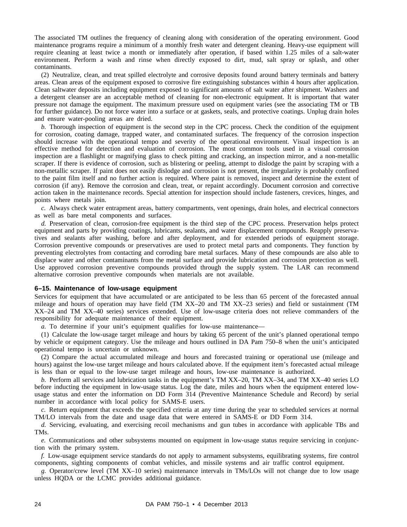The associated TM outlines the frequency of cleaning along with consideration of the operating environment. Good maintenance programs require a minimum of a monthly fresh water and detergent cleaning. Heavy-use equipment will require cleaning at least twice a month or immediately after operation, if based within 1.25 miles of a salt-water environment. Perform a wash and rinse when directly exposed to dirt, mud, salt spray or splash, and other contaminants.

(2) Neutralize, clean, and treat spilled electrolyte and corrosive deposits found around battery terminals and battery areas. Clean areas of the equipment exposed to corrosive fire extinguishing substances within 4 hours after application. Clean saltwater deposits including equipment exposed to significant amounts of salt water after shipment. Washers and a detergent cleanser are an acceptable method of cleaning for non-electronic equipment. It is important that water pressure not damage the equipment. The maximum pressure used on equipment varies (see the associating TM or TB for further guidance). Do not force water into a surface or at gaskets, seals, and protective coatings. Unplug drain holes and ensure water-pooling areas are dried.

*b.* Thorough inspection of equipment is the second step in the CPC process. Check the condition of the equipment for corrosion, coating damage, trapped water, and contaminated surfaces. The frequency of the corrosion inspection should increase with the operational tempo and severity of the operational environment. Visual inspection is an effective method for detection and evaluation of corrosion. The most common tools used in a visual corrosion inspection are a flashlight or magnifying glass to check pitting and cracking, an inspection mirror, and a non-metallic scraper. If there is evidence of corrosion, such as blistering or peeling, attempt to dislodge the paint by scraping with a non-metallic scraper. If paint does not easily dislodge and corrosion is not present, the irregularity is probably confined to the paint film itself and no further action is required. Where paint is removed, inspect and determine the extent of corrosion (if any). Remove the corrosion and clean, treat, or repaint accordingly. Document corrosion and corrective action taken in the maintenance records. Special attention for inspection should include fasteners, crevices, hinges, and points where metals join.

*c.* Always check water entrapment areas, battery compartments, vent openings, drain holes, and electrical connectors as well as bare metal components and surfaces.

*d.* Preservation of clean, corrosion-free equipment is the third step of the CPC process. Preservation helps protect equipment and parts by providing coatings, lubricants, sealants, and water displacement compounds. Reapply preservatives and sealants after washing, before and after deployment, and for extended periods of equipment storage. Corrosion preventive compounds or preservatives are used to protect metal parts and components. They function by preventing electrolytes from contacting and corroding bare metal surfaces. Many of these compounds are also able to displace water and other contaminants from the metal surface and provide lubrication and corrosion protection as well. Use approved corrosion preventive compounds provided through the supply system. The LAR can recommend alternative corrosion preventive compounds when materials are not available.

#### **6–15. Maintenance of low-usage equipment**

Services for equipment that have accumulated or are anticipated to be less than 65 percent of the forecasted annual mileage and hours of operation may have field (TM XX–20 and TM XX–23 series) and field or sustainment (TM XX–24 and TM XX–40 series) services extended. Use of low-usage criteria does not relieve commanders of the responsibility for adequate maintenance of their equipment.

*a.* To determine if your unit's equipment qualifies for low-use maintenance—

(1) Calculate the low-usage target mileage and hours by taking 65 percent of the unit's planned operational tempo by vehicle or equipment category. Use the mileage and hours outlined in DA Pam 750–8 when the unit's anticipated operational tempo is uncertain or unknown.

(2) Compare the actual accumulated mileage and hours and forecasted training or operational use (mileage and hours) against the low-use target mileage and hours calculated above. If the equipment item's forecasted actual mileage is less than or equal to the low-use target mileage and hours, low-use maintenance is authorized.

*b.* Perform all services and lubrication tasks in the equipment's TM XX–20, TM XX–34, and TM XX–40 series LO before inducting the equipment in low-usage status. Log the date, miles and hours when the equipment entered lowusage status and enter the information on DD Form 314 (Preventive Maintenance Schedule and Record) by serial number in accordance with local policy for SAMS-E users.

*c.* Return equipment that exceeds the specified criteria at any time during the year to scheduled services at normal TM/LO intervals from the date and usage data that were entered in SAMS-E or DD Form 314.

*d.* Servicing, evaluating, and exercising recoil mechanisms and gun tubes in accordance with applicable TBs and TMs.

*e.* Communications and other subsystems mounted on equipment in low-usage status require servicing in conjunction with the primary system.

*f.* Low-usage equipment service standards do not apply to armament subsystems, equilibrating systems, fire control components, sighting components of combat vehicles, and missile systems and air traffic control equipment.

*g.* Operator/crew level (TM XX–10 series) maintenance intervals in TMs/LOs will not change due to low usage unless HQDA or the LCMC provides additional guidance.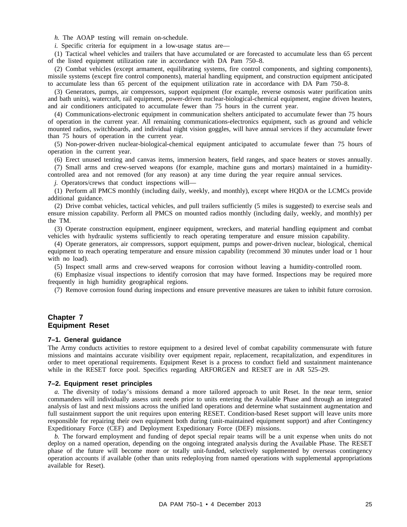*h.* The AOAP testing will remain on-schedule.

*i.* Specific criteria for equipment in a low-usage status are—

(1) Tactical wheel vehicles and trailers that have accumulated or are forecasted to accumulate less than 65 percent of the listed equipment utilization rate in accordance with DA Pam 750–8.

(2) Combat vehicles (except armament, equilibrating systems, fire control components, and sighting components), missile systems (except fire control components), material handling equipment, and construction equipment anticipated to accumulate less than 65 percent of the equipment utilization rate in accordance with DA Pam 750–8.

(3) Generators, pumps, air compressors, support equipment (for example, reverse osmosis water purification units and bath units), watercraft, rail equipment, power-driven nuclear-biological-chemical equipment, engine driven heaters, and air conditioners anticipated to accumulate fewer than 75 hours in the current year.

(4) Communications-electronic equipment in communication shelters anticipated to accumulate fewer than 75 hours of operation in the current year. All remaining communications-electronics equipment, such as ground and vehicle mounted radios, switchboards, and individual night vision goggles, will have annual services if they accumulate fewer than 75 hours of operation in the current year.

(5) Non-power-driven nuclear-biological-chemical equipment anticipated to accumulate fewer than 75 hours of operation in the current year.

(6) Erect unused tenting and canvas items, immersion heaters, field ranges, and space heaters or stoves annually.

(7) Small arms and crew-served weapons (for example, machine guns and mortars) maintained in a humiditycontrolled area and not removed (for any reason) at any time during the year require annual services.

*j.* Operators/crews that conduct inspections will—

(1) Perform all PMCS monthly (including daily, weekly, and monthly), except where HQDA or the LCMCs provide additional guidance.

(2) Drive combat vehicles, tactical vehicles, and pull trailers sufficiently (5 miles is suggested) to exercise seals and ensure mission capability. Perform all PMCS on mounted radios monthly (including daily, weekly, and monthly) per the TM.

(3) Operate construction equipment, engineer equipment, wreckers, and material handling equipment and combat vehicles with hydraulic systems sufficiently to reach operating temperature and ensure mission capability.

(4) Operate generators, air compressors, support equipment, pumps and power-driven nuclear, biological, chemical equipment to reach operating temperature and ensure mission capability (recommend 30 minutes under load or 1 hour with no load).

(5) Inspect small arms and crew-served weapons for corrosion without leaving a humidity-controlled room.

(6) Emphasize visual inspections to identify corrosion that may have formed. Inspections may be required more frequently in high humidity geographical regions.

(7) Remove corrosion found during inspections and ensure preventive measures are taken to inhibit future corrosion.

#### **Chapter 7 Equipment Reset**

#### **7–1. General guidance**

The Army conducts activities to restore equipment to a desired level of combat capability commensurate with future missions and maintains accurate visibility over equipment repair, replacement, recapitalization, and expenditures in order to meet operational requirements. Equipment Reset is a process to conduct field and sustainment maintenance while in the RESET force pool. Specifics regarding ARFORGEN and RESET are in AR 525–29.

#### **7–2. Equipment reset principles**

*a.* The diversity of today's missions demand a more tailored approach to unit Reset. In the near term, senior commanders will individually assess unit needs prior to units entering the Available Phase and through an integrated analysis of last and next missions across the unified land operations and determine what sustainment augmentation and full sustainment support the unit requires upon entering RESET. Condition-based Reset support will leave units more responsible for repairing their own equipment both during (unit-maintained equipment support) and after Contingency Expeditionary Force (CEF) and Deployment Expeditionary Force (DEF) missions.

*b.* The forward employment and funding of depot special repair teams will be a unit expense when units do not deploy on a named operation, depending on the ongoing integrated analysis during the Available Phase. The RESET phase of the future will become more or totally unit-funded, selectively supplemented by overseas contingency operation accounts if available (other than units redeploying from named operations with supplemental appropriations available for Reset).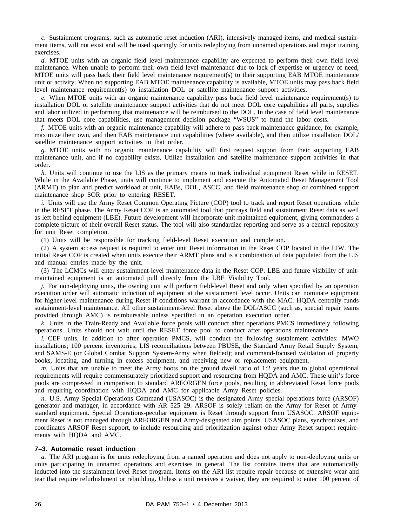*c.* Sustainment programs, such as automatic reset induction (ARI), intensively managed items, and medical sustainment items, will not exist and will be used sparingly for units redeploying from unnamed operations and major training exercises.

*d.* MTOE units with an organic field level maintenance capability are expected to perform their own field level maintenance. When unable to perform their own field level maintenance due to lack of expertise or urgency of need, MTOE units will pass back their field level maintenance requirement(s) to their supporting EAB MTOE maintenance unit or activity. When no supporting EAB MTOE maintenance capability is available, MTOE units may pass back field level maintenance requirement(s) to installation DOL or satellite maintenance support activities.

*e.* When MTOE units with an organic maintenance capability pass back field level maintenance requirement(s) to installation DOL or satellite maintenance support activities that do not meet DOL core capabilities all parts, supplies and labor utilized in performing that maintenance will be reimbursed to the DOL. In the case of field level maintenance that meets DOL core capabilities, use management decision package "WSUS" to fund the labor costs.

*f.* MTOE units with an organic maintenance capability will adhere to pass back maintenance guidance, for example, maximize their own, and then EAB maintenance unit capabilities (where available), and then utilize installation DOL/ satellite maintenance support activities in that order.

*g.* MTOE units with no organic maintenance capability will first request support from their supporting EAB maintenance unit, and if no capability exists, Utilize installation and satellite maintenance support activities in that order.

*h.* Units will continue to use the LIS as the primary means to track individual equipment Reset while in RESET. While in the Available Phase, units will continue to implement and execute the Automated Reset Management Tool (ARMT) to plan and predict workload at unit, EABs, DOL, ASCC, and field maintenance shop or combined support maintenance shop SOR prior to entering RESET.

*i.* Units will use the Army Reset Common Operating Picture (COP) tool to track and report Reset operations while in the RESET phase. The Army Reset COP is an automated tool that portrays field and sustainment Reset data as well as left behind equipment (LBE). Future development will incorporate unit-maintained equipment, giving commanders a complete picture of their overall Reset status. The tool will also standardize reporting and serve as a central repository for unit Reset completion.

(1) Units will be responsible for tracking field-level Reset execution and completion.

(2) A system access request is required to enter unit Reset information in the Reset COP located in the LIW. The initial Reset COP is created when units execute their ARMT plans and is a combination of data populated from the LIS and manual entries made by the unit.

(3) The LCMCs will enter sustainment-level maintenance data in the Reset COP. LBE and future visibility of unitmaintained equipment is an automated pull directly from the LBE Visibility Tool.

*j.* For non-deploying units, the owning unit will perform field-level Reset and only when specified by an operation execution order will automatic induction of equipment at the sustainment level occur. Units can nominate equipment for higher-level maintenance during Reset if conditions warrant in accordance with the MAC. HQDA centrally funds sustainment-level maintenance. All other sustainment-level Reset above the DOL/ASCC (such as, special repair teams provided through AMC) is reimbursable unless specified in an operation execution order.

*k.* Units in the Train-Ready and Available force pools will conduct after operations PMCS immediately following operations. Units should not wait until the RESET force pool to conduct after operations maintenance.

*l.* CEF units, in addition to after operation PMCS, will conduct the following sustainment activities: MWO installations; 100 percent inventories; LIS reconciliations between PBUSE, the Standard Army Retail Supply System, and SAMS-E (or Global Combat Support System-Army when fielded); and command-focused validation of property books, locating, and turning in excess equipment, and receiving new or replacement equipment.

*m.* Units that are unable to meet the Army boots on the ground dwell ratio of 1:2 years due to global operational requirements will require commensurately prioritized support and resourcing from HQDA and AMC. These unit's force pools are compressed in comparison to standard ARFORGEN force pools, resulting in abbreviated Reset force pools and requiring coordination with HQDA and AMC for applicable Army Reset policies.

*n.* U.S. Army Special Operations Command (USASOC) is the designated Army special operations force (ARSOF) generator and manager, in accordance with AR 525–29. ARSOF is solely reliant on the Army for Reset of Armystandard equipment. Special Operations-peculiar equipment is Reset through support from USASOC. ARSOF equipment Reset is not managed through ARFORGEN and Army-designated aim points. USASOC plans, synchronizes, and coordinates ARSOF Reset support, to include resourcing and prioritization against other Army Reset support requirements with HQDA and AMC.

#### **7–3. Automatic reset induction**

*a.* The ARI program is for units redeploying from a named operation and does not apply to non-deploying units or units participating in unnamed operations and exercises in general. The list contains items that are automatically inducted into the sustainment level Reset program. Items on the ARI list require repair because of extensive wear and tear that require refurbishment or rebuilding. Unless a unit receives a waiver, they are required to enter 100 percent of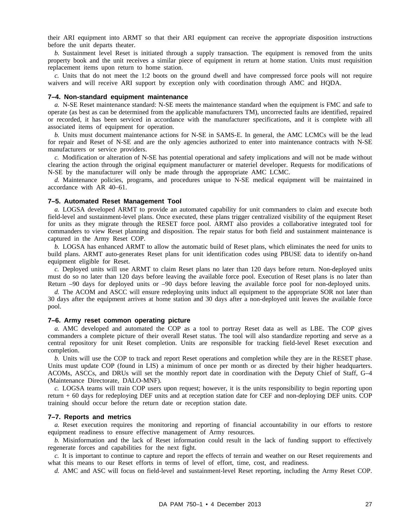their ARI equipment into ARMT so that their ARI equipment can receive the appropriate disposition instructions before the unit departs theater.

*b.* Sustainment level Reset is initiated through a supply transaction. The equipment is removed from the units property book and the unit receives a similar piece of equipment in return at home station. Units must requisition replacement items upon return to home station.

*c.* Units that do not meet the 1:2 boots on the ground dwell and have compressed force pools will not require waivers and will receive ARI support by exception only with coordination through AMC and HQDA.

#### **7–4. Non-standard equipment maintenance**

*a.* N-SE Reset maintenance standard: N-SE meets the maintenance standard when the equipment is FMC and safe to operate (as best as can be determined from the applicable manufacturers TM), uncorrected faults are identified, repaired or recorded, it has been serviced in accordance with the manufacturer specifications, and it is complete with all associated items of equipment for operation.

*b.* Units must document maintenance actions for N-SE in SAMS-E. In general, the AMC LCMCs will be the lead for repair and Reset of N-SE and are the only agencies authorized to enter into maintenance contracts with N-SE manufacturers or service providers.

*c.* Modification or alteration of N-SE has potential operational and safety implications and will not be made without clearing the action through the original equipment manufacturer or materiel developer. Requests for modifications of N-SE by the manufacturer will only be made through the appropriate AMC LCMC.

*d.* Maintenance policies, programs, and procedures unique to N-SE medical equipment will be maintained in accordance with AR 40–61.

#### **7–5. Automated Reset Management Tool**

*a.* LOGSA developed ARMT to provide an automated capability for unit commanders to claim and execute both field-level and sustainment-level plans. Once executed, these plans trigger centralized visibility of the equipment Reset for units as they migrate through the RESET force pool. ARMT also provides a collaborative integrated tool for commanders to view Reset planning and disposition. The repair status for both field and sustainment maintenance is captured in the Army Reset COP.

*b.* LOGSA has enhanced ARMT to allow the automatic build of Reset plans, which eliminates the need for units to build plans. ARMT auto-generates Reset plans for unit identification codes using PBUSE data to identify on-hand equipment eligible for Reset.

*c.* Deployed units will use ARMT to claim Reset plans no later than 120 days before return. Non-deployed units must do so no later than 120 days before leaving the available force pool. Execution of Reset plans is no later than Return –90 days for deployed units or –90 days before leaving the available force pool for non-deployed units.

*d.* The ACOM and ASCC will ensure redeploying units induct all equipment to the appropriate SOR not later than 30 days after the equipment arrives at home station and 30 days after a non-deployed unit leaves the available force pool.

#### **7–6. Army reset common operating picture**

*a.* AMC developed and automated the COP as a tool to portray Reset data as well as LBE. The COP gives commanders a complete picture of their overall Reset status. The tool will also standardize reporting and serve as a central repository for unit Reset completion. Units are responsible for tracking field-level Reset execution and completion.

*b.* Units will use the COP to track and report Reset operations and completion while they are in the RESET phase. Units must update COP (found in LIS) a minimum of once per month or as directed by their higher headquarters. ACOMs, ASCCs, and DRUs will set the monthly report date in coordination with the Deputy Chief of Staff, G–4 (Maintenance Directorate, DALO-MNF).

*c.* LOGSA teams will train COP users upon request; however, it is the units responsibility to begin reporting upon return + 60 days for redeploying DEF units and at reception station date for CEF and non-deploying DEF units. COP training should occur before the return date or reception station date.

#### **7–7. Reports and metrics**

*a.* Reset execution requires the monitoring and reporting of financial accountability in our efforts to restore equipment readiness to ensure effective management of Army resources.

*b.* Misinformation and the lack of Reset information could result in the lack of funding support to effectively regenerate forces and capabilities for the next fight.

*c.* It is important to continue to capture and report the effects of terrain and weather on our Reset requirements and what this means to our Reset efforts in terms of level of effort, time, cost, and readiness.

*d.* AMC and ASC will focus on field-level and sustainment-level Reset reporting, including the Army Reset COP.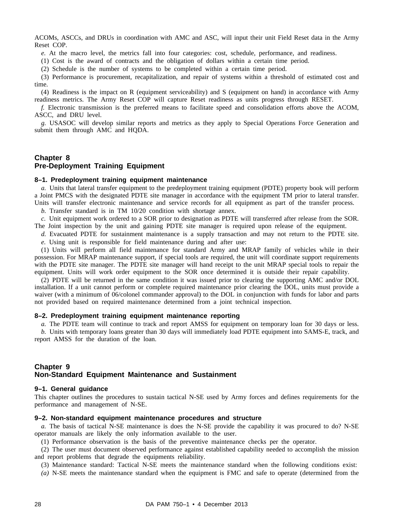ACOMs, ASCCs, and DRUs in coordination with AMC and ASC, will input their unit Field Reset data in the Army Reset COP.

*e.* At the macro level, the metrics fall into four categories: cost, schedule, performance, and readiness.

(1) Cost is the award of contracts and the obligation of dollars within a certain time period.

(2) Schedule is the number of systems to be completed within a certain time period.

(3) Performance is procurement, recapitalization, and repair of systems within a threshold of estimated cost and time.

(4) Readiness is the impact on R (equipment serviceability) and S (equipment on hand) in accordance with Army readiness metrics. The Army Reset COP will capture Reset readiness as units progress through RESET.

*f.* Electronic transmission is the preferred means to facilitate speed and consolidation efforts above the ACOM, ASCC, and DRU level.

*g.* USASOC will develop similar reports and metrics as they apply to Special Operations Force Generation and submit them through AMC and HQDA.

# **Chapter 8 Pre-Deployment Training Equipment**

#### **8–1. Predeployment training equipment maintenance**

*a.* Units that lateral transfer equipment to the predeployment training equipment (PDTE) property book will perform a Joint PMCS with the designated PDTE site manager in accordance with the equipment TM prior to lateral transfer. Units will transfer electronic maintenance and service records for all equipment as part of the transfer process.

*b.* Transfer standard is in TM 10/20 condition with shortage annex.

*c.* Unit equipment work ordered to a SOR prior to designation as PDTE will transferred after release from the SOR. The Joint inspection by the unit and gaining PDTE site manager is required upon release of the equipment.

*d.* Evacuated PDTE for sustainment maintenance is a supply transaction and may not return to the PDTE site. *e.* Using unit is responsible for field maintenance during and after use:

(1) Units will perform all field maintenance for standard Army and MRAP family of vehicles while in their possession. For MRAP maintenance support, if special tools are required, the unit will coordinate support requirements with the PDTE site manager. The PDTE site manager will hand receipt to the unit MRAP special tools to repair the equipment. Units will work order equipment to the SOR once determined it is outside their repair capability.

(2) PDTE will be returned in the same condition it was issued prior to clearing the supporting AMC and/or DOL installation. If a unit cannot perform or complete required maintenance prior clearing the DOL, units must provide a waiver (with a minimum of 06/colonel commander approval) to the DOL in conjunction with funds for labor and parts not provided based on required maintenance determined from a joint technical inspection.

#### **8–2. Predeployment training equipment maintenance reporting**

*a.* The PDTE team will continue to track and report AMSS for equipment on temporary loan for 30 days or less.

*b.* Units with temporary loans greater than 30 days will immediately load PDTE equipment into SAMS-E, track, and report AMSS for the duration of the loan.

# **Chapter 9 Non-Standard Equipment Maintenance and Sustainment**

#### **9–1. General guidance**

This chapter outlines the procedures to sustain tactical N-SE used by Army forces and defines requirements for the performance and management of N-SE.

#### **9–2. Non-standard equipment maintenance procedures and structure**

*a.* The basis of tactical N-SE maintenance is does the N-SE provide the capability it was procured to do? N-SE operator manuals are likely the only information available to the user.

(1) Performance observation is the basis of the preventive maintenance checks per the operator.

(2) The user must document observed performance against established capability needed to accomplish the mission and report problems that degrade the equipments reliability.

(3) Maintenance standard: Tactical N-SE meets the maintenance standard when the following conditions exist:

*(a)* N-SE meets the maintenance standard when the equipment is FMC and safe to operate (determined from the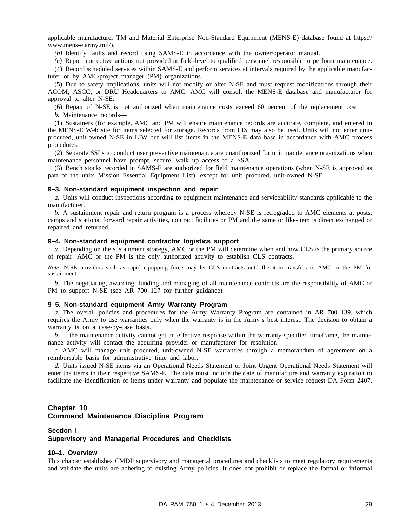applicable manufacturer TM and Material Enterprise Non-Standard Equipment (MENS-E) database found at https:// www.mens-e.army.mil/).

*(b)* Identify faults and record using SAMS-E in accordance with the owner/operator manual.

*(c)* Report corrective actions not provided at field-level to qualified personnel responsible to perform maintenance.

(4) Record scheduled services within SAMS-E and perform services at intervals required by the applicable manufacturer or by AMC/project manager (PM) organizations.

(5) Due to safety implications, units will not modify or alter N-SE and must request modifications through their ACOM, ASCC, or DRU Headquarters to AMC. AMC will consult the MENS-E database and manufacturer for approval to alter N-SE.

(6) Repair of N-SE is not authorized when maintenance costs exceed 60 percent of the replacement cost.

*b.* Maintenance records—

(1) Sustainers (for example, AMC and PM will ensure maintenance records are accurate, complete, and entered in the MENS-E Web site for items selected for storage. Records from LIS may also be used. Units will not enter unitprocured, unit-owned N-SE in LIW but will list items in the MENS-E data base in accordance with AMC process procedures.

(2) Separate SSLs to conduct user preventive maintenance are unauthorized for unit maintenance organizations when maintenance personnel have prompt, secure, walk up access to a SSA.

(3) Bench stocks recorded in SAMS-E are authorized for field maintenance operations (when N-SE is approved as part of the units Mission Essential Equipment List), except for unit procured, unit-owned N-SE.

#### **9–3. Non-standard equipment inspection and repair**

*a.* Units will conduct inspections according to equipment maintenance and serviceability standards applicable to the manufacturer.

*b.* A sustainment repair and return program is a process whereby N-SE is retrograded to AMC elements at posts, camps and stations, forward repair activities, contract facilities or PM and the same or like-item is direct exchanged or repaired and returned.

#### **9–4. Non-standard equipment contractor logistics support**

*a.* Depending on the sustainment strategy, AMC or the PM will determine when and how CLS is the primary source of repair. AMC or the PM is the only authorized activity to establish CLS contracts.

*Note.* N-SE providers such as rapid equipping force may let CLS contracts until the item transfers to AMC or the PM for sustainment.

*b.* The negotiating, awarding, funding and managing of all maintenance contracts are the responsibility of AMC or PM to support N-SE (see AR 700–127 for further guidance).

#### **9–5. Non-standard equipment Army Warranty Program**

*a.* The overall policies and procedures for the Army Warranty Program are contained in AR 700–139, which requires the Army to use warranties only when the warranty is in the Army's best interest. The decision to obtain a warranty is on a case-by-case basis.

*b.* If the maintenance activity cannot get an effective response within the warranty-specified timeframe, the maintenance activity will contact the acquiring provider or manufacturer for resolution.

*c.* AMC will manage unit procured, unit-owned N-SE warranties through a memorandum of agreement on a reimbursable basis for administrative time and labor.

*d.* Units issued N-SE items via an Operational Needs Statement or Joint Urgent Operational Needs Statement will enter the items in their respective SAMS-E. The data must include the date of manufacture and warranty expiration to facilitate the identification of items under warranty and populate the maintenance or service request DA Form 2407.

# **Chapter 10 Command Maintenance Discipline Program**

#### **Section I Supervisory and Managerial Procedures and Checklists**

#### **10–1. Overview**

This chapter establishes CMDP supervisory and managerial procedures and checklists to meet regulatory requirements and validate the units are adhering to existing Army policies. It does not prohibit or replace the formal or informal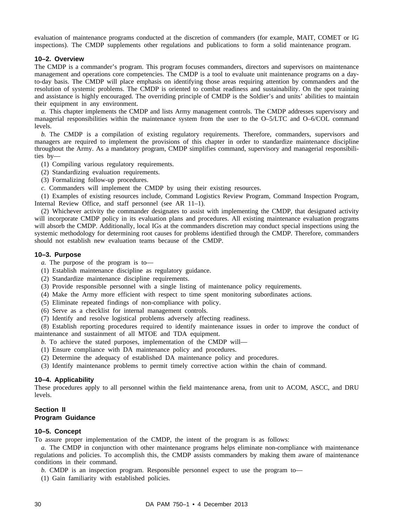evaluation of maintenance programs conducted at the discretion of commanders (for example, MAIT, COMET or IG inspections). The CMDP supplements other regulations and publications to form a solid maintenance program.

#### **10–2. Overview**

The CMDP is a commander's program. This program focuses commanders, directors and supervisors on maintenance management and operations core competencies. The CMDP is a tool to evaluate unit maintenance programs on a dayto-day basis. The CMDP will place emphasis on identifying those areas requiring attention by commanders and the resolution of systemic problems. The CMDP is oriented to combat readiness and sustainability. On the spot training and assistance is highly encouraged. The overriding principle of CMDP is the Soldier's and units' abilities to maintain their equipment in any environment.

*a.* This chapter implements the CMDP and lists Army management controls. The CMDP addresses supervisory and managerial responsibilities within the maintenance system from the user to the O–5/LTC and O–6/COL command levels.

*b.* The CMDP is a compilation of existing regulatory requirements. Therefore, commanders, supervisors and managers are required to implement the provisions of this chapter in order to standardize maintenance discipline throughout the Army. As a mandatory program, CMDP simplifies command, supervisory and managerial responsibilities by—

- (1) Compiling various regulatory requirements.
- (2) Standardizing evaluation requirements.
- (3) Formalizing follow-up procedures.
- *c.* Commanders will implement the CMDP by using their existing resources.

(1) Examples of existing resources include, Command Logistics Review Program, Command Inspection Program, Internal Review Office, and staff personnel (see AR 11–1).

(2) Whichever activity the commander designates to assist with implementing the CMDP, that designated activity will incorporate CMDP policy in its evaluation plans and procedures. All existing maintenance evaluation programs will absorb the CMDP. Additionally, local IGs at the commanders discretion may conduct special inspections using the systemic methodology for determining root causes for problems identified through the CMDP. Therefore, commanders should not establish new evaluation teams because of the CMDP.

#### **10–3. Purpose**

*a.* The purpose of the program is to—

- (1) Establish maintenance discipline as regulatory guidance.
- (2) Standardize maintenance discipline requirements.
- (3) Provide responsible personnel with a single listing of maintenance policy requirements.
- (4) Make the Army more efficient with respect to time spent monitoring subordinates actions.
- (5) Eliminate repeated findings of non-compliance with policy.
- (6) Serve as a checklist for internal management controls.
- (7) Identify and resolve logistical problems adversely affecting readiness.

(8) Establish reporting procedures required to identify maintenance issues in order to improve the conduct of maintenance and sustainment of all MTOE and TDA equipment.

- *b.* To achieve the stated purposes, implementation of the CMDP will—
- (1) Ensure compliance with DA maintenance policy and procedures.
- (2) Determine the adequacy of established DA maintenance policy and procedures.
- (3) Identify maintenance problems to permit timely corrective action within the chain of command.

#### **10–4. Applicability**

These procedures apply to all personnel within the field maintenance arena, from unit to ACOM, ASCC, and DRU levels.

# **Section II Program Guidance**

#### **10–5. Concept**

To assure proper implementation of the CMDP, the intent of the program is as follows:

*a.* The CMDP in conjunction with other maintenance programs helps eliminate non-compliance with maintenance regulations and policies. To accomplish this, the CMDP assists commanders by making them aware of maintenance conditions in their command.

- *b.* **CMDP** is an inspection program. Responsible personnel expect to use the program to—
- (1) Gain familiarity with established policies.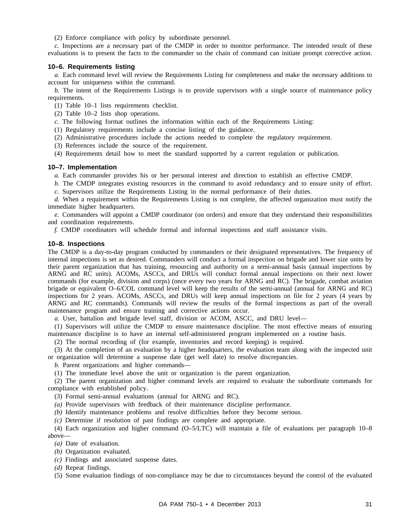(2) Enforce compliance with policy by subordinate personnel.

*c.* Inspections are a necessary part of the CMDP in order to monitor performance. The intended result of these evaluations is to present the facts to the commander so the chain of command can initiate prompt corrective action.

#### **10–6. Requirements listing**

*a.* Each command level will review the Requirements Listing for completeness and make the necessary additions to account for uniqueness within the command.

*b.* The intent of the Requirements Listings is to provide supervisors with a single source of maintenance policy requirements.

(1) Table 10–1 lists requirements checklist.

(2) Table 10–2 lists shop operations.

- *c.* The following format outlines the information within each of the Requirements Listing:
- (1) Regulatory requirements include a concise listing of the guidance.
- (2) Administrative procedures include the actions needed to complete the regulatory requirement.
- (3) References include the source of the requirement.
- (4) Requirements detail how to meet the standard supported by a current regulation or publication.

#### **10–7. Implementation**

*a.* Each commander provides his or her personal interest and direction to establish an effective CMDP.

*b.* The CMDP integrates existing resources in the command to avoid redundancy and to ensure unity of effort. *c.* Supervisors utilize the Requirements Listing in the normal performance of their duties.

*d.* When a requirement within the Requirements Listing is not complete, the affected organization must notify the immediate higher headquarters.

*e.* Commanders will appoint a CMDP coordinator (on orders) and ensure that they understand their responsibilities and coordination requirements.

*f.* CMDP coordinators will schedule formal and informal inspections and staff assistance visits.

#### **10–8. Inspections**

The CMDP is a day-to-day program conducted by commanders or their designated representatives. The frequency of internal inspections is set as desired. Commanders will conduct a formal inspection on brigade and lower size units by their parent organization that has training, resourcing and authority on a semi-annual basis (annual inspections by ARNG and RC units). ACOMs, ASCCs, and DRUs will conduct formal annual inspections on their next lower commands (for example, division and corps) (once every two years for ARNG and RC). The brigade, combat aviation brigade or equivalent O–6/COL command level will keep the results of the semi-annual (annual for ARNG and RC) inspections for 2 years. ACOMs, ASCCs, and DRUs will keep annual inspections on file for 2 years (4 years by ARNG and RC commands). Commands will review the results of the formal inspections as part of the overall maintenance program and ensure training and corrective actions occur.

*a.* User, battalion and brigade level staff, division or ACOM, ASCC, and DRU level—

(1) Supervisors will utilize the CMDP to ensure maintenance discipline. The most effective means of ensuring maintenance discipline is to have an internal self-administered program implemented on a routine basis.

(2) The normal recording of (for example, inventories and record keeping) is required.

(3) At the completion of an evaluation by a higher headquarters, the evaluation team along with the inspected unit or organization will determine a suspense date (get well date) to resolve discrepancies.

*b.* Parent organizations and higher commands—

(1) The immediate level above the unit or organization is the parent organization.

(2) The parent organization and higher command levels are required to evaluate the subordinate commands for compliance with established policy.

(3) Formal semi-annual evaluations (annual for ARNG and RC).

*(a)* Provide supervisors with feedback of their maintenance discipline performance.

*(b)* Identify maintenance problems and resolve difficulties before they become serious.

*(c)* Determine if resolution of past findings are complete and appropriate.

(4) Each organization and higher command (O–5/LTC) will maintain a file of evaluations per paragraph 10–8 above—

- *(a)* Date of evaluation.
- *(b)* Organization evaluated.

*(c)* Findings and associated suspense dates.

*(d)* Repeat findings.

(5) Some evaluation findings of non-compliance may be due to circumstances beyond the control of the evaluated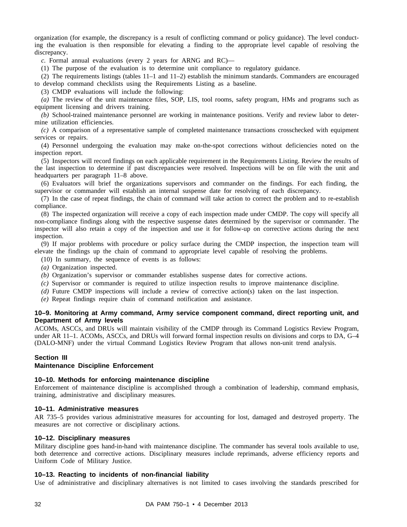organization (for example, the discrepancy is a result of conflicting command or policy guidance). The level conducting the evaluation is then responsible for elevating a finding to the appropriate level capable of resolving the discrepancy.

*c.* Formal annual evaluations (every 2 years for ARNG and RC)—

(1) The purpose of the evaluation is to determine unit compliance to regulatory guidance.

(2) The requirements listings (tables 11–1 and 11–2) establish the minimum standards. Commanders are encouraged to develop command checklists using the Requirements Listing as a baseline.

(3) CMDP evaluations will include the following:

*(a)* The review of the unit maintenance files, SOP, LIS, tool rooms, safety program, HMs and programs such as equipment licensing and drivers training.

*(b)* School-trained maintenance personnel are working in maintenance positions. Verify and review labor to determine utilization efficiencies.

*(c)* A comparison of a representative sample of completed maintenance transactions crosschecked with equipment services or repairs.

(4) Personnel undergoing the evaluation may make on-the-spot corrections without deficiencies noted on the inspection report.

(5) Inspectors will record findings on each applicable requirement in the Requirements Listing. Review the results of the last inspection to determine if past discrepancies were resolved. Inspections will be on file with the unit and headquarters per paragraph 11–8 above.

(6) Evaluators will brief the organizations supervisors and commander on the findings. For each finding, the supervisor or commander will establish an internal suspense date for resolving of each discrepancy.

(7) In the case of repeat findings, the chain of command will take action to correct the problem and to re-establish compliance.

(8) The inspected organization will receive a copy of each inspection made under CMDP. The copy will specify all non-compliance findings along with the respective suspense dates determined by the supervisor or commander. The inspector will also retain a copy of the inspection and use it for follow-up on corrective actions during the next inspection.

(9) If major problems with procedure or policy surface during the CMDP inspection, the inspection team will elevate the findings up the chain of command to appropriate level capable of resolving the problems.

(10) In summary, the sequence of events is as follows:

*(a)* Organization inspected.

*(b)* Organization's supervisor or commander establishes suspense dates for corrective actions.

- *(c)* Supervisor or commander is required to utilize inspection results to improve maintenance discipline.
- *(d)* Future CMDP inspections will include a review of corrective action(s) taken on the last inspection.
- *(e)* Repeat findings require chain of command notification and assistance.

#### **10–9. Monitoring at Army command, Army service component command, direct reporting unit, and Department of Army levels**

ACOMs, ASCCs, and DRUs will maintain visibility of the CMDP through its Command Logistics Review Program, under AR 11–1. ACOMs, ASCCs, and DRUs will forward formal inspection results on divisions and corps to DA, G–4 (DALO-MNF) under the virtual Command Logistics Review Program that allows non-unit trend analysis.

#### **Section III**

#### **Maintenance Discipline Enforcement**

#### **10–10. Methods for enforcing maintenance discipline**

Enforcement of maintenance discipline is accomplished through a combination of leadership, command emphasis, training, administrative and disciplinary measures.

#### **10–11. Administrative measures**

AR 735–5 provides various administrative measures for accounting for lost, damaged and destroyed property. The measures are not corrective or disciplinary actions.

#### **10–12. Disciplinary measures**

Military discipline goes hand-in-hand with maintenance discipline. The commander has several tools available to use, both deterrence and corrective actions. Disciplinary measures include reprimands, adverse efficiency reports and Uniform Code of Military Justice.

#### **10–13. Reacting to incidents of non-financial liability**

Use of administrative and disciplinary alternatives is not limited to cases involving the standards prescribed for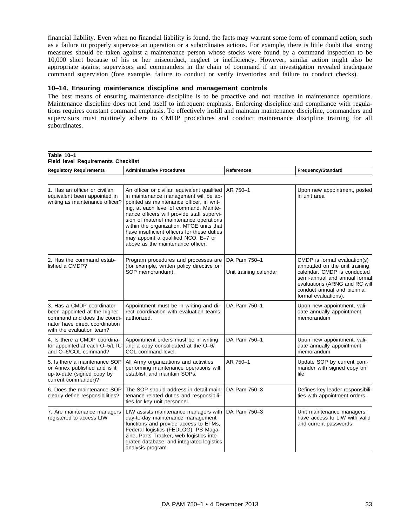financial liability. Even when no financial liability is found, the facts may warrant some form of command action, such as a failure to properly supervise an operation or a subordinates actions. For example, there is little doubt that strong measures should be taken against a maintenance person whose stocks were found by a command inspection to be 10,000 short because of his or her misconduct, neglect or inefficiency. However, similar action might also be appropriate against supervisors and commanders in the chain of command if an investigation revealed inadequate command supervision (fore example, failure to conduct or verify inventories and failure to conduct checks).

#### **10–14. Ensuring maintenance discipline and management controls**

The best means of ensuring maintenance discipline is to be proactive and not reactive in maintenance operations. Maintenance discipline does not lend itself to infrequent emphasis. Enforcing discipline and compliance with regulations requires constant command emphasis. To effectively instill and maintain maintenance discipline, commanders and supervisors must routinely adhere to CMDP procedures and conduct maintenance discipline training for all subordinates.

| Table 10-1<br><b>Field level Requirements Checklist</b>                                                                                                  |                                                                                                                                                                                                                                                                                                                                                                                                                                            |                                        |                                                                                                                                                                                                                        |
|----------------------------------------------------------------------------------------------------------------------------------------------------------|--------------------------------------------------------------------------------------------------------------------------------------------------------------------------------------------------------------------------------------------------------------------------------------------------------------------------------------------------------------------------------------------------------------------------------------------|----------------------------------------|------------------------------------------------------------------------------------------------------------------------------------------------------------------------------------------------------------------------|
| <b>Regulatory Requirements</b>                                                                                                                           | <b>Administrative Procedures</b>                                                                                                                                                                                                                                                                                                                                                                                                           | <b>References</b>                      | Frequency/Standard                                                                                                                                                                                                     |
|                                                                                                                                                          |                                                                                                                                                                                                                                                                                                                                                                                                                                            |                                        |                                                                                                                                                                                                                        |
| 1. Has an officer or civilian<br>equivalent been appointed in<br>writing as maintenance officer?                                                         | An officer or civilian equivalent qualified<br>in maintenance management will be ap-<br>pointed as maintenance officer, in writ-<br>ing, at each level of command. Mainte-<br>nance officers will provide staff supervi-<br>sion of materiel maintenance operations<br>within the organization. MTOE units that<br>have insufficient officers for these duties<br>may appoint a qualified NCO, E-7 or<br>above as the maintenance officer. | AR 750-1                               | Upon new appointment, posted<br>in unit area                                                                                                                                                                           |
| 2. Has the command estab-<br>lished a CMDP?                                                                                                              | Program procedures and processes are<br>(for example, written policy directive or<br>SOP memorandum).                                                                                                                                                                                                                                                                                                                                      | DA Pam 750-1<br>Unit training calendar | CMDP is formal evaluation(s)<br>annotated on the unit training<br>calendar. CMDP is conducted<br>semi-annual and annual formal<br>evaluations (ARNG and RC will<br>conduct annual and biennial<br>formal evaluations). |
| 3. Has a CMDP coordinator<br>been appointed at the higher<br>command and does the coordi-<br>nator have direct coordination<br>with the evaluation team? | Appointment must be in writing and di-<br>rect coordination with evaluation teams<br>authorized.                                                                                                                                                                                                                                                                                                                                           | DA Pam 750-1                           | Upon new appointment, vali-<br>date annually appointment<br>memorandum                                                                                                                                                 |
| 4. Is there a CMDP coordina-<br>tor appointed at each O-5/LTC<br>and O-6/COL command?                                                                    | Appointment orders must be in writing<br>and a copy consolidated at the O-6/<br>COL command-level.                                                                                                                                                                                                                                                                                                                                         | DA Pam 750-1                           | Upon new appointment, vali-<br>date annually appointment<br>memorandum                                                                                                                                                 |
| 5. Is there a maintenance SOP<br>or Annex published and is it<br>up-to-date (signed copy by<br>current commander)?                                       | All Army organizations and activities<br>performing maintenance operations will<br>establish and maintain SOPs.                                                                                                                                                                                                                                                                                                                            | AR 750-1                               | Update SOP by current com-<br>mander with signed copy on<br>file                                                                                                                                                       |
| 6. Does the maintenance SOP<br>clearly define responsibilities?                                                                                          | The SOP should address in detail main-<br>tenance related duties and responsibili-<br>ties for key unit personnel.                                                                                                                                                                                                                                                                                                                         | DA Pam 750-3                           | Defines key leader responsibili-<br>ties with appointment orders.                                                                                                                                                      |
| 7. Are maintenance managers<br>registered to access LIW                                                                                                  | LIW assists maintenance managers with<br>day-to-day maintenance management<br>functions and provide access to ETMs,<br>Federal logistics (FEDLOG), PS Maga-<br>zine, Parts Tracker, web logistics inte-<br>grated database, and integrated logistics<br>analysis program.                                                                                                                                                                  | DA Pam 750-3                           | Unit maintenance managers<br>have access to LIW with valid<br>and current passwords                                                                                                                                    |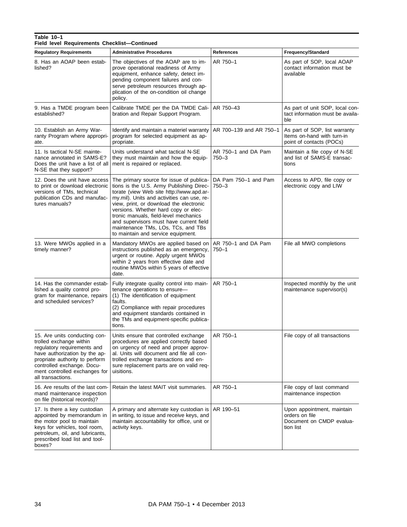#### **Field level Requirements Checklist—Continued** Regulatory Requirements Administrative Procedures **References** References **References** Regulatory Standard 8. Has an AOAP been established? The objectives of the AOAP are to improve operational readiness of Army equipment, enhance safety, detect impending component failures and conserve petroleum resources through application of the on-condition oil change policy. AR 750–1 As part of SOP, local AOAP contact information must be available 9. Has a TMDE program been established? Calibrate TMDE per the DA TMDE Calibration and Repair Support Program. AR 750–43 As part of unit SOP, local contact information must be available 10. Establish an Army Warranty Program where appropriate. Identify and maintain a materiel warranty program for selected equipment as appropriate. AR 700–139 and AR 750–1  $\vert$  As part of SOP, list warranty Items on-hand with turn-in point of contacts (POCs) 11. Is tactical N-SE maintenance annotated in SAMS-E? Does the unit have a list of all N-SE that they support? Units understand what tactical N-SE they must maintain and how the equipment is repaired or replaced. AR 750–1 and DA Pam 750–3 Maintain a file copy of N-SE and list of SAMS-E transactions 12. Does the unit have access to print or download electronic versions of TMs, technical publication CDs and manufactures manuals? The primary source for issue of publications is the U.S. Army Publishing Directorate (view Web site http://www.apd.army.mil). Units and activities can use, review, print, or download the electronic versions. Whether hard copy or electronic manuals, field-level mechanics and supervisors must have current field maintenance TMs, LOs, TCs, and TBs to maintain and service equipment. DA Pam 750–1 and Pam 750–3 Access to APD, file copy or electronic copy and LIW 13. Were MWOs applied in a timely manner? Mandatory MWOs are applied based on instructions published as an emergency, urgent or routine. Apply urgent MWOs within 2 years from effective date and routine MWOs within 5 years of effective date. AR 750–1 and DA Pam 750–1 File all MWO completions 14. Has the commander established a quality control program for maintenance, repairs and scheduled services? Fully integrate quality control into maintenance operations to ensure— (1) The identification of equipment faults. (2) Compliance with repair procedures and equipment standards contained in the TMs and equipment-specific publications. AR 750–1 **I** Inspected monthly by the unit maintenance supervisor(s) 15. Are units conducting controlled exchange within regulatory requirements and have authorization by the appropriate authority to perform controlled exchange. Document controlled exchanges for all transactions. Units ensure that controlled exchange procedures are applied correctly based on urgency of need and proper approval. Units will document and file all controlled exchange transactions and ensure replacement parts are on valid requisitions. AR 750–1 File copy of all transactions 16. Are results of the last command maintenance inspection on file (historical records)? Retain the latest MAIT visit summaries. | AR 750–1 File copy of last command maintenance inspection 17. Is there a key custodian appointed by memorandum in the motor pool to maintain keys for vehicles, tool room, petroleum, oil, and lubricants, A primary and alternate key custodian is in writing, to issue and receive keys, and maintain accountability for office, unit or activity keys. AR 190–51 Upon appointment, maintain orders on file Document on CMDP evaluation list

boxes?

prescribed load list and tool-

**Table 10–1**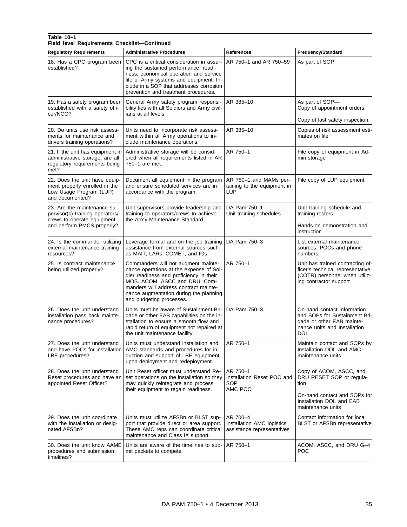# **Table 10–1 Field level Requirements Checklist—Continued**

| <b>Regulatory Requirements</b>                                                                                             | <b>Administrative Procedures</b>                                                                                                                                                                                                                                          | <b>References</b>                                                    | Frequency/Standard                                                                                                                           |
|----------------------------------------------------------------------------------------------------------------------------|---------------------------------------------------------------------------------------------------------------------------------------------------------------------------------------------------------------------------------------------------------------------------|----------------------------------------------------------------------|----------------------------------------------------------------------------------------------------------------------------------------------|
| 18. Has a CPC program been<br>established?                                                                                 | CPC is a critical consideration in assur-<br>ing the sustained performance, readi-<br>ness, economical operation and service<br>life of Army systems and equipment. In-<br>clude in a SOP that addresses corrosion<br>prevention and treatment procedures.                | AR 750-1 and AR 750-59                                               | As part of SOP                                                                                                                               |
| 19. Has a safety program been<br>established with a safety offi-<br>cer/NCO?                                               | General Army safety program responsi-<br>bility lies with all Soldiers and Army civil-<br>ians at all levels.                                                                                                                                                             | AR 385-10                                                            | As part of SOP-<br>Copy of appointment orders.                                                                                               |
| 20. Do units use risk assess-<br>ments for maintenance and<br>drivers training operations?                                 | Units need to incorporate risk assess-<br>ment within all Army operations to in-<br>clude maintenance operations.                                                                                                                                                         | AR 385-10                                                            | Copy of last safety inspection.<br>Copies of risk assessment esti-<br>mates on file                                                          |
| 21. If the unit has equipment in<br>administrative storage, are all<br>regulatory requirements being<br>met?               | Administrative storage will be consid-<br>ered when all requirements listed in AR<br>750-1 are met.                                                                                                                                                                       | AR 750-1                                                             | File copy of equipment in Ad-<br>min storage                                                                                                 |
| 22. Does the unit have equip-<br>ment properly enrolled in the<br>Low Usage Program (LUP)<br>and documented?               | Document all equipment in the program<br>and ensure scheduled services are in<br>accordance with the program.                                                                                                                                                             | AR 750-1 and MAMs per-<br>taining to the equipment in<br>LUP         | File copy of LUP equipment                                                                                                                   |
| 23. Are the maintenance su-<br>pervisor(s) training operators/<br>crews to operate equipment<br>and perform PMCS properly? | Unit supervisors provide leadership and<br>training to operators/crews to achieve<br>the Army Maintenance Standard.                                                                                                                                                       | DA Pam 750-1<br>Unit training schedules                              | Unit training schedule and<br>training rosters<br>Hands-on demonstration and<br>instruction                                                  |
| 24. Is the commander utilizing<br>external maintenance training<br>resources?                                              | Leverage formal and on the job training<br>assistance from external sources such<br>as MAIT, LARs, COMET, and IGs.                                                                                                                                                        | DA Pam 750-3                                                         | List external maintenance<br>sources, POCs and phone<br>numbers                                                                              |
| 25. Is contract maintenance<br>being utilized properly?                                                                    | Commanders will not augment mainte-<br>nance operations at the expense of Sol-<br>dier readiness and proficiency in their<br>MOS. ACOM, ASCC and DRU. Com-<br>manders will address contract mainte-<br>nance augmentation during the planning<br>and budgeting processes. | AR 750-1                                                             | Unit has trained contracting of-<br>ficer's technical representative<br>(COTR) personnel when utiliz-<br>ing contractor support              |
| 26. Does the unit understand<br>installation pass back mainte-<br>nance procedures?                                        | Units must be aware of Sustainment Bri-<br>gade or other EAB capabilities on the in-<br>stallation to ensure a smooth flow and<br>rapid return of equipment not repaired at<br>the unit maintenance facility.                                                             | DA Pam 750-3                                                         | On-hand contact information<br>and SOPs for Sustainment Bri-<br>gade or other EAB mainte-<br>nance units and Installation<br><b>DOL</b>      |
| 27. Does the unit understand<br>LBE procedures?                                                                            | Units must understand installation and<br>and have POCs for installation   AMC standards and procedures for in-<br>duction and support of LBE equipment<br>upon deployment and redeployment.                                                                              | AR 750-1                                                             | Maintain contact and SOPs by<br>Installation DOL and AMC<br>maintenance units                                                                |
| 28. Does the unit understand<br>Reset procedures and have an<br>appointed Reset Officer?                                   | Unit Reset officer must understand Re-<br>set operations on the installation so they<br>may quickly reintegrate and process<br>their equipment to regain readiness.                                                                                                       | AR 750-1<br>Installation Reset POC and<br>SOP<br>AMC POC             | Copy of ACOM, ASCC, and<br>DRU RESET SOP or regula-<br>tion<br>On-hand contact and SOPs for<br>Installation DOL and EAB<br>maintenance units |
| 29. Does the unit coordinate<br>with the installation or desig-<br>nated AFSBn?                                            | Units must utilize AFSBn or BLST sup-<br>port that provide direct or area support.<br>These AMC reps can coordinate critical<br>maintenance and Class IX support.                                                                                                         | AR 700-4<br>Installation AMC logistics<br>assistance representatives | Contact information for local<br><b>BLST</b> or AFSBn representative                                                                         |
| 30. Does the unit know AAME<br>procedures and submission<br>timelines?                                                     | Units are aware of the timelines to sub-<br>mit packets to compete.                                                                                                                                                                                                       | AR 750-1                                                             | ACOM, ASCC, and DRU G-4<br>POC                                                                                                               |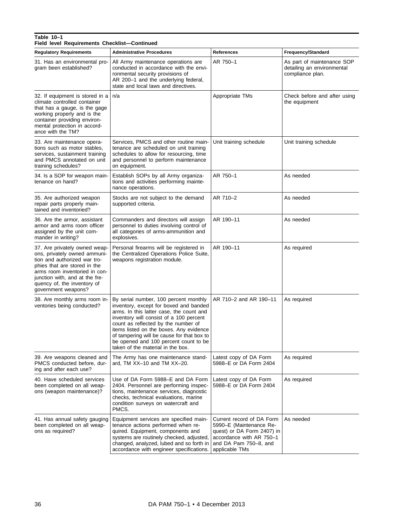# **Table 10–1 Field level Requirements Checklist—Continued**

| <b>Regulatory Requirements</b>                                                                                                                                                                                                                         | <b>Administrative Procedures</b>                                                                                                                                                                                                                                                                                                                                                     | <b>References</b>                                                                                                                                         | Frequency/Standard                                                           |
|--------------------------------------------------------------------------------------------------------------------------------------------------------------------------------------------------------------------------------------------------------|--------------------------------------------------------------------------------------------------------------------------------------------------------------------------------------------------------------------------------------------------------------------------------------------------------------------------------------------------------------------------------------|-----------------------------------------------------------------------------------------------------------------------------------------------------------|------------------------------------------------------------------------------|
| 31. Has an environmental pro-<br>gram been established?                                                                                                                                                                                                | All Army maintenance operations are<br>conducted in accordance with the envi-<br>ronmental security provisions of<br>AR 200-1 and the underlying federal,<br>state and local laws and directives.                                                                                                                                                                                    | AR 750-1                                                                                                                                                  | As part of maintenance SOP<br>detailing an environmental<br>compliance plan. |
| 32. If equipment is stored in a<br>climate controlled container<br>that has a gauge, is the gage<br>working properly and is the<br>container providing environ-<br>mental protection in accord-<br>ance with the TM?                                   | n/a                                                                                                                                                                                                                                                                                                                                                                                  | Appropriate TMs                                                                                                                                           | Check before and after using<br>the equipment                                |
| 33. Are maintenance opera-<br>tions such as motor stables,<br>services, sustainment training<br>and PMCS annotated on unit<br>training schedules?                                                                                                      | Services, PMCS and other routine main-<br>tenance are scheduled on unit training<br>schedules to allow for resourcing, time<br>and personnel to perform maintenance<br>on equipment.                                                                                                                                                                                                 | Unit training schedule                                                                                                                                    | Unit training schedule                                                       |
| 34. Is a SOP for weapon main-<br>tenance on hand?                                                                                                                                                                                                      | Establish SOPs by all Army organiza-<br>tions and activities performing mainte-<br>nance operations.                                                                                                                                                                                                                                                                                 | AR 750-1                                                                                                                                                  | As needed                                                                    |
| 35. Are authorized weapon<br>repair parts properly main-<br>tained and inventoried?                                                                                                                                                                    | Stocks are not subject to the demand<br>supported criteria.                                                                                                                                                                                                                                                                                                                          | AR 710-2                                                                                                                                                  | As needed                                                                    |
| 36. Are the armor, assistant<br>armor and arms room officer<br>assigned by the unit com-<br>mander in writing?                                                                                                                                         | Commanders and directors will assign<br>personnel to duties involving control of<br>all categories of arms-ammunition and<br>explosives.                                                                                                                                                                                                                                             | AR 190-11                                                                                                                                                 | As needed                                                                    |
| 37. Are privately owned weap-<br>ons, privately owned ammuni-<br>tion and authorized war tro-<br>phies that are stored in the<br>arms room inventoried in con-<br>junction with, and at the fre-<br>quency of, the inventory of<br>government weapons? | Personal firearms will be registered in<br>the Centralized Operations Police Suite,<br>weapons registration module.                                                                                                                                                                                                                                                                  | AR 190-11                                                                                                                                                 | As required                                                                  |
| 38. Are monthly arms room in-<br>ventories being conducted?                                                                                                                                                                                            | By serial number, 100 percent monthly<br>inventory, except for boxed and banded<br>arms. In this latter case, the count and<br>inventory will consist of a 100 percent<br>count as reflected by the number of<br>items listed on the boxes. Any evidence<br>of tampering will be cause for that box to<br>be opened and 100 percent count to be<br>taken of the material in the box. | AR 710-2 and AR 190-11                                                                                                                                    | As required                                                                  |
| 39. Are weapons cleaned and<br>PMCS conducted before, dur-<br>ing and after each use?                                                                                                                                                                  | The Army has one maintenance stand-<br>ard, TM XX-10 and TM XX-20.                                                                                                                                                                                                                                                                                                                   | Latest copy of DA Form<br>5988-E or DA Form 2404                                                                                                          | As required                                                                  |
| 40. Have scheduled services<br>been completed on all weap-<br>ons (weapon maintenance)?                                                                                                                                                                | Use of DA Form 5988–E and DA Form<br>2404. Personnel are performing inspec-<br>tions, maintenance services, diagnostic<br>checks, technical evaluations, marine<br>condition surveys on watercraft and<br>PMCS.                                                                                                                                                                      | Latest copy of DA Form<br>5988-E or DA Form 2404                                                                                                          | As required                                                                  |
| 41. Has annual safety gauging<br>been completed on all weap-<br>ons as required?                                                                                                                                                                       | Equipment services are specified main-<br>tenance actions performed when re-<br>quired. Equipment, components and<br>systems are routinely checked, adjusted,<br>changed, analyzed, lubed and so forth in<br>accordance with engineer specifications.                                                                                                                                | Current record of DA Form<br>5990-E (Maintenance Re-<br>quest) or DA Form 2407) in<br>accordance with AR 750-1<br>and DA Pam 750-8, and<br>applicable TMs | As needed                                                                    |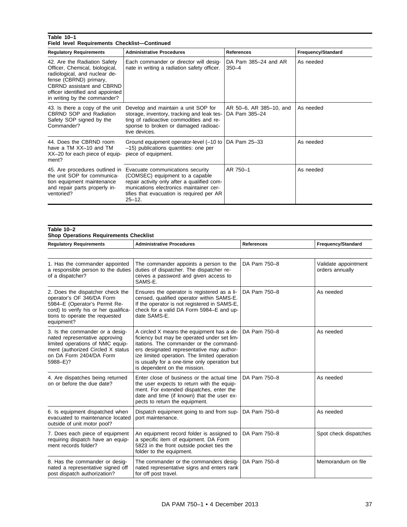# **Table 10–1 Field level Requirements Checklist—Continued**

| <b>Regulatory Requirements</b>                                                                                                                                                                                                    | <b>Administrative Procedures</b>                                                                                                                                                                                         | <b>References</b>                        | Frequency/Standard |
|-----------------------------------------------------------------------------------------------------------------------------------------------------------------------------------------------------------------------------------|--------------------------------------------------------------------------------------------------------------------------------------------------------------------------------------------------------------------------|------------------------------------------|--------------------|
| 42. Are the Radiation Safety<br>Officer, Chemical, biological,<br>radiological, and nuclear de-<br>fense (CBRND) primary,<br><b>CBRND</b> assistant and CBRND<br>officer identified and appointed<br>in writing by the commander? | Each commander or director will desig-<br>nate in writing a radiation safety officer.                                                                                                                                    | DA Pam 385-24 and AR<br>$350 - 4$        | As needed          |
| 43. Is there a copy of the unit<br><b>CBRND SOP and Radiation</b><br>Safety SOP signed by the<br>Commander?                                                                                                                       | Develop and maintain a unit SOP for<br>storage, inventory, tracking and leak tes-<br>ting of radioactive commodities and re-<br>sponse to broken or damaged radioac-<br>tive devices.                                    | AR 50-6, AR 385-10, and<br>DA Pam 385-24 | As needed          |
| 44. Does the CBRND room<br>have a TM XX-10 and TM<br>XX-20 for each piece of equip-<br>ment?                                                                                                                                      | Ground equipment operator-level (-10 to<br>-15) publications quantities: one per<br>piece of equipment.                                                                                                                  | DA Pam 25-33                             | As needed          |
| 45. Are procedures outlined in<br>the unit SOP for communica-<br>tion equipment maintenance<br>and repair parts properly in-<br>ventoried?                                                                                        | Evacuate communications security<br>(COMSEC) equipment to a capable<br>repair activity only after a qualified com-<br>munications electronics maintainer cer-<br>tifies that evacuation is required per AR<br>$25 - 12.$ | AR 750-1                                 | As needed          |

#### **Table 10–2 Shop Operations Requirements Checklist**

| <b>Regulatory Requirements</b>                                                                                                                                                          | <b>Administrative Procedures</b>                                                                                                                                                                                                                                                                                 | <b>References</b> | Frequency/Standard                      |
|-----------------------------------------------------------------------------------------------------------------------------------------------------------------------------------------|------------------------------------------------------------------------------------------------------------------------------------------------------------------------------------------------------------------------------------------------------------------------------------------------------------------|-------------------|-----------------------------------------|
|                                                                                                                                                                                         |                                                                                                                                                                                                                                                                                                                  |                   |                                         |
| 1. Has the commander appointed<br>a responsible person to the duties<br>of a dispatcher?                                                                                                | The commander appoints a person to the<br>duties of dispatcher. The dispatcher re-<br>ceives a password and given access to<br>SAMS-E.                                                                                                                                                                           | DA Pam 750-8      | Validate appointment<br>orders annually |
| 2. Does the dispatcher check the<br>operator's OF 346/DA Form<br>5984-E (Operator's Permit Re-<br>cord) to verify his or her qualifica-<br>tions to operate the requested<br>equipment? | Ensures the operator is registered as a li-<br>censed, qualified operator within SAMS-E.<br>If the operator is not registered in SAMS-E,<br>check for a valid DA Form 5984-E and up-<br>date SAMS-E.                                                                                                             | DA Pam 750-8      | As needed                               |
| 3. Is the commander or a desig-<br>nated representative approving<br>limited operations of NMC equip-<br>ment (authorized Circled X status<br>on DA Form 2404/DA Form<br>5988-E)?       | A circled X means the equipment has a de-<br>ficiency but may be operated under set lim-<br>itations. The commander or the command-<br>ers designated representative may author-<br>ize limited operation. The limited operation<br>is usually for a one-time only operation but<br>is dependent on the mission. | DA Pam 750-8      | As needed                               |
| 4. Are dispatches being returned<br>on or before the due date?                                                                                                                          | Enter close of business or the actual time<br>the user expects to return with the equip-<br>ment. For extended dispatches, enter the<br>date and time (if known) that the user ex-<br>pects to return the equipment.                                                                                             | DA Pam 750-8      | As needed                               |
| 6. Is equipment dispatched when<br>evacuated to maintenance located<br>outside of unit motor pool?                                                                                      | Dispatch equipment going to and from sup-<br>port maintenance.                                                                                                                                                                                                                                                   | DA Pam 750-8      | As needed                               |
| 7. Does each piece of equipment<br>requiring dispatch have an equip-<br>ment records folder?                                                                                            | An equipment record folder is assigned to<br>a specific item of equipment. DA Form<br>5823 in the front outside pocket ties the<br>folder to the equipment.                                                                                                                                                      | DA Pam 750-8      | Spot check dispatches                   |
| 8. Has the commander or desig-<br>nated a representative signed off<br>post dispatch authorization?                                                                                     | The commander or the commanders desig-<br>nated representative signs and enters rank<br>for off post travel.                                                                                                                                                                                                     | DA Pam 750-8      | Memorandum on file                      |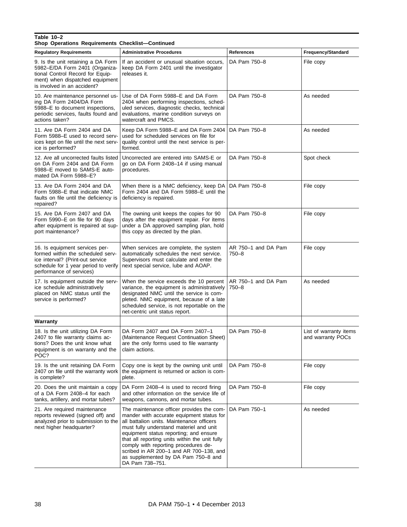# **Table 10–2 Shop Operations Requirements Checklist—Continued** Regulatory Requirements | Administrative Procedures | References | Frequency/Standard

| <b>Regulatory Requirements</b>                                                                                                                                              | <b>Administrative Procedures</b>                                                                                                                                                                                                                                                                                                                                                                                        | References                       | Frequency/Standard                          |
|-----------------------------------------------------------------------------------------------------------------------------------------------------------------------------|-------------------------------------------------------------------------------------------------------------------------------------------------------------------------------------------------------------------------------------------------------------------------------------------------------------------------------------------------------------------------------------------------------------------------|----------------------------------|---------------------------------------------|
| 9. Is the unit retaining a DA Form<br>5982-E/DA Form 2401 (Organiza-<br>tional Control Record for Equip-<br>ment) when dispatched equipment<br>is involved in an accident?  | If an accident or unusual situation occurs.<br>keep DA Form 2401 until the investigator<br>releases it.                                                                                                                                                                                                                                                                                                                 | DA Pam 750-8                     | File copy                                   |
| 10. Are maintenance personnel us-<br>ing DA Form 2404/DA Form<br>5988–E to document inspections,<br>periodic services, faults found and<br>actions taken?                   | Use of DA Form 5988-E and DA Form<br>2404 when performing inspections, sched-<br>uled services, diagnostic checks, technical<br>evaluations, marine condition surveys on<br>watercraft and PMCS.                                                                                                                                                                                                                        | DA Pam 750-8                     | As needed                                   |
| 11. Are DA Form 2404 and DA<br>Form 5988–E used to record serv-<br>ices kept on file until the next serv-<br>ice is performed?                                              | Keep DA Form 5988-E and DA Form 2404<br>used for scheduled services on file for<br>quality control until the next service is per-<br>formed.                                                                                                                                                                                                                                                                            | DA Pam 750-8                     | As needed                                   |
| 12. Are all uncorrected faults listed<br>on DA Form 2404 and DA Form<br>5988–E moved to SAMS-E auto-<br>mated DA Form 5988-E?                                               | Uncorrected are entered into SAMS-E or<br>go on DA Form 2408-14 if using manual<br>procedures.                                                                                                                                                                                                                                                                                                                          | DA Pam 750-8                     | Spot check                                  |
| 13. Are DA Form 2404 and DA<br>Form 5988–E that indicate NMC<br>faults on file until the deficiency is<br>repaired?                                                         | When there is a NMC deficiency, keep DA<br>Form 2404 and DA Form 5988–E until the<br>deficiency is repaired.                                                                                                                                                                                                                                                                                                            | DA Pam 750-8                     | File copy                                   |
| 15. Are DA Form 2407 and DA<br>Form 5990–E on file for 90 days<br>after equipment is repaired at sup-<br>port maintenance?                                                  | The owning unit keeps the copies for 90<br>days after the equipment repair. For items<br>under a DA approved sampling plan, hold<br>this copy as directed by the plan.                                                                                                                                                                                                                                                  | DA Pam 750-8                     | File copy                                   |
| 16. Is equipment services per-<br>formed within the scheduled serv-<br>ice interval? (Print-out service<br>schedule for 1 year period to verify<br>performance of services) | When services are complete, the system<br>automatically schedules the next service.<br>Supervisors must calculate and enter the<br>next special service, lube and AOAP.                                                                                                                                                                                                                                                 | AR 750-1 and DA Pam<br>$750 - 8$ | File copy                                   |
| 17. Is equipment outside the serv-<br>ice schedule administratively<br>placed on NMC status until the<br>service is performed?                                              | When the service exceeds the 10 percent<br>variance, the equipment is administratively<br>designated NMC until the service is com-<br>pleted. NMC equipment, because of a late<br>scheduled service, is not reportable on the<br>net-centric unit status report.                                                                                                                                                        | AR 750-1 and DA Pam<br>$750 - 8$ | As needed                                   |
| Warranty                                                                                                                                                                    |                                                                                                                                                                                                                                                                                                                                                                                                                         |                                  |                                             |
| 18. Is the unit utilizing DA Form<br>2407 to file warranty claims ac-<br>tions? Does the unit know what<br>equipment is on warranty and the<br>POC?                         | DA Form 2407 and DA Form 2407-1<br>(Maintenance Request Continuation Sheet)<br>are the only forms used to file warranty<br>claim actions.                                                                                                                                                                                                                                                                               | DA Pam 750-8                     | List of warranty items<br>and warranty POCs |
| 19. Is the unit retaining DA Form<br>2407 on file until the warranty work<br>is complete?                                                                                   | Copy one is kept by the owning unit until<br>the equipment is returned or action is com-<br>plete.                                                                                                                                                                                                                                                                                                                      | DA Pam 750-8                     | File copy                                   |
| 20. Does the unit maintain a copy<br>of a DA Form 2408-4 for each<br>tanks, artillery, and mortar tubes?                                                                    | DA Form 2408–4 is used to record firing<br>and other information on the service life of<br>weapons, cannons, and mortar tubes.                                                                                                                                                                                                                                                                                          | DA Pam 750-8                     | File copy                                   |
| 21. Are required maintenance<br>reports reviewed (signed off) and<br>analyzed prior to submission to the<br>next higher headquarter?                                        | The maintenance officer provides the com-<br>mander with accurate equipment status for<br>all battalion units. Maintenance officers<br>must fully understand materiel and unit<br>equipment status reporting; and ensure<br>that all reporting units within the unit fully<br>comply with reporting procedures de-<br>scribed in AR 200-1 and AR 700-138, and<br>as supplemented by DA Pam 750-8 and<br>DA Pam 738-751. | DA Pam 750-1                     | As needed                                   |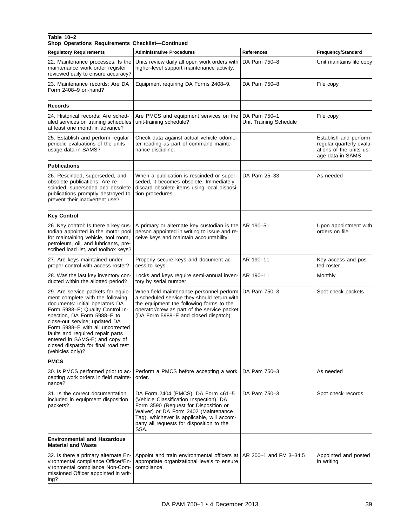#### **Table 10–2**

**Shop Operations Requirements Checklist—Continued**

| nop operations neganements oncennet communi                                                                                                                                                                                                                                                                                                                                        |                                                                                                                                                                                                                                                                  |                                        |                                                                                                  |
|------------------------------------------------------------------------------------------------------------------------------------------------------------------------------------------------------------------------------------------------------------------------------------------------------------------------------------------------------------------------------------|------------------------------------------------------------------------------------------------------------------------------------------------------------------------------------------------------------------------------------------------------------------|----------------------------------------|--------------------------------------------------------------------------------------------------|
| <b>Regulatory Requirements</b>                                                                                                                                                                                                                                                                                                                                                     | <b>Administrative Procedures</b>                                                                                                                                                                                                                                 | <b>References</b>                      | Frequency/Standard                                                                               |
| 22. Maintenance processes: Is the<br>maintenance work order register<br>reviewed daily to ensure accuracy?                                                                                                                                                                                                                                                                         | Units review daily all open work orders with<br>higher-level support maintenance activity.                                                                                                                                                                       | DA Pam 750-8                           | Unit maintains file copy                                                                         |
| 23. Maintenance records: Are DA<br>Form 2408-9 on-hand?                                                                                                                                                                                                                                                                                                                            | Equipment requiring DA Forms 2408-9.                                                                                                                                                                                                                             | DA Pam 750-8                           | File copy                                                                                        |
| Records                                                                                                                                                                                                                                                                                                                                                                            |                                                                                                                                                                                                                                                                  |                                        |                                                                                                  |
| 24. Historical records: Are sched-<br>uled services on training schedules<br>at least one month in advance?                                                                                                                                                                                                                                                                        | Are PMCS and equipment services on the<br>unit-training schedule?                                                                                                                                                                                                | DA Pam 750-1<br>Unit Training Schedule | File copy                                                                                        |
| 25. Establish and perform regular<br>periodic evaluations of the units<br>usage data in SAMS?                                                                                                                                                                                                                                                                                      | Check data against actual vehicle odome-<br>ter reading as part of command mainte-<br>nance discipline.                                                                                                                                                          |                                        | Establish and perform<br>regular quarterly evalu-<br>ations of the units us-<br>age data in SAMS |
| <b>Publications</b>                                                                                                                                                                                                                                                                                                                                                                |                                                                                                                                                                                                                                                                  |                                        |                                                                                                  |
| 26. Rescinded, superseded, and<br>obsolete publications: Are re-<br>scinded, superseded and obsolete<br>publications promptly destroyed to<br>prevent their inadvertent use?                                                                                                                                                                                                       | When a publication is rescinded or super-<br>seded, it becomes obsolete. Immediately<br>discard obsolete items using local disposi-<br>tion procedures.                                                                                                          | DA Pam 25-33                           | As needed                                                                                        |
| <b>Key Control</b>                                                                                                                                                                                                                                                                                                                                                                 |                                                                                                                                                                                                                                                                  |                                        |                                                                                                  |
| 26. Key control: Is there a key cus-<br>todian appointed in the motor pool<br>for maintaining vehicle, tool room,<br>petroleum, oil, and lubricants, pre-<br>scribed load list, and toolbox keys?                                                                                                                                                                                  | A primary or alternate key custodian is the<br>person appointed in writing to issue and re-<br>ceive keys and maintain accountability.                                                                                                                           | AR 190-51                              | Upon appointment with<br>orders on file                                                          |
| 27. Are keys maintained under<br>proper control with access roster?                                                                                                                                                                                                                                                                                                                | Properly secure keys and document ac-<br>cess to keys                                                                                                                                                                                                            | AR 190-11                              | Key access and pos-<br>ted roster                                                                |
| 28. Was the last key inventory con-<br>ducted within the allotted period?                                                                                                                                                                                                                                                                                                          | Locks and keys require semi-annual inven-<br>tory by serial number                                                                                                                                                                                               | AR 190-11                              | Monthly                                                                                          |
| 29. Are service packets for equip-<br>ment complete with the following<br>documents: initial operators DA<br>Form 5988-E; Quality Control In-<br>spection, DA Form 5988-E to<br>close-out service; updated DA<br>Form 5988-E with all uncorrected<br>faults and required repair parts<br>entered in SAMS-E; and copy of<br>closed dispatch for final road test<br>(vehicles only)? | When field maintenance personnel perform<br>a scheduled service they should return with<br>the equipment the following forms to the<br>operator/crew as part of the service packet<br>(DA Form 5988-E and closed dispatch).                                      | DA Pam 750-3                           | Spot check packets                                                                               |
| <b>PMCS</b>                                                                                                                                                                                                                                                                                                                                                                        |                                                                                                                                                                                                                                                                  |                                        |                                                                                                  |
| 30. Is PMCS performed prior to ac-<br>cepting work orders in field mainte-<br>nance?                                                                                                                                                                                                                                                                                               | Perform a PMCS before accepting a work<br>order.                                                                                                                                                                                                                 | DA Pam 750-3                           | As needed                                                                                        |
| 31. Is the correct documentation<br>included in equipment disposition<br>packets?                                                                                                                                                                                                                                                                                                  | DA Form 2404 (PMCS), DA Form 461-5<br>(Vehicle Classification Inspection), DA<br>Form 3590 (Request for Disposition or<br>Waiver) or DA Form 2402 (Maintenance<br>Tag), whichever is applicable, will accom-<br>pany all requests for disposition to the<br>SSA. | DA Pam 750-3                           | Spot check records                                                                               |
| <b>Environmental and Hazardous</b><br><b>Material and Waste</b>                                                                                                                                                                                                                                                                                                                    |                                                                                                                                                                                                                                                                  |                                        |                                                                                                  |
| 32. Is there a primary alternate En-<br>vironmental compliance Officer/En-<br>vironmental compliance Non-Com-<br>missioned Officer appointed in writ-<br>ing?                                                                                                                                                                                                                      | Appoint and train environmental officers at<br>appropriate organizational levels to ensure<br>compliance.                                                                                                                                                        | AR 200-1 and FM 3-34.5                 | Appointed and posted<br>in writing                                                               |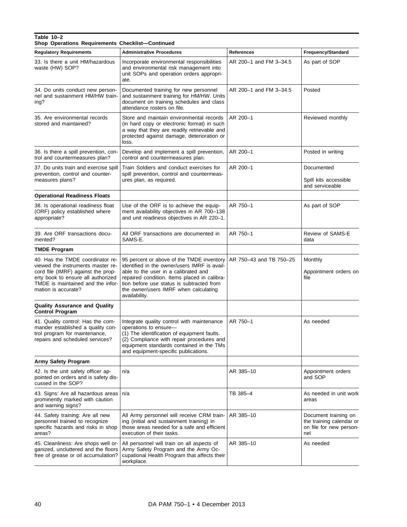# **Table 10–2 Shop Operations Requirements Checklist—Continued** Regulatory Requirements | Administrative Procedures | References | Frequency/Standard

| Regulatory Requirements                                                                                                                                                                                       | <b>Administrative Procedures</b>                                                                                                                                                                                                                                                         | <b>References</b>       | Frequency/Standard                                                                 |
|---------------------------------------------------------------------------------------------------------------------------------------------------------------------------------------------------------------|------------------------------------------------------------------------------------------------------------------------------------------------------------------------------------------------------------------------------------------------------------------------------------------|-------------------------|------------------------------------------------------------------------------------|
| 33. Is there a unit HM/hazardous<br>waste (HW) SOP?                                                                                                                                                           | Incorporate environmental responsibilities<br>and environmental risk management into<br>unit SOPs and operation orders appropri-<br>ate.                                                                                                                                                 | AR 200-1 and FM 3-34.5  | As part of SOP                                                                     |
| 34. Do units conduct new person-<br>nel and sustainment HM/HW train-<br>ing?                                                                                                                                  | Documented training for new personnel<br>and sustainment training for HM/HW. Units<br>document on training schedules and class<br>attendance rosters on file.                                                                                                                            | AR 200-1 and FM 3-34.5  | Posted                                                                             |
| 35. Are environmental records<br>stored and maintained?                                                                                                                                                       | Store and maintain environmental records<br>(in hard copy or electronic format) in such<br>a way that they are readily retrievable and<br>protected against damage, deterioration or<br>loss.                                                                                            | AR 200-1                | Reviewed monthly                                                                   |
| 36. Is there a spill prevention, con-<br>trol and countermeasures plan?                                                                                                                                       | Develop and implement a spill prevention,<br>control and countermeasures plan.                                                                                                                                                                                                           | AR 200-1                | Posted in writing                                                                  |
| 37. Do units train and exercise spill<br>prevention, control and counter-<br>measures plans?                                                                                                                  | Train Soldiers and conduct exercises for<br>spill prevention, control and countermeas-<br>ures plan, as required.                                                                                                                                                                        | AR 200-1                | Documented<br>Spill kits accessible<br>and serviceable                             |
| <b>Operational Readiness Floats</b>                                                                                                                                                                           |                                                                                                                                                                                                                                                                                          |                         |                                                                                    |
| 38. Is operational readiness float<br>(ORF) policy established where<br>appropriate?                                                                                                                          | Use of the ORF is to achieve the equip-<br>ment availability objectives in AR 700-138<br>and unit readiness objectives in AR 220-1.                                                                                                                                                      | AR 750-1                | As part of SOP                                                                     |
| 39. Are ORF transactions docu-<br>mented?                                                                                                                                                                     | All ORF transactions are documented in<br>SAMS-E.                                                                                                                                                                                                                                        | AR 750-1                | Review of SAMS-E<br>data                                                           |
| <b>TMDE Program</b>                                                                                                                                                                                           |                                                                                                                                                                                                                                                                                          |                         |                                                                                    |
| 40. Has the TMDE coordinator re-<br>viewed the instruments master re-<br>cord file (IMRF) against the prop-<br>erty book to ensure all authorized<br>TMDE is maintained and the infor-<br>mation is accurate? | 95 percent or above of the TMDE inventory<br>identified in the owner/users IMRF is avail-<br>able to the user in a calibrated and<br>repaired condition. Items placed in calibra-<br>tion before use status is subtracted from<br>the owner/users IMRF when calculating<br>availability. | AR 750-43 and TB 750-25 | Monthly<br>Appointment orders on<br>file                                           |
| <b>Quality Assurance and Quality</b><br><b>Control Program</b>                                                                                                                                                |                                                                                                                                                                                                                                                                                          |                         |                                                                                    |
| 41. Quality control: Has the com-<br>mander established a quality con-<br>trol program for maintenance,<br>repairs and scheduled services?                                                                    | Integrate quality control with maintenance<br>operations to ensure-<br>(1) The identification of equipment faults.<br>(2) Compliance with repair procedures and<br>equipment standards contained in the TMs<br>and equipment-specific publications.                                      | AR 750-1                | As needed                                                                          |
| Army Safety Program                                                                                                                                                                                           |                                                                                                                                                                                                                                                                                          |                         |                                                                                    |
| 42. Is the unit safety officer ap-<br>pointed on orders and is safety dis-<br>cussed in the SOP?                                                                                                              | n/a                                                                                                                                                                                                                                                                                      | AR 385-10               | Appointment orders<br>and SOP                                                      |
| 43. Signs: Are all hazardous areas   n/a<br>prominently marked with caution<br>and warning signs?                                                                                                             |                                                                                                                                                                                                                                                                                          | TB 385-4                | As needed in unit work<br>areas                                                    |
| 44. Safety training: Are all new<br>personnel trained to recognize<br>specific hazards and risks in shop<br>areas?                                                                                            | All Army personnel will receive CRM train-<br>ing (initial and sustainment training) in<br>those areas needed for a safe and efficient<br>execution of their tasks.                                                                                                                      | AR 385-10               | Document training on<br>the training calendar or<br>on file for new person-<br>nel |
| 45. Cleanliness: Are shops well or-<br>ganized, uncluttered and the floors<br>free of grease or oil accumulation?                                                                                             | All personnel will train on all aspects of<br>Army Safety Program and the Army Oc-<br>cupational Health Program that affects their<br>workplace.                                                                                                                                         | AR 385-10               | As needed                                                                          |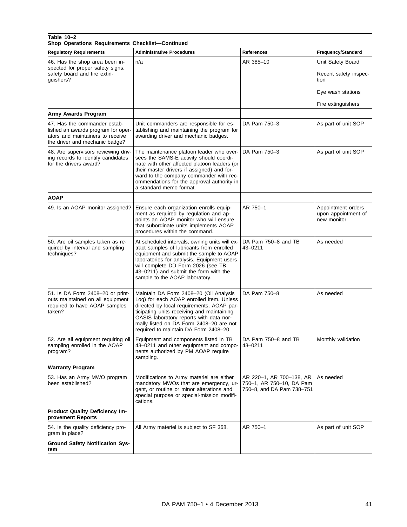| Table 10-2<br>Shop Operations Requirements Checklist-Continued                                                                           |                                                                                                                                                                                                                                                                                                              |                                                                                   |                                                                         |
|------------------------------------------------------------------------------------------------------------------------------------------|--------------------------------------------------------------------------------------------------------------------------------------------------------------------------------------------------------------------------------------------------------------------------------------------------------------|-----------------------------------------------------------------------------------|-------------------------------------------------------------------------|
| <b>Regulatory Requirements</b>                                                                                                           | <b>Administrative Procedures</b>                                                                                                                                                                                                                                                                             | <b>References</b>                                                                 | Frequency/Standard                                                      |
| 46. Has the shop area been in-<br>spected for proper safety signs,<br>safety board and fire extin-<br>guishers?                          | n/a                                                                                                                                                                                                                                                                                                          | AR 385-10                                                                         | Unit Safety Board<br>Recent safety inspec-<br>tion<br>Eye wash stations |
|                                                                                                                                          |                                                                                                                                                                                                                                                                                                              |                                                                                   | Fire extinguishers                                                      |
| Army Awards Program                                                                                                                      |                                                                                                                                                                                                                                                                                                              |                                                                                   |                                                                         |
| 47. Has the commander estab-<br>lished an awards program for oper-<br>ators and maintainers to receive<br>the driver and mechanic badge? | Unit commanders are responsible for es-<br>tablishing and maintaining the program for<br>awarding driver and mechanic badges.                                                                                                                                                                                | DA Pam 750-3                                                                      | As part of unit SOP                                                     |
| 48. Are supervisors reviewing driv-<br>ing records to identify candidates<br>for the drivers award?                                      | The maintenance platoon leader who over-<br>sees the SAMS-E activity should coordi-<br>nate with other affected platoon leaders (or<br>their master drivers if assigned) and for-<br>ward to the company commander with rec-<br>ommendations for the approval authority in<br>a standard memo format.        | DA Pam 750-3                                                                      | As part of unit SOP                                                     |
| <b>AOAP</b>                                                                                                                              |                                                                                                                                                                                                                                                                                                              |                                                                                   |                                                                         |
| 49. Is an AOAP monitor assigned?                                                                                                         | Ensure each organization enrolls equip-<br>ment as required by regulation and ap-<br>points an AOAP monitor who will ensure<br>that subordinate units implements AOAP<br>procedures within the command.                                                                                                      | AR 750-1                                                                          | Appointment orders<br>upon appointment of<br>new monitor                |
| 50. Are oil samples taken as re-<br>quired by interval and sampling<br>techniques?                                                       | At scheduled intervals, owning units will ex-<br>tract samples of lubricants from enrolled<br>equipment and submit the sample to AOAP<br>laboratories for analysis. Equipment users<br>will complete DD Form 2026 (see TB<br>43-0211) and submit the form with the<br>sample to the AOAP laboratory.         | DA Pam 750-8 and TB<br>43-0211                                                    | As needed                                                               |
| 51. Is DA Form 2408-20 or print-<br>outs maintained on all equipment<br>required to have AOAP samples<br>taken?                          | Maintain DA Form 2408-20 (Oil Analysis<br>Log) for each AOAP enrolled item. Unless<br>directed by local requirements, AOAP par-<br>ticipating units receiving and maintaining<br>OASIS laboratory reports with data nor-<br>mally listed on DA Form 2408-20 are not<br>required to maintain DA Form 2408-20. | DA Pam 750-8                                                                      | As needed                                                               |
| 52. Are all equipment requiring oil<br>sampling enrolled in the AOAP<br>program?                                                         | Equipment and components listed in TB<br>43-0211 and other equipment and compo-<br>nents authorized by PM AOAP require<br>sampling.                                                                                                                                                                          | DA Pam 750-8 and TB<br>$43 - 0211$                                                | Monthly validation                                                      |
| <b>Warranty Program</b>                                                                                                                  |                                                                                                                                                                                                                                                                                                              |                                                                                   |                                                                         |
| 53. Has an Army MWO program<br>been established?                                                                                         | Modifications to Army materiel are either<br>mandatory MWOs that are emergency, ur-<br>gent, or routine or minor alterations and<br>special purpose or special-mission modifi-<br>cations.                                                                                                                   | AR 220-1, AR 700-138, AR<br>750-1, AR 750-10, DA Pam<br>750-8, and DA Pam 738-751 | As needed                                                               |
| Product Quality Deficiency Im-<br>provement Reports                                                                                      |                                                                                                                                                                                                                                                                                                              |                                                                                   |                                                                         |
| 54. Is the quality deficiency pro-<br>gram in place?                                                                                     | All Army materiel is subject to SF 368.                                                                                                                                                                                                                                                                      | AR 750-1                                                                          | As part of unit SOP                                                     |
| <b>Ground Safety Notification Sys-</b><br>tem                                                                                            |                                                                                                                                                                                                                                                                                                              |                                                                                   |                                                                         |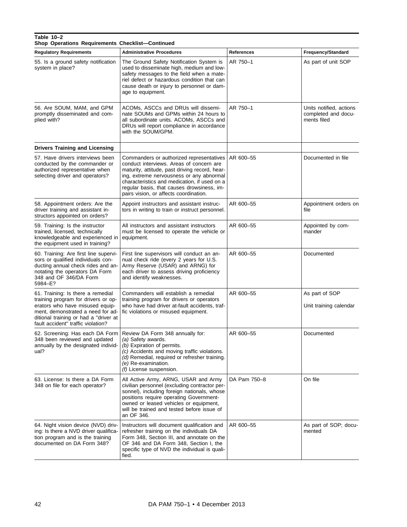#### **Table 10–2 Shop Operations Requirements Checklist—Continued** Regulatory Requirements Administrative Procedures **References** References **References References References** 55. Is a ground safety notification system in place? The Ground Safety Notification System is used to disseminate high, medium and lowsafety messages to the field when a materiel defect or hazardous condition that can cause death or injury to personnel or damage to equipment. AR 750–1 As part of unit SOP 56. Are SOUM, MAM, and GPM promptly disseminated and complied with? ACOMs, ASCCs and DRUs will disseminate SOUMs and GPMs within 24 hours to all subordinate units. ACOMs, ASCCs and DRUs will report compliance in accordance with the SOUM/GPM. AR 750–1 Units notified, actions completed and documents filed **Drivers Training and Licensing** 57. Have drivers interviews been conducted by the commander or authorized representative when selecting driver and operators? Commanders or authorized representatives conduct interviews. Areas of concern are maturity, attitude, past driving record, hearing, extreme nervousness or any abnormal characteristics and medication, if used on a regular basis, that causes drowsiness, impairs vision, or affects coordination. AR 600–55 Documented in file 58. Appointment orders: Are the driver training and assistant instructors appointed on orders? Appoint instructors and assistant instructors in writing to train or instruct personnel. AR 600-55 Appointment orders on file 59. Training: Is the instructor trained, licensed, technically knowledgeable and experienced in the equipment used in training? All instructors and assistant instructors must be licensed to operate the vehicle or equipment. AR 600-55 Appointed by commander 60. Training: Are first line supervisors or qualified individuals conducting annual check rides and annotating the operators DA Form 348 and OF 346/DA Form 5984–E? First line supervisors will conduct an annual check ride (every 2 years for U.S. Army Reserve (USAR) and ARNG) for each driver to assess driving proficiency and identify weaknesses. AR 600–55 Documented 61. Training: Is there a remedial training program for drivers or operators who have misused equipment, demonstrated a need for additional training or had a "driver at fault accident" traffic violation? Commanders will establish a remedial training program for drivers or operators who have had driver at-fault accidents, traffic violations or misused equipment. AR 600–55 As part of SOP Unit training calendar 62. Screening: Has each DA Form 348 been reviewed and updated annually by the designated individual? Review DA Form 348 annually for: *(a)* Safety awards. *(b)* Expiration of permits. *(c)* Accidents and moving traffic violations. *(d)* Remedial, required or refresher training. *(e)* Re-examination. *(f)* License suspension. AR 600–55 Documented 63. License: Is there a DA Form 348 on file for each operator? All Active Army, ARNG, USAR and Army civilian personnel (excluding contractor personnel), including foreign nationals, whose positions require operating Governmentowned or leased vehicles or equipment, will be trained and tested before issue of an OF 346. DA Pam 750–8 **On file** 64. Night vision device (NVD) driving: Is there a NVD driver qualification program and is the training documented on DA Form 348? Instructors will document qualification and refresher training on the individuals DA Form 348, Section III, and annotate on the OF 346 and DA Form 348, Section I, the specific type of NVD the individual is qualified.  $AR\ 600-55$   $|As\ part\ of\ SOP$ ; documented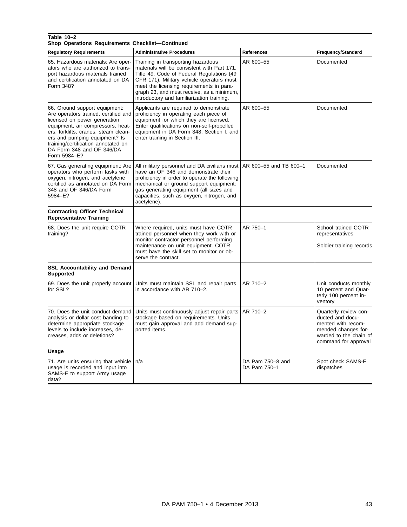#### **Table 10–2**

**Shop Operations Requirements Checklist—Continued**

| <b>Regulatory Requirements</b>                                                                                                                                                                                                                                                                          | <b>Administrative Procedures</b>                                                                                                                                                                                                                                                                                   | References                       | Frequency/Standard                                                                                                                       |
|---------------------------------------------------------------------------------------------------------------------------------------------------------------------------------------------------------------------------------------------------------------------------------------------------------|--------------------------------------------------------------------------------------------------------------------------------------------------------------------------------------------------------------------------------------------------------------------------------------------------------------------|----------------------------------|------------------------------------------------------------------------------------------------------------------------------------------|
| 65. Hazardous materials: Are oper-<br>ators who are authorized to trans-<br>port hazardous materials trained<br>and certification annotated on DA<br>Form 348?                                                                                                                                          | Training in transporting hazardous<br>materials will be consistent with Part 171,<br>Title 49, Code of Federal Regulations (49<br>CFR 171). Military vehicle operators must<br>meet the licensing requirements in para-<br>graph 23, and must receive, as a minimum,<br>introductory and familiarization training. | AR 600-55                        | Documented                                                                                                                               |
| 66. Ground support equipment:<br>Are operators trained, certified and<br>licensed on power generation<br>equipment, air compressors, heat-<br>ers, forklifts, cranes, steam clean-<br>ers and pumping equipment? Is<br>training/certification annotated on<br>DA Form 348 and OF 346/DA<br>Form 5984-E? | Applicants are required to demonstrate<br>proficiency in operating each piece of<br>equipment for which they are licensed.<br>Enter qualifications on non-self-propelled<br>equipment in DA Form 348, Section I, and<br>enter training in Section III.                                                             | AR 600-55                        | Documented                                                                                                                               |
| 67. Gas generating equipment: Are<br>operators who perform tasks with<br>oxygen, nitrogen, and acetylene<br>certified as annotated on DA Form<br>348 and OF 346/DA Form<br>5984-E?                                                                                                                      | All military personnel and DA civilians must<br>have an OF 346 and demonstrate their<br>proficiency in order to operate the following<br>mechanical or ground support equipment:<br>gas generating equipment (all sizes and<br>capacities, such as oxygen, nitrogen, and<br>acetylene).                            | AR 600-55 and TB 600-1           | Documented                                                                                                                               |
| <b>Contracting Officer Technical</b><br><b>Representative Training</b>                                                                                                                                                                                                                                  |                                                                                                                                                                                                                                                                                                                    |                                  |                                                                                                                                          |
| 68. Does the unit require COTR<br>training?                                                                                                                                                                                                                                                             | Where required, units must have COTR<br>trained personnel when they work with or<br>monitor contractor personnel performing<br>maintenance on unit equipment. COTR<br>must have the skill set to monitor or ob-<br>serve the contract.                                                                             | AR 750-1                         | School trained COTR<br>representatives<br>Soldier training records                                                                       |
| <b>SSL Accountability and Demand</b><br><b>Supported</b>                                                                                                                                                                                                                                                |                                                                                                                                                                                                                                                                                                                    |                                  |                                                                                                                                          |
| 69. Does the unit properly account<br>for SSL?                                                                                                                                                                                                                                                          | Units must maintain SSL and repair parts<br>in accordance with AR 710-2.                                                                                                                                                                                                                                           | AR 710-2                         | Unit conducts monthly<br>10 percent and Quar-<br>terly 100 percent in-<br>ventory                                                        |
| 70. Does the unit conduct demand<br>analysis or dollar cost banding to<br>determine appropriate stockage<br>levels to include increases, de-<br>creases, adds or deletions?                                                                                                                             | Units must continuously adjust repair parts<br>stockage based on requirements. Units<br>must gain approval and add demand sup-<br>ported items.                                                                                                                                                                    | AR 710-2                         | Quarterly review con-<br>ducted and docu-<br>mented with recom-<br>mended changes for-<br>warded to the chain of<br>command for approval |
| Usage                                                                                                                                                                                                                                                                                                   |                                                                                                                                                                                                                                                                                                                    |                                  |                                                                                                                                          |
| 71. Are units ensuring that vehicle   n/a<br>usage is recorded and input into<br>SAMS-E to support Army usage<br>data?                                                                                                                                                                                  |                                                                                                                                                                                                                                                                                                                    | DA Pam 750-8 and<br>DA Pam 750-1 | Spot check SAMS-E<br>dispatches                                                                                                          |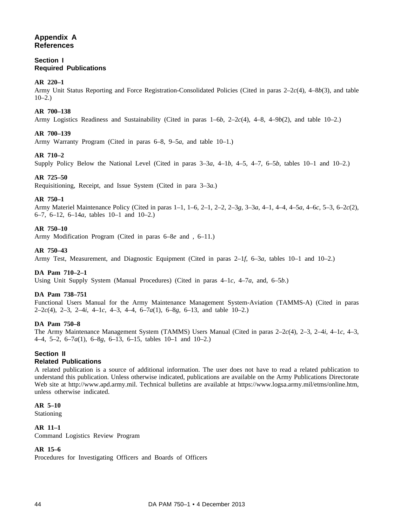# **Appendix A References**

# **Section I Required Publications**

# **AR 220–1**

Army Unit Status Reporting and Force Registration-Consolidated Policies (Cited in paras 2–2*c*(4), 4–8*b*(3), and table  $10-2.$ )

# **AR 700–138**

Army Logistics Readiness and Sustainability (Cited in paras 1–6*b*, 2–2*c*(4), 4–8, 4–9*b*(2), and table 10–2.)

# **AR 700–139**

Army Warranty Program (Cited in paras 6–8, 9–5*a*, and table 10–1.)

#### **AR 710–2**

Supply Policy Below the National Level (Cited in paras 3–3*a*, 4–1*b*, 4–5, 4–7, 6–5*b*, tables 10–1 and 10–2.)

#### **AR 725–50**

Requisitioning, Receipt, and Issue System (Cited in para 3–3*a*.)

#### **AR 750–1**

Army Materiel Maintenance Policy (Cited in paras 1–1, 1–6, 2–1, 2–2, 2–3*g*, 3–3*a*, 4–1, 4–4, 4–5*a*, 4–6*c*, 5–3, 6–2*c*(2), 6–7, 6–12, 6–14*a*, tables 10–1 and 10–2.)

#### **AR 750–10**

Army Modification Program (Cited in paras 6–8*e* and , 6–11.)

#### **AR 750–43**

Army Test, Measurement, and Diagnostic Equipment (Cited in paras 2–1*f*, 6–3*a*, tables 10–1 and 10–2.)

#### **DA Pam 710–2–1**

Using Unit Supply System (Manual Procedures) (Cited in paras 4–1*c*, 4–7*a*, and, 6–5*b*.)

#### **DA Pam 738–751**

Functional Users Manual for the Army Maintenance Management System-Aviation (TAMMS-A) (Cited in paras 2–2*c*(4), 2–3, 2–4*i*, 4–1*c*, 4–3, 4–4, 6–7*a*(1), 6–8*g*, 6–13, and table 10–2.)

#### **DA Pam 750–8**

The Army Maintenance Management System (TAMMS) Users Manual (Cited in paras 2–2*c*(4), 2–3, 2–4*i*, 4–1*c*, 4–3, 4–4, 5–2, 6–7*a*(1), 6–8*g*, 6–13, 6–15, tables 10–1 and 10–2.)

# **Section II**

#### **Related Publications**

A related publication is a source of additional information. The user does not have to read a related publication to understand this publication. Unless otherwise indicated, publications are available on the Army Publications Directorate Web site at http://www.apd.army.mil. Technical bulletins are available at https://www.logsa.army.mil/etms/online.htm, unless otherwise indicated.

#### **AR 5–10**

Stationing

#### **AR 11–1**

Command Logistics Review Program

#### **AR 15–6**

Procedures for Investigating Officers and Boards of Officers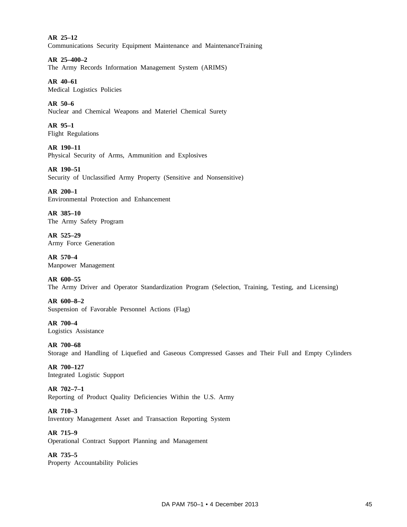**AR 25–12** Communications Security Equipment Maintenance and MaintenanceTraining

**AR 25–400–2** The Army Records Information Management System (ARIMS)

**AR 40–61** Medical Logistics Policies

**AR 50–6** Nuclear and Chemical Weapons and Materiel Chemical Surety

**AR 95–1** Flight Regulations

**AR 190–11** Physical Security of Arms, Ammunition and Explosives

**AR 190–51** Security of Unclassified Army Property (Sensitive and Nonsensitive)

**AR 200–1** Environmental Protection and Enhancement

**AR 385–10** The Army Safety Program

**AR 525–29** Army Force Generation

**AR 570–4** Manpower Management

**AR 600–55** The Army Driver and Operator Standardization Program (Selection, Training, Testing, and Licensing)

**AR 600–8–2** Suspension of Favorable Personnel Actions (Flag)

**AR 700–4** Logistics Assistance

**AR 700–68** Storage and Handling of Liquefied and Gaseous Compressed Gasses and Their Full and Empty Cylinders

**AR 700–127** Integrated Logistic Support

**AR 702–7–1** Reporting of Product Quality Deficiencies Within the U.S. Army

**AR 710–3** Inventory Management Asset and Transaction Reporting System

**AR 715–9** Operational Contract Support Planning and Management

**AR 735–5** Property Accountability Policies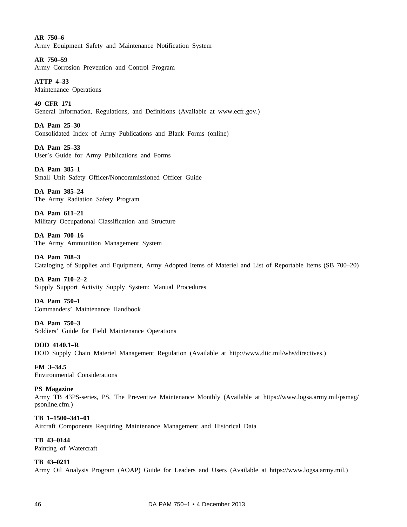**AR 750–6** Army Equipment Safety and Maintenance Notification System

**AR 750–59** Army Corrosion Prevention and Control Program

**ATTP 4–33** Maintenance Operations

**49 CFR 171** General Information, Regulations, and Definitions (Available at www.ecfr.gov.)

**DA Pam 25–30** Consolidated Index of Army Publications and Blank Forms (online)

**DA Pam 25–33** User's Guide for Army Publications and Forms

**DA Pam 385–1** Small Unit Safety Officer/Noncommissioned Officer Guide

**DA Pam 385–24** The Army Radiation Safety Program

**DA Pam 611–21** Military Occupational Classification and Structure

**DA Pam 700–16** The Army Ammunition Management System

**DA Pam 708–3** Cataloging of Supplies and Equipment, Army Adopted Items of Materiel and List of Reportable Items (SB 700–20)

**DA Pam 710–2–2** Supply Support Activity Supply System: Manual Procedures

**DA Pam 750–1** Commanders' Maintenance Handbook

**DA Pam 750–3** Soldiers' Guide for Field Maintenance Operations

**DOD 4140.1–R** DOD Supply Chain Materiel Management Regulation (Available at http://www.dtic.mil/whs/directives.)

**FM 3–34.5** Environmental Considerations

**PS Magazine**

Army TB 43PS-series, PS, The Preventive Maintenance Monthly (Available at https://www.logsa.army.mil/psmag/ psonline.cfm.)

**TB 1–1500–341–01** Aircraft Components Requiring Maintenance Management and Historical Data

**TB 43–0144** Painting of Watercraft

# **TB 43–0211**

Army Oil Analysis Program (AOAP) Guide for Leaders and Users (Available at https://www.logsa.army.mil.)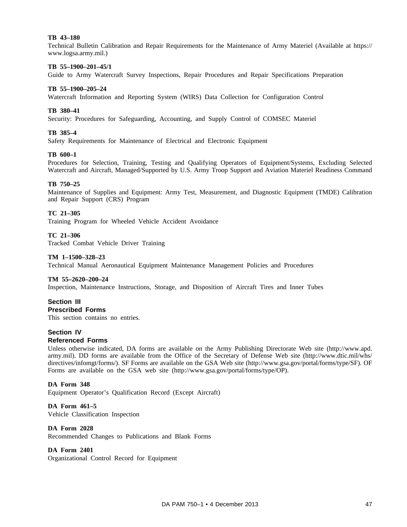#### **TB 43–180**

Technical Bulletin Calibration and Repair Requirements for the Maintenance of Army Materiel (Available at https:// www.logsa.army.mil.)

#### **TB 55–1900–201–45/1**

Guide to Army Watercraft Survey Inspections, Repair Procedures and Repair Specifications Preparation

#### **TB 55–1900–205–24**

Watercraft Information and Reporting System (WIRS) Data Collection for Configuration Control

#### **TB 380–41**

Security: Procedures for Safeguarding, Accounting, and Supply Control of COMSEC Materiel

#### **TB 385–4**

Safety Requirements for Maintenance of Electrical and Electronic Equipment

#### **TB 600–1**

Procedures for Selection, Training, Testing and Qualifying Operators of Equipment/Systems, Excluding Selected Watercraft and Aircraft, Managed/Supported by U.S. Army Troop Support and Aviation Materiel Readiness Command

#### **TB 750–25**

Maintenance of Supplies and Equipment: Army Test, Measurement, and Diagnostic Equipment (TMDE) Calibration and Repair Support (CRS) Program

#### **TC 21–305**

Training Program for Wheeled Vehicle Accident Avoidance

#### **TC 21–306**

Tracked Combat Vehicle Driver Training

#### **TM 1–1500–328–23**

Technical Manual Aeronautical Equipment Maintenance Management Policies and Procedures

#### **TM 55–2620–200–24**

Inspection, Maintenance Instructions, Storage, and Disposition of Aircraft Tires and Inner Tubes

# **Section III**

# **Prescribed Forms**

This section contains no entries.

#### **Section IV**

#### **Referenced Forms**

Unless otherwise indicated, DA forms are available on the Army Publishing Directorate Web site (http://www.apd. army.mil). DD forms are available from the Office of the Secretary of Defense Web site (http://www.dtic.mil/whs/ directives/infomgt/forms/). SF Forms are available on the GSA Web site (http://www.gsa.gov/portal/forms/type/SF). OF Forms are available on the GSA web site (http://www.gsa.gov/portal/forms/type/OP).

#### **DA Form 348**

Equipment Operator's Qualification Record (Except Aircraft)

**DA Form 461–5** Vehicle Classification Inspection

# **DA Form 2028**

Recommended Changes to Publications and Blank Forms

#### **DA Form 2401**

Organizational Control Record for Equipment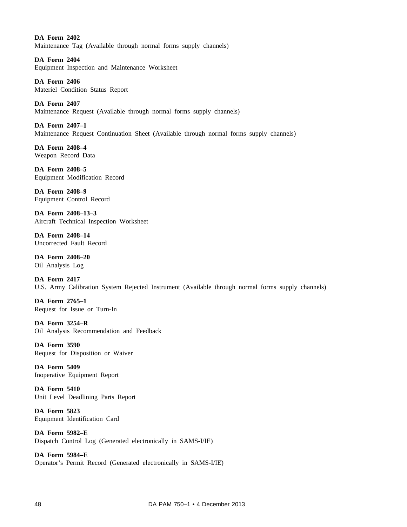**DA Form 2402** Maintenance Tag (Available through normal forms supply channels)

**DA Form 2404** Equipment Inspection and Maintenance Worksheet

**DA Form 2406** Materiel Condition Status Report

**DA Form 2407** Maintenance Request (Available through normal forms supply channels)

**DA Form 2407–1** Maintenance Request Continuation Sheet (Available through normal forms supply channels)

**DA Form 2408–4** Weapon Record Data

**DA Form 2408–5** Equipment Modification Record

**DA Form 2408–9** Equipment Control Record

**DA Form 2408–13–3** Aircraft Technical Inspection Worksheet

**DA Form 2408–14** Uncorrected Fault Record

**DA Form 2408–20** Oil Analysis Log

**DA Form 2417** U.S. Army Calibration System Rejected Instrument (Available through normal forms supply channels)

**DA Form 2765–1** Request for Issue or Turn-In

**DA Form 3254–R** Oil Analysis Recommendation and Feedback

**DA Form 3590** Request for Disposition or Waiver

**DA Form 5409** Inoperative Equipment Report

**DA Form 5410** Unit Level Deadlining Parts Report

**DA Form 5823** Equipment Identification Card

**DA Form 5982–E** Dispatch Control Log (Generated electronically in SAMS-I/IE)

**DA Form 5984–E** Operator's Permit Record (Generated electronically in SAMS-I/IE)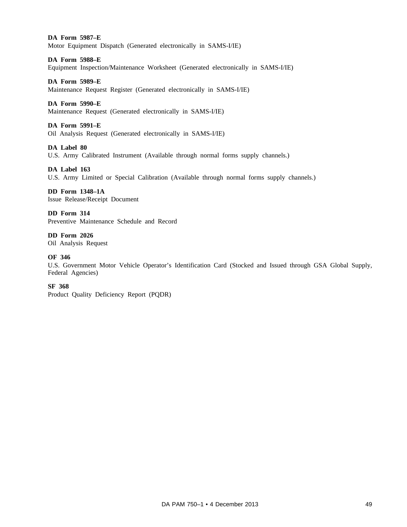**DA Form 5987–E** Motor Equipment Dispatch (Generated electronically in SAMS-I/IE)

**DA Form 5988–E**

Equipment Inspection/Maintenance Worksheet (Generated electronically in SAMS-I/IE)

**DA Form 5989–E**

Maintenance Request Register (Generated electronically in SAMS-I/IE)

#### **DA Form 5990–E**

Maintenance Request (Generated electronically in SAMS-I/IE)

#### **DA Form 5991–E**

Oil Analysis Request (Generated electronically in SAMS-I/IE)

#### **DA Label 80**

U.S. Army Calibrated Instrument (Available through normal forms supply channels.)

# **DA Label 163**

U.S. Army Limited or Special Calibration (Available through normal forms supply channels.)

#### **DD Form 1348–1A** Issue Release/Receipt Document

**DD Form 314** Preventive Maintenance Schedule and Record

**DD Form 2026** Oil Analysis Request

#### **OF 346**

U.S. Government Motor Vehicle Operator's Identification Card (Stocked and Issued through GSA Global Supply, Federal Agencies)

#### **SF 368**

Product Quality Deficiency Report (PQDR)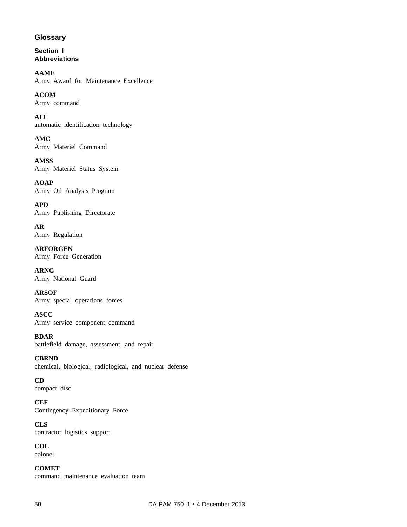# **Glossary**

**Section I Abbreviations**

**AAME** Army Award for Maintenance Excellence

**ACOM** Army command

**AIT** automatic identification technology

**AMC** Army Materiel Command

**AMSS** Army Materiel Status System

**AOAP** Army Oil Analysis Program

**APD** Army Publishing Directorate

**AR** Army Regulation

**ARFORGEN** Army Force Generation

**ARNG** Army National Guard

**ARSOF** Army special operations forces

**ASCC** Army service component command

**BDAR** battlefield damage, assessment, and repair

**CBRND** chemical, biological, radiological, and nuclear defense

**CD** compact disc

**CEF** Contingency Expeditionary Force

**CLS** contractor logistics support

**COL** colonel

**COMET** command maintenance evaluation team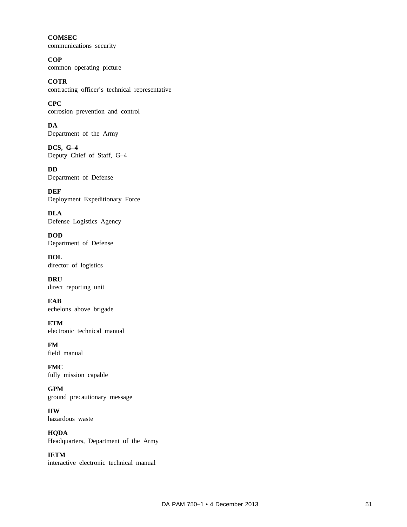**COMSEC** communications security

**COP** common operating picture

**COTR** contracting officer's technical representative

**CPC** corrosion prevention and control

**DA** Department of the Army

**DCS, G–4** Deputy Chief of Staff, G–4

**DD** Department of Defense

**DEF** Deployment Expeditionary Force

**DLA** Defense Logistics Agency

**DOD** Department of Defense

**DOL** director of logistics

**DRU** direct reporting unit

**EAB** echelons above brigade

**ETM** electronic technical manual

**FM** field manual

**FMC** fully mission capable

**GPM** ground precautionary message

**HW** hazardous waste

**HQDA** Headquarters, Department of the Army

**IETM** interactive electronic technical manual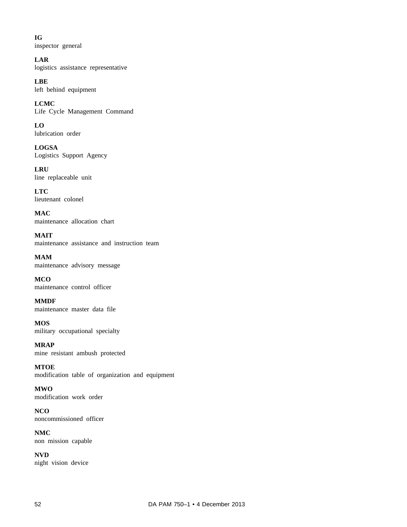**IG** inspector general

**LAR** logistics assistance representative

**LBE** left behind equipment

**LCMC** Life Cycle Management Command

**LO** lubrication order

**LOGSA** Logistics Support Agency

**LRU** line replaceable unit

**LTC** lieutenant colonel

**MAC** maintenance allocation chart

**MAIT** maintenance assistance and instruction team

**MAM** maintenance advisory message

**MCO** maintenance control officer

**MMDF** maintenance master data file

**MOS** military occupational specialty

**MRAP** mine resistant ambush protected

**MTOE** modification table of organization and equipment

**MWO** modification work order

**NCO** noncommissioned officer

**NMC** non mission capable

**NVD** night vision device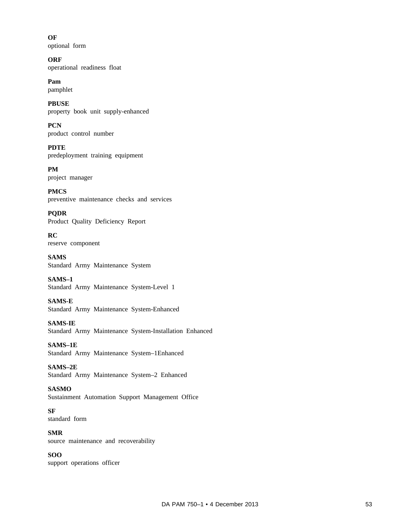**OF** optional form

**ORF** operational readiness float

**Pam** pamphlet

**PBUSE** property book unit supply-enhanced

**PCN** product control number

**PDTE** predeployment training equipment

**PM** project manager

**PMCS** preventive maintenance checks and services

**PQDR** Product Quality Deficiency Report

**RC** reserve component

**SAMS** Standard Army Maintenance System

**SAMS–1** Standard Army Maintenance System-Level 1

**SAMS-E** Standard Army Maintenance System-Enhanced

**SAMS-IE** Standard Army Maintenance System-Installation Enhanced

**SAMS–1E** Standard Army Maintenance System–1Enhanced

**SAMS–2E** Standard Army Maintenance System–2 Enhanced

**SASMO** Sustainment Automation Support Management Office

**SF** standard form

**SMR** source maintenance and recoverability

# **SOO** support operations officer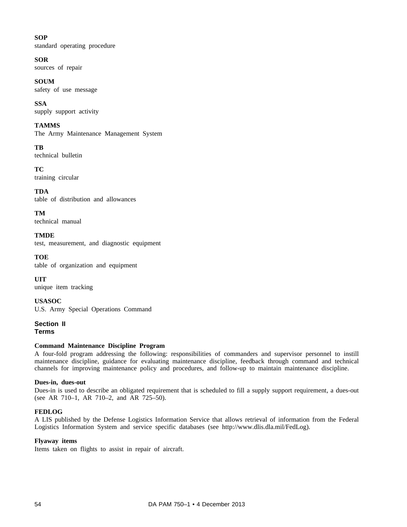# **SOP**

standard operating procedure

# **SOR**

sources of repair

# **SOUM**

safety of use message

**SSA** supply support activity

# **TAMMS**

The Army Maintenance Management System

**TB** technical bulletin

**TC** training circular

**TDA** table of distribution and allowances

**TM** technical manual

**TMDE** test, measurement, and diagnostic equipment

**TOE** table of organization and equipment

**UIT** unique item tracking

**USASOC** U.S. Army Special Operations Command

**Section II Terms**

# **Command Maintenance Discipline Program**

A four-fold program addressing the following: responsibilities of commanders and supervisor personnel to instill maintenance discipline, guidance for evaluating maintenance discipline, feedback through command and technical channels for improving maintenance policy and procedures, and follow-up to maintain maintenance discipline.

# **Dues-in, dues-out**

Dues-in is used to describe an obligated requirement that is scheduled to fill a supply support requirement, a dues-out (see AR 710–1, AR 710–2, and AR 725–50).

# **FEDLOG**

A LIS published by the Defense Logistics Information Service that allows retrieval of information from the Federal Logistics Information System and service specific databases (see http://www.dlis.dla.mil/FedLog).

# **Flyaway items**

Items taken on flights to assist in repair of aircraft.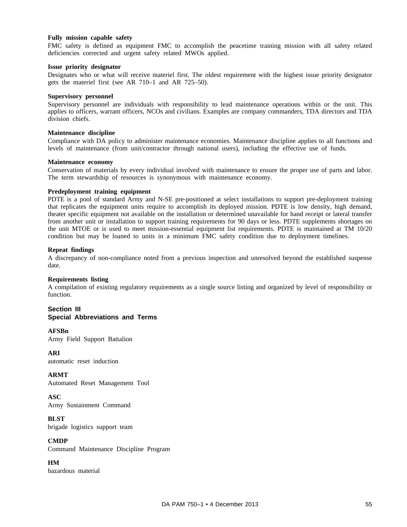#### **Fully mission capable safety**

FMC safety is defined as equipment FMC to accomplish the peacetime training mission with all safety related deficiencies corrected and urgent safety related MWOs applied.

#### **Issue priority designator**

Designates who or what will receive materiel first. The oldest requirement with the highest issue priority designator gets the materiel first (see AR 710–1 and AR 725–50).

#### **Supervisory personnel**

Supervisory personnel are individuals with responsibility to lead maintenance operations within or the unit. This applies to officers, warrant officers, NCOs and civilians. Examples are company commanders, TDA directors and TDA division chiefs.

#### **Maintenance discipline**

Compliance with DA policy to administer maintenance economies. Maintenance discipline applies to all functions and levels of maintenance (from unit/contractor through national users), including the effective use of funds.

#### **Maintenance economy**

Conservation of materials by every individual involved with maintenance to ensure the proper use of parts and labor. The term stewardship of resources is synonymous with maintenance economy.

#### **Predeployment training equipment**

PDTE is a pool of standard Army and N-SE pre-positioned at select installations to support pre-deployment training that replicates the equipment units require to accomplish its deployed mission. PDTE is low density, high demand, theater specific equipment not available on the installation or determined unavailable for hand receipt or lateral transfer from another unit or installation to support training requirements for 90 days or less. PDTE supplements shortages on the unit MTOE or is used to meet mission-essential equipment list requirements. PDTE is maintained at TM 10/20 condition but may be loaned to units in a minimum FMC safety condition due to deployment timelines.

#### **Repeat findings**

A discrepancy of non-compliance noted from a previous inspection and unresolved beyond the established suspense date.

#### **Requirements listing**

A compilation of existing regulatory requirements as a single source listing and organized by level of responsibility or function.

#### **Section III Special Abbreviations and Terms**

#### **AFSBn**

Army Field Support Battalion

**ARI** automatic reset induction

**ARMT** Automated Reset Management Tool

# **ASC**

Army Sustainment Command

# **BLST**

brigade logistics support team

#### **CMDP**

Command Maintenance Discipline Program

# **HM**

hazardous material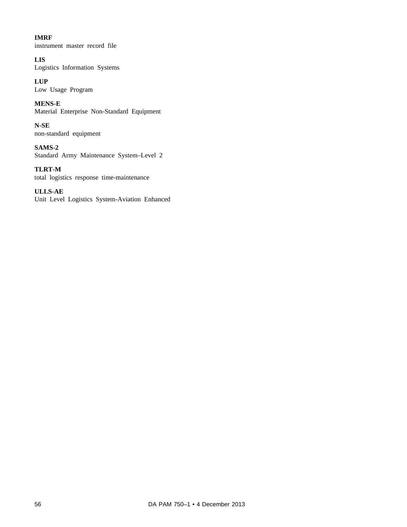# **IMRF**

instrument master record file

# **LIS**

Logistics Information Systems

# **LUP**

Low Usage Program

**MENS-E** Material Enterprise Non-Standard Equipment

**N-SE** non-standard equipment

**SAMS-2** Standard Army Maintenance System–Level 2

**TLRT-M** total logistics response time-maintenance

# **ULLS-AE**

Unit Level Logistics System-Aviation Enhanced